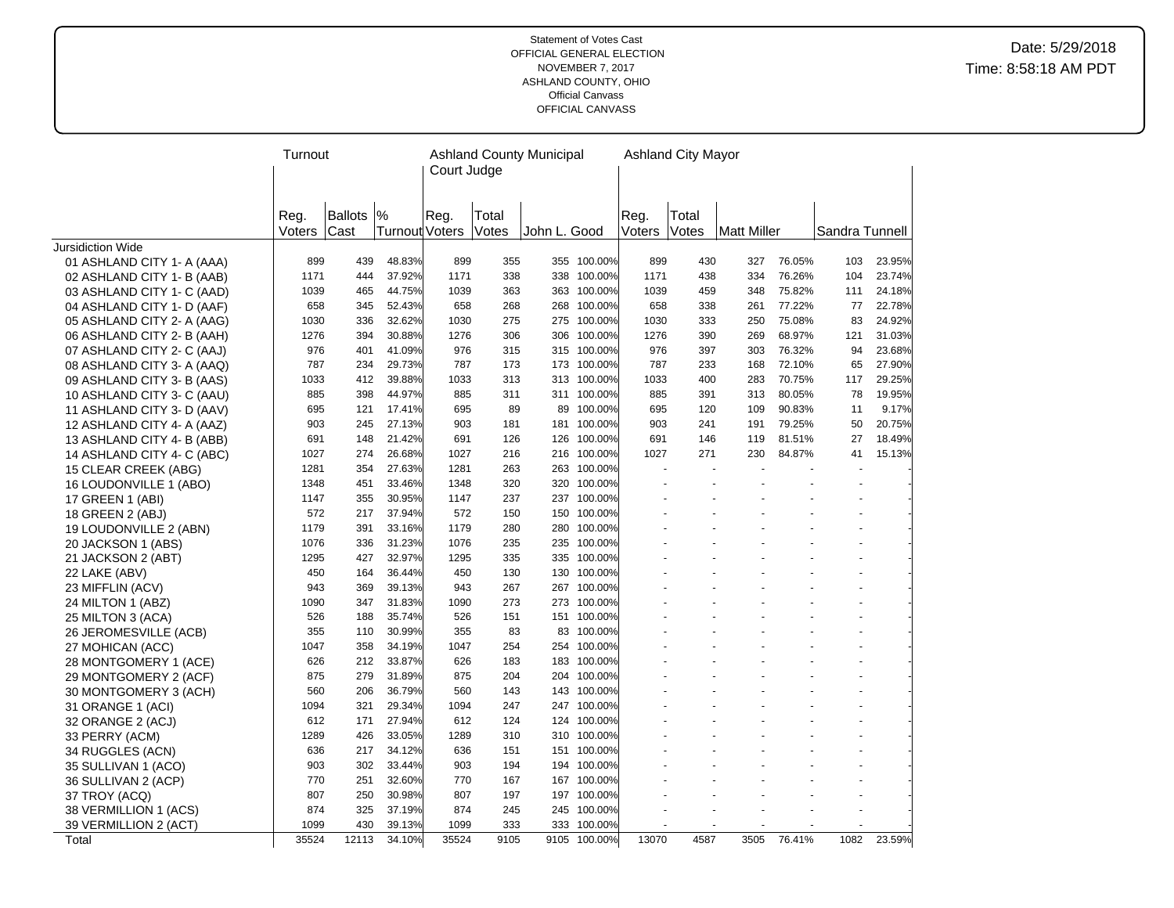|                            | Turnout |                |                       |              |            | <b>Ashland County Municipal</b> |                            |        | <b>Ashland City Mayor</b> |             |        |                |        |
|----------------------------|---------|----------------|-----------------------|--------------|------------|---------------------------------|----------------------------|--------|---------------------------|-------------|--------|----------------|--------|
|                            |         |                |                       | Court Judge  |            |                                 |                            |        |                           |             |        |                |        |
|                            |         |                |                       |              |            |                                 |                            |        |                           |             |        |                |        |
|                            |         | <b>Ballots</b> | $\frac{9}{6}$         |              |            |                                 |                            |        |                           |             |        |                |        |
|                            | Reg.    |                | <b>Turnout Voters</b> | Reg.         | Total      |                                 |                            | Reg.   | Total                     |             |        |                |        |
| Jursidiction Wide          | Voters  | Cast           |                       |              | Votes      | John L. Good                    |                            | Voters | Votes                     | Matt Miller |        | Sandra Tunnell |        |
| 01 ASHLAND CITY 1- A (AAA) | 899     | 439            | 48.83%                | 899          | 355        |                                 | 355 100.00%                | 899    | 430                       | 327         | 76.05% | 103            | 23.95% |
| 02 ASHLAND CITY 1- B (AAB) | 1171    | 444            | 37.92%                | 1171         | 338        |                                 | 338 100.00%                | 1171   | 438                       | 334         | 76.26% | 104            | 23.74% |
| 03 ASHLAND CITY 1- C (AAD) | 1039    | 465            | 44.75%                | 1039         | 363        |                                 | 363 100.00%                | 1039   | 459                       | 348         | 75.82% | 111            | 24.18% |
| 04 ASHLAND CITY 1- D (AAF) | 658     | 345            | 52.43%                | 658          | 268        |                                 | 268 100.00%                | 658    | 338                       | 261         | 77.22% | 77             | 22.78% |
| 05 ASHLAND CITY 2- A (AAG) | 1030    | 336            | 32.62%                | 1030         | 275        |                                 | 275 100.00%                | 1030   | 333                       | 250         | 75.08% | 83             | 24.92% |
|                            | 1276    | 394            | 30.88%                | 1276         | 306        |                                 | 306 100.00%                | 1276   | 390                       | 269         | 68.97% | 121            | 31.03% |
| 06 ASHLAND CITY 2- B (AAH) | 976     | 401            | 41.09%                | 976          | 315        | 315                             | 100.00%                    | 976    | 397                       | 303         | 76.32% | 94             | 23.68% |
| 07 ASHLAND CITY 2- C (AAJ) | 787     | 234            | 29.73%                | 787          | 173        |                                 | 173 100.00%                | 787    | 233                       | 168         | 72.10% | 65             | 27.90% |
| 08 ASHLAND CITY 3- A (AAQ) | 1033    | 412            | 39.88%                | 1033         | 313        |                                 | 313 100.00%                | 1033   | 400                       | 283         | 70.75% | 117            | 29.25% |
| 09 ASHLAND CITY 3- B (AAS) | 885     | 398            | 44.97%                | 885          | 311        |                                 | 311 100.00%                | 885    | 391                       | 313         | 80.05% | 78             | 19.95% |
| 10 ASHLAND CITY 3- C (AAU) | 695     | 121            | 17.41%                | 695          | 89         | 89                              | 100.00%                    | 695    | 120                       | 109         | 90.83% | 11             | 9.17%  |
| 11 ASHLAND CITY 3- D (AAV) | 903     | 245            | 27.13%                | 903          | 181        |                                 | 100.00%                    | 903    | 241                       | 191         | 79.25% |                | 20.75% |
| 12 ASHLAND CITY 4- A (AAZ) | 691     | 148            | 21.42%                | 691          | 126        | 181<br>126                      | 100.00%                    | 691    | 146                       | 119         | 81.51% | 50<br>27       | 18.49% |
| 13 ASHLAND CITY 4- B (ABB) |         |                |                       |              |            |                                 |                            |        |                           |             |        | 41             |        |
| 14 ASHLAND CITY 4- C (ABC) | 1027    | 274            | 26.68%                | 1027<br>1281 | 216        |                                 | 216 100.00%<br>263 100.00% | 1027   | 271<br>$\sim$             | 230         | 84.87% |                | 15.13% |
| 15 CLEAR CREEK (ABG)       | 1281    | 354            | 27.63%                | 1348         | 263<br>320 | 320                             | 100.00%                    |        |                           |             |        |                |        |
| 16 LOUDONVILLE 1 (ABO)     | 1348    | 451            | 33.46%                |              |            |                                 |                            |        |                           |             |        |                |        |
| 17 GREEN 1 (ABI)           | 1147    | 355            | 30.95%                | 1147         | 237        | 237                             | 100.00%                    |        |                           |             |        |                |        |
| 18 GREEN 2 (ABJ)           | 572     | 217<br>391     | 37.94%                | 572          | 150        |                                 | 150 100.00%                |        |                           |             |        |                |        |
| 19 LOUDONVILLE 2 (ABN)     | 1179    |                | 33.16%                | 1179         | 280        | 280                             | 100.00%                    |        |                           |             |        |                |        |
| 20 JACKSON 1 (ABS)         | 1076    | 336            | 31.23%                | 1076         | 235        |                                 | 235 100.00%                |        |                           |             |        |                |        |
| 21 JACKSON 2 (ABT)         | 1295    | 427            | 32.97%                | 1295         | 335        | 335                             | 100.00%                    |        |                           |             |        |                |        |
| 22 LAKE (ABV)              | 450     | 164            | 36.44%                | 450          | 130        | 130                             | 100.00%                    |        |                           |             |        |                |        |
| 23 MIFFLIN (ACV)           | 943     | 369            | 39.13%                | 943          | 267        |                                 | 267 100.00%                |        |                           |             |        |                |        |
| 24 MILTON 1 (ABZ)          | 1090    | 347            | 31.83%                | 1090         | 273        | 273                             | 100.00%                    |        |                           |             |        |                |        |
| 25 MILTON 3 (ACA)          | 526     | 188            | 35.74%                | 526          | 151        | 151                             | 100.00%                    |        |                           |             |        |                |        |
| 26 JEROMESVILLE (ACB)      | 355     | 110            | 30.99%                | 355          | 83         | 83                              | 100.00%                    |        |                           |             |        |                |        |
| 27 MOHICAN (ACC)           | 1047    | 358            | 34.19%                | 1047         | 254        |                                 | 254 100.00%                |        |                           |             |        |                |        |
| 28 MONTGOMERY 1 (ACE)      | 626     | 212            | 33.87%                | 626          | 183        |                                 | 183 100.00%                |        |                           |             |        |                |        |
| 29 MONTGOMERY 2 (ACF)      | 875     | 279            | 31.89%                | 875          | 204        | 204                             | 100.00%                    |        |                           |             |        |                |        |
| 30 MONTGOMERY 3 (ACH)      | 560     | 206            | 36.79%                | 560          | 143        |                                 | 143 100.00%                |        |                           |             |        |                |        |
| 31 ORANGE 1 (ACI)          | 1094    | 321            | 29.34%                | 1094         | 247        | 247                             | 100.00%                    |        |                           |             |        |                |        |
| 32 ORANGE 2 (ACJ)          | 612     | 171            | 27.94%                | 612          | 124        |                                 | 124 100.00%                |        |                           |             |        |                |        |
| 33 PERRY (ACM)             | 1289    | 426            | 33.05%                | 1289         | 310        |                                 | 310 100.00%                |        |                           |             |        |                |        |
| 34 RUGGLES (ACN)           | 636     | 217            | 34.12%                | 636          | 151        | 151                             | 100.00%                    |        |                           |             |        |                |        |
| 35 SULLIVAN 1 (ACO)        | 903     | 302            | 33.44%                | 903          | 194        |                                 | 194 100.00%                |        |                           |             |        |                |        |
| 36 SULLIVAN 2 (ACP)        | 770     | 251            | 32.60%                | 770          | 167        | 167                             | 100.00%                    |        |                           |             |        |                |        |
| 37 TROY (ACQ)              | 807     | 250            | 30.98%                | 807          | 197        |                                 | 197 100.00%                |        |                           |             |        |                |        |
| 38 VERMILLION 1 (ACS)      | 874     | 325            | 37.19%                | 874          | 245        | 245                             | 100.00%                    |        |                           |             |        |                |        |
| 39 VERMILLION 2 (ACT)      | 1099    | 430            | 39.13%                | 1099         | 333        | 333                             | 100.00%                    |        |                           |             |        |                |        |
| Total                      | 35524   | 12113          | 34.10%                | 35524        | 9105       |                                 | 9105 100.00%               | 13070  | 4587                      | 3505        | 76.41% | 1082           | 23.59% |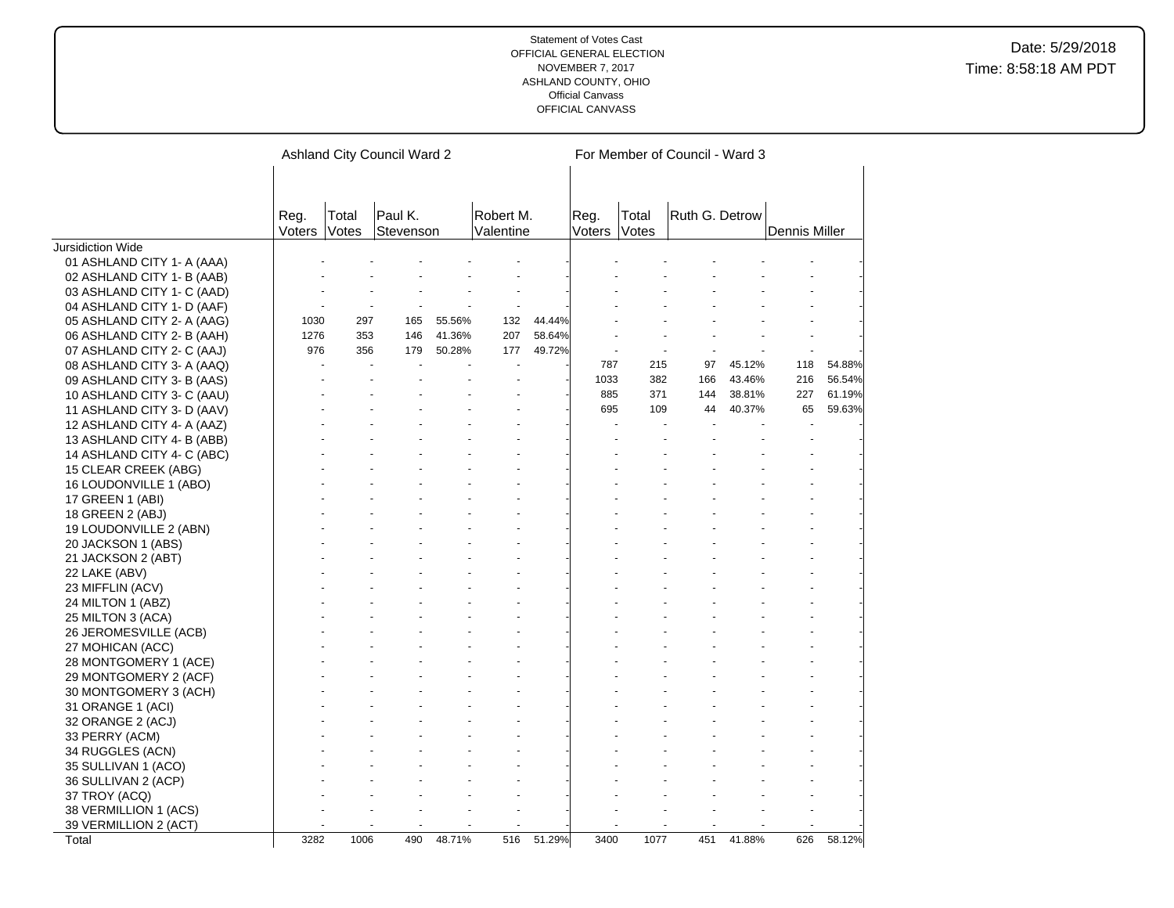|                            |                |                | Ashland City Council Ward 2 |        |                        |        |                |                | For Member of Council - Ward 3 |        |               |        |
|----------------------------|----------------|----------------|-----------------------------|--------|------------------------|--------|----------------|----------------|--------------------------------|--------|---------------|--------|
|                            |                |                |                             |        |                        |        |                |                |                                |        |               |        |
|                            | Reg.<br>Voters | Total<br>Votes | Paul K.<br>Stevenson        |        | Robert M.<br>Valentine |        | Reg.<br>Voters | Total<br>Votes | Ruth G. Detrow                 |        | Dennis Miller |        |
| <b>Jursidiction Wide</b>   |                |                |                             |        |                        |        |                |                |                                |        |               |        |
| 01 ASHLAND CITY 1- A (AAA) |                |                |                             |        |                        |        |                |                |                                |        |               |        |
| 02 ASHLAND CITY 1- B (AAB) |                |                |                             |        |                        |        |                |                |                                |        |               |        |
| 03 ASHLAND CITY 1- C (AAD) |                |                |                             |        |                        |        |                |                |                                |        |               |        |
| 04 ASHLAND CITY 1- D (AAF) |                |                |                             |        |                        |        |                |                |                                |        |               |        |
| 05 ASHLAND CITY 2- A (AAG) | 1030           | 297            | 165                         | 55.56% | 132                    | 44.44% |                |                |                                |        |               |        |
| 06 ASHLAND CITY 2- B (AAH) | 1276           | 353            | 146                         | 41.36% | 207                    | 58.64% |                |                |                                |        |               |        |
| 07 ASHLAND CITY 2- C (AAJ) | 976            | 356            | 179                         | 50.28% | 177                    | 49.72% |                |                |                                |        |               |        |
| 08 ASHLAND CITY 3- A (AAQ) |                |                |                             |        |                        |        | 787            | 215            | 97                             | 45.12% | 118           | 54.88% |
| 09 ASHLAND CITY 3- B (AAS) |                |                |                             |        |                        |        | 1033           | 382            | 166                            | 43.46% | 216           | 56.54% |
| 10 ASHLAND CITY 3- C (AAU) |                |                |                             |        |                        |        | 885            | 371            | 144                            | 38.81% | 227           | 61.19% |
| 11 ASHLAND CITY 3- D (AAV) |                |                |                             |        |                        |        | 695            | 109            | 44                             | 40.37% | 65            | 59.63% |
| 12 ASHLAND CITY 4- A (AAZ) |                |                |                             |        |                        |        |                |                |                                |        |               |        |
| 13 ASHLAND CITY 4- B (ABB) |                |                |                             |        |                        |        |                |                |                                |        |               |        |
| 14 ASHLAND CITY 4- C (ABC) |                |                |                             |        |                        |        |                |                |                                |        |               |        |
| 15 CLEAR CREEK (ABG)       |                |                |                             |        |                        |        |                |                |                                |        |               |        |
| 16 LOUDONVILLE 1 (ABO)     |                |                |                             |        |                        |        |                |                |                                |        |               |        |
| 17 GREEN 1 (ABI)           |                |                |                             |        |                        |        |                |                |                                |        |               |        |
| 18 GREEN 2 (ABJ)           |                |                |                             |        |                        |        |                |                |                                |        |               |        |
| 19 LOUDONVILLE 2 (ABN)     |                |                |                             |        |                        |        |                |                |                                |        |               |        |
| 20 JACKSON 1 (ABS)         |                |                |                             |        |                        |        |                |                |                                |        |               |        |
| 21 JACKSON 2 (ABT)         |                |                |                             |        |                        |        |                |                |                                |        |               |        |
| 22 LAKE (ABV)              |                |                |                             |        |                        |        |                |                |                                |        |               |        |
| 23 MIFFLIN (ACV)           |                |                |                             |        |                        |        |                |                |                                |        |               |        |
| 24 MILTON 1 (ABZ)          |                |                |                             |        |                        |        |                |                |                                |        |               |        |
| 25 MILTON 3 (ACA)          |                |                |                             |        |                        |        |                |                |                                |        |               |        |
| 26 JEROMESVILLE (ACB)      |                |                |                             |        |                        |        |                |                |                                |        |               |        |
| 27 MOHICAN (ACC)           |                |                |                             |        |                        |        |                |                |                                |        |               |        |
| 28 MONTGOMERY 1 (ACE)      |                |                |                             |        |                        |        |                |                |                                |        |               |        |
| 29 MONTGOMERY 2 (ACF)      |                |                |                             |        |                        |        |                |                |                                |        |               |        |
| 30 MONTGOMERY 3 (ACH)      |                |                |                             |        |                        |        |                |                |                                |        |               |        |
| 31 ORANGE 1 (ACI)          |                |                |                             |        |                        |        |                |                |                                |        |               |        |
| 32 ORANGE 2 (ACJ)          |                |                |                             |        |                        |        |                |                |                                |        |               |        |
| 33 PERRY (ACM)             |                |                |                             |        |                        |        |                |                |                                |        |               |        |
| 34 RUGGLES (ACN)           |                |                |                             |        |                        |        |                |                |                                |        |               |        |
| 35 SULLIVAN 1 (ACO)        |                |                |                             |        |                        |        |                |                |                                |        |               |        |
| 36 SULLIVAN 2 (ACP)        |                |                |                             |        |                        |        |                |                |                                |        |               |        |
| 37 TROY (ACQ)              |                |                |                             |        |                        |        |                |                |                                |        |               |        |
| 38 VERMILLION 1 (ACS)      |                |                |                             |        |                        |        |                |                |                                |        |               |        |
| 39 VERMILLION 2 (ACT)      |                |                |                             |        |                        |        |                |                |                                |        |               |        |
| Total                      | 3282           | 1006           | 490                         | 48.71% | 516                    | 51.29% | 3400           | 1077           | 451                            | 41.88% | 626           | 58.12% |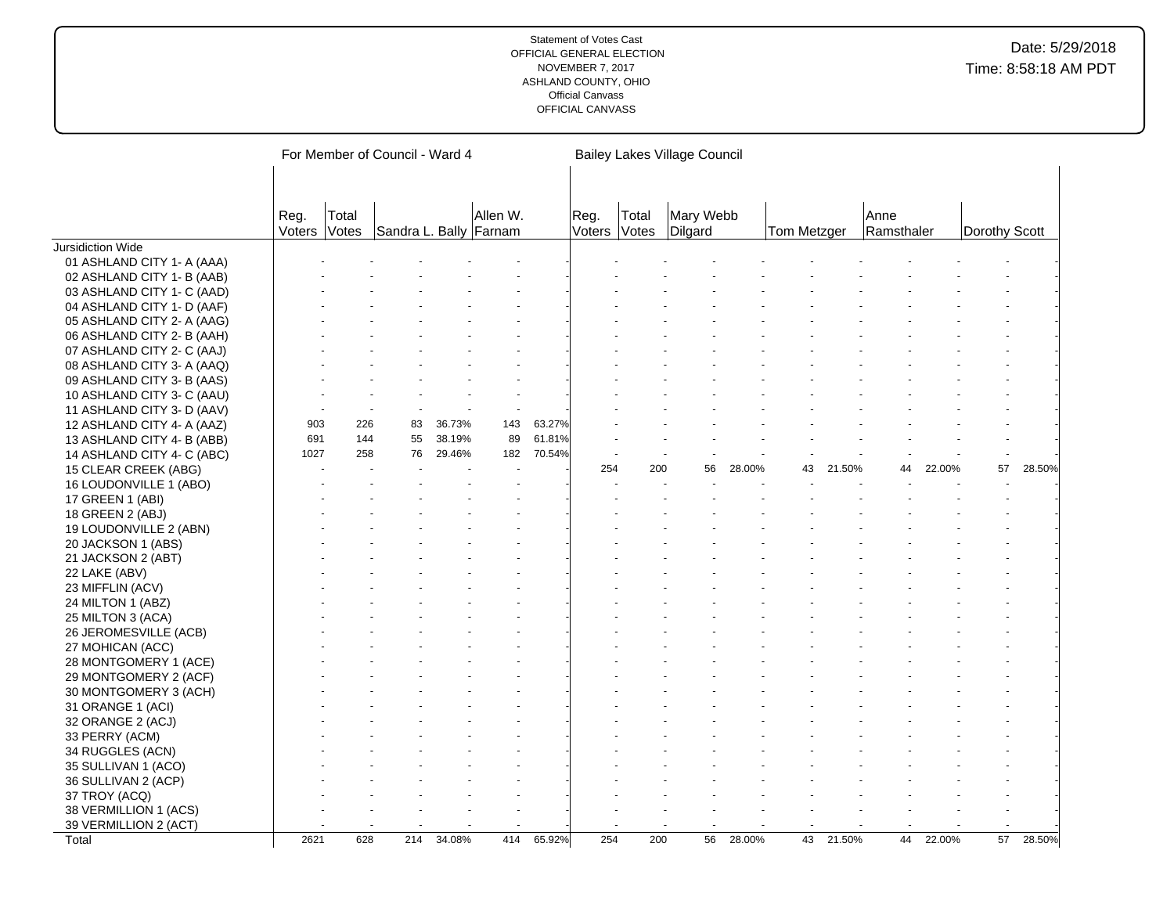|                            |                |                | For Member of Council - Ward 4 |        |          |        |                |                | <b>Bailey Lakes Village Council</b> |        |             |        |                    |        |               |        |
|----------------------------|----------------|----------------|--------------------------------|--------|----------|--------|----------------|----------------|-------------------------------------|--------|-------------|--------|--------------------|--------|---------------|--------|
|                            | Reg.<br>Voters | Total<br>Votes | Sandra L. Bally Farnam         |        | Allen W. |        | Reg.<br>Voters | Total<br>Votes | Mary Webb<br>Dilgard                |        | Tom Metzger |        | Anne<br>Ramsthaler |        | Dorothy Scott |        |
| Jursidiction Wide          |                |                |                                |        |          |        |                |                |                                     |        |             |        |                    |        |               |        |
| 01 ASHLAND CITY 1- A (AAA) |                |                |                                |        |          |        |                |                |                                     |        |             |        |                    |        |               |        |
| 02 ASHLAND CITY 1- B (AAB) |                |                |                                |        |          |        |                |                |                                     |        |             |        |                    |        |               |        |
| 03 ASHLAND CITY 1- C (AAD) |                |                |                                |        |          |        |                |                |                                     |        |             |        |                    |        |               |        |
| 04 ASHLAND CITY 1- D (AAF) |                |                |                                |        |          |        |                |                |                                     |        |             |        |                    |        |               |        |
| 05 ASHLAND CITY 2- A (AAG) |                |                |                                |        |          |        |                |                |                                     |        |             |        |                    |        |               |        |
| 06 ASHLAND CITY 2- B (AAH) |                |                |                                |        |          |        |                |                |                                     |        |             |        |                    |        |               |        |
| 07 ASHLAND CITY 2- C (AAJ) |                |                |                                |        |          |        |                |                |                                     |        |             |        |                    |        |               |        |
| 08 ASHLAND CITY 3- A (AAQ) |                |                |                                |        |          |        |                |                |                                     |        |             |        |                    |        |               |        |
| 09 ASHLAND CITY 3- B (AAS) |                |                |                                |        |          |        |                |                |                                     |        |             |        |                    |        |               |        |
| 10 ASHLAND CITY 3- C (AAU) |                |                |                                |        |          |        |                |                |                                     |        |             |        |                    |        |               |        |
| 11 ASHLAND CITY 3- D (AAV) |                |                |                                |        |          |        |                |                |                                     |        |             |        |                    |        |               |        |
| 12 ASHLAND CITY 4- A (AAZ) | 903            | 226            | 83                             | 36.73% | 143      | 63.27% |                |                |                                     |        |             |        |                    |        |               |        |
| 13 ASHLAND CITY 4- B (ABB) | 691            | 144            | 55                             | 38.19% | 89       | 61.81% |                |                |                                     |        |             |        |                    |        |               |        |
| 14 ASHLAND CITY 4- C (ABC) | 1027           | 258            | 76                             | 29.46% | 182      | 70.54% |                |                |                                     |        |             |        |                    |        |               |        |
| 15 CLEAR CREEK (ABG)       |                |                |                                |        |          |        | 254            | 200            | 56                                  | 28.00% | 43          | 21.50% | 44                 | 22.00% | 57            | 28.50% |
| 16 LOUDONVILLE 1 (ABO)     |                |                |                                |        |          |        |                |                |                                     |        |             |        |                    |        |               |        |
| 17 GREEN 1 (ABI)           |                |                |                                |        |          |        |                |                |                                     |        |             |        |                    |        |               |        |
| 18 GREEN 2 (ABJ)           |                |                |                                |        |          |        |                |                |                                     |        |             |        |                    |        |               |        |
| 19 LOUDONVILLE 2 (ABN)     |                |                |                                |        |          |        |                |                |                                     |        |             |        |                    |        |               |        |
| 20 JACKSON 1 (ABS)         |                |                |                                |        |          |        |                |                |                                     |        |             |        |                    |        |               |        |
| 21 JACKSON 2 (ABT)         |                |                |                                |        |          |        |                |                |                                     |        |             |        |                    |        |               |        |
| 22 LAKE (ABV)              |                |                |                                |        |          |        |                |                |                                     |        |             |        |                    |        |               |        |
| 23 MIFFLIN (ACV)           |                |                |                                |        |          |        |                |                |                                     |        |             |        |                    |        |               |        |
|                            |                |                |                                |        |          |        |                |                |                                     |        |             |        |                    |        |               |        |
| 24 MILTON 1 (ABZ)          |                |                |                                |        |          |        |                |                |                                     |        |             |        |                    |        |               |        |
| 25 MILTON 3 (ACA)          |                |                |                                |        |          |        |                |                |                                     |        |             |        |                    |        |               |        |
| 26 JEROMESVILLE (ACB)      |                |                |                                |        |          |        |                |                |                                     |        |             |        |                    |        |               |        |
| 27 MOHICAN (ACC)           |                |                |                                |        |          |        |                |                |                                     |        |             |        |                    |        |               |        |
| 28 MONTGOMERY 1 (ACE)      |                |                |                                |        |          |        |                |                |                                     |        |             |        |                    |        |               |        |
| 29 MONTGOMERY 2 (ACF)      |                |                |                                |        |          |        |                |                |                                     |        |             |        |                    |        |               |        |
| 30 MONTGOMERY 3 (ACH)      |                |                |                                |        |          |        |                |                |                                     |        |             |        |                    |        |               |        |
| 31 ORANGE 1 (ACI)          |                |                |                                |        |          |        |                |                |                                     |        |             |        |                    |        |               |        |
| 32 ORANGE 2 (ACJ)          |                |                |                                |        |          |        |                |                |                                     |        |             |        |                    |        |               |        |
| 33 PERRY (ACM)             |                |                |                                |        |          |        |                |                |                                     |        |             |        |                    |        |               |        |
| 34 RUGGLES (ACN)           |                |                |                                |        |          |        |                |                |                                     |        |             |        |                    |        |               |        |
| 35 SULLIVAN 1 (ACO)        |                |                |                                |        |          |        |                |                |                                     |        |             |        |                    |        |               |        |
| 36 SULLIVAN 2 (ACP)        |                |                |                                |        |          |        |                |                |                                     |        |             |        |                    |        |               |        |
| 37 TROY (ACQ)              |                |                |                                |        |          |        |                |                |                                     |        |             |        |                    |        |               |        |
| 38 VERMILLION 1 (ACS)      |                |                |                                |        |          |        |                |                |                                     |        |             |        |                    |        |               |        |
| 39 VERMILLION 2 (ACT)      |                |                |                                |        |          |        |                |                |                                     |        |             |        |                    |        |               |        |
| Total                      | 2621           | 628            | 214                            | 34.08% | 414      | 65.92% | 254            | 200            | 56                                  | 28.00% | 43          | 21.50% | 44                 | 22.00% | 57            | 28.50% |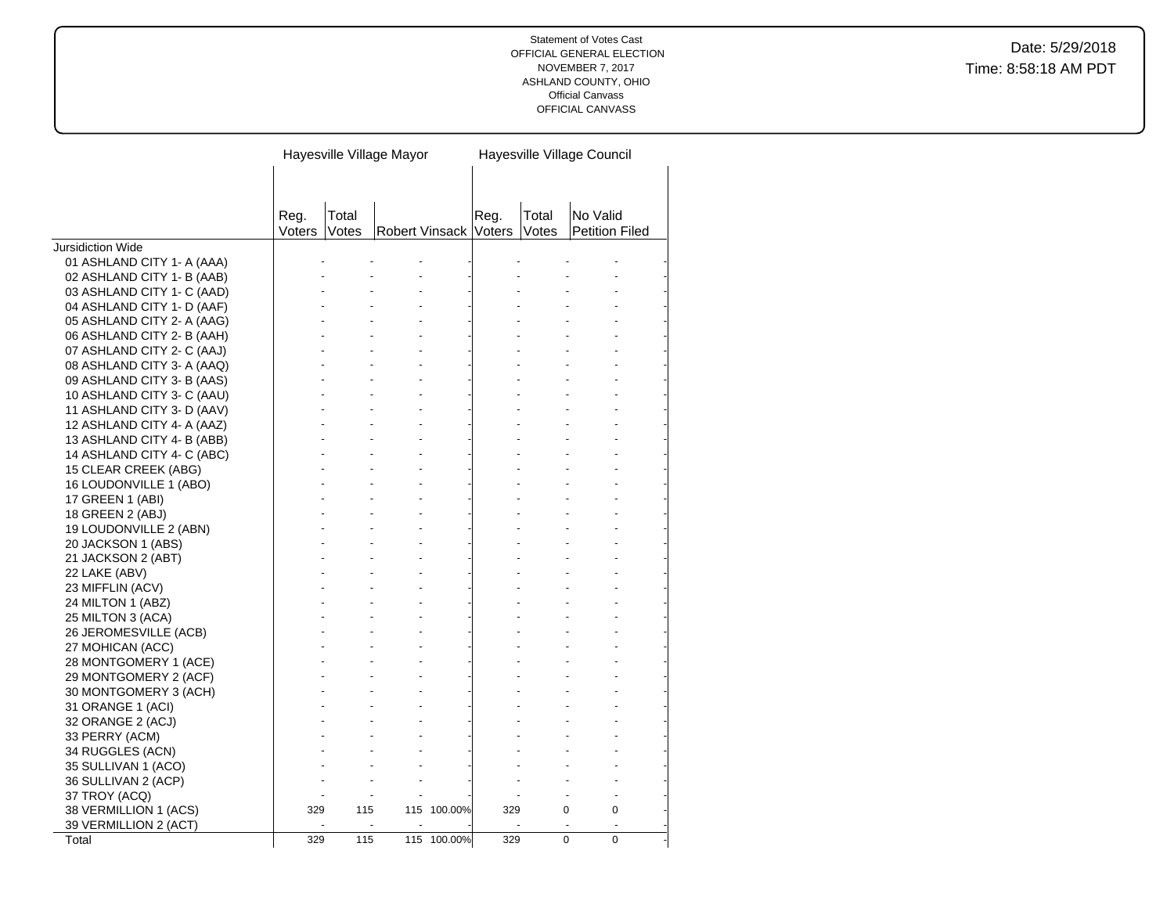|                            |                |                | Hayesville Village Mayor |             |      |                | Hayesville Village Council        |  |
|----------------------------|----------------|----------------|--------------------------|-------------|------|----------------|-----------------------------------|--|
|                            |                |                |                          |             |      |                |                                   |  |
|                            |                |                |                          |             |      |                |                                   |  |
|                            |                |                |                          |             |      |                |                                   |  |
|                            | Reg.<br>Voters | Total<br>Votes | Robert Vinsack Voters    |             | Reg. | Total<br>Votes | No Valid<br><b>Petition Filed</b> |  |
| Jursidiction Wide          |                |                |                          |             |      |                |                                   |  |
| 01 ASHLAND CITY 1- A (AAA) |                |                |                          |             |      |                |                                   |  |
| 02 ASHLAND CITY 1- B (AAB) |                |                |                          |             |      |                |                                   |  |
| 03 ASHLAND CITY 1- C (AAD) |                |                |                          |             |      |                |                                   |  |
| 04 ASHLAND CITY 1- D (AAF) |                |                |                          |             |      |                |                                   |  |
| 05 ASHLAND CITY 2- A (AAG) |                |                |                          |             |      |                |                                   |  |
| 06 ASHLAND CITY 2- B (AAH) |                |                |                          |             |      |                |                                   |  |
| 07 ASHLAND CITY 2- C (AAJ) |                |                |                          |             |      |                |                                   |  |
| 08 ASHLAND CITY 3- A (AAQ) |                |                |                          |             |      |                |                                   |  |
| 09 ASHLAND CITY 3- B (AAS) |                |                |                          |             |      |                |                                   |  |
| 10 ASHLAND CITY 3- C (AAU) |                |                |                          |             |      |                |                                   |  |
| 11 ASHLAND CITY 3- D (AAV) |                |                |                          |             |      |                |                                   |  |
| 12 ASHLAND CITY 4- A (AAZ) |                |                |                          |             |      |                |                                   |  |
| 13 ASHLAND CITY 4- B (ABB) |                |                |                          |             |      |                |                                   |  |
| 14 ASHLAND CITY 4- C (ABC) |                |                |                          |             |      |                |                                   |  |
| 15 CLEAR CREEK (ABG)       |                |                |                          |             |      |                |                                   |  |
| 16 LOUDONVILLE 1 (ABO)     |                |                |                          |             |      |                |                                   |  |
| 17 GREEN 1 (ABI)           |                |                |                          |             |      |                |                                   |  |
| 18 GREEN 2 (ABJ)           |                |                |                          |             |      |                |                                   |  |
| 19 LOUDONVILLE 2 (ABN)     |                |                |                          |             |      |                |                                   |  |
| 20 JACKSON 1 (ABS)         |                |                |                          |             |      |                |                                   |  |
| 21 JACKSON 2 (ABT)         |                |                |                          |             |      |                |                                   |  |
| 22 LAKE (ABV)              |                |                |                          |             |      |                |                                   |  |
| 23 MIFFLIN (ACV)           |                |                |                          |             |      |                |                                   |  |
| 24 MILTON 1 (ABZ)          |                |                |                          |             |      |                |                                   |  |
| 25 MILTON 3 (ACA)          |                |                |                          |             |      |                |                                   |  |
| 26 JEROMESVILLE (ACB)      |                |                |                          |             |      |                |                                   |  |
| 27 MOHICAN (ACC)           |                |                |                          |             |      |                |                                   |  |
| 28 MONTGOMERY 1 (ACE)      |                |                |                          |             |      |                |                                   |  |
| 29 MONTGOMERY 2 (ACF)      |                |                |                          |             |      |                |                                   |  |
| 30 MONTGOMERY 3 (ACH)      |                |                |                          |             |      |                |                                   |  |
| 31 ORANGE 1 (ACI)          |                |                |                          |             |      |                |                                   |  |
| 32 ORANGE 2 (ACJ)          |                |                |                          |             |      |                |                                   |  |
| 33 PERRY (ACM)             |                |                |                          |             |      |                |                                   |  |
| 34 RUGGLES (ACN)           |                |                |                          |             |      |                |                                   |  |
| 35 SULLIVAN 1 (ACO)        |                |                |                          |             |      |                |                                   |  |
| 36 SULLIVAN 2 (ACP)        |                |                |                          |             |      |                |                                   |  |
| 37 TROY (ACQ)              |                |                |                          |             |      |                |                                   |  |
| 38 VERMILLION 1 (ACS)      | 329            | 115            |                          | 115 100.00% | 329  |                | $\Omega$<br>0                     |  |
| 39 VERMILLION 2 (ACT)      |                |                |                          |             |      |                |                                   |  |
| Total                      | 329            | 115            |                          | 115 100.00% | 329  |                | $\Omega$<br>$\Omega$              |  |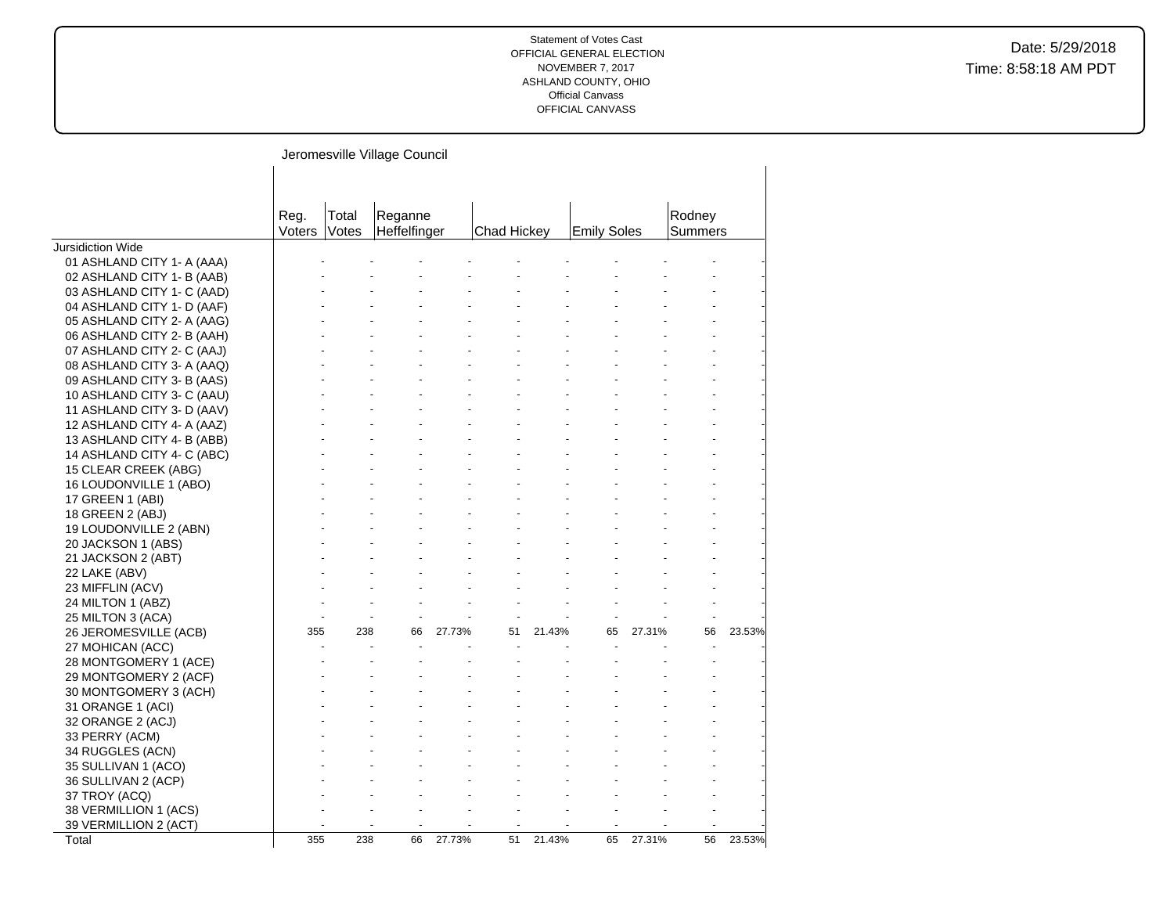|                            | Jeromesville Village Council |       |              |        |             |        |                    |        |         |        |
|----------------------------|------------------------------|-------|--------------|--------|-------------|--------|--------------------|--------|---------|--------|
|                            |                              |       |              |        |             |        |                    |        |         |        |
|                            | Reg.                         | Total | Reganne      |        |             |        |                    |        | Rodney  |        |
|                            | <b>Voters</b>                | Votes | Heffelfinger |        | Chad Hickey |        | <b>Emily Soles</b> |        | Summers |        |
| Jursidiction Wide          |                              |       |              |        |             |        |                    |        |         |        |
| 01 ASHLAND CITY 1- A (AAA) |                              |       |              |        |             |        |                    |        |         |        |
| 02 ASHLAND CITY 1- B (AAB) |                              |       |              |        |             |        |                    |        |         |        |
| 03 ASHLAND CITY 1- C (AAD) |                              |       |              |        |             |        |                    |        |         |        |
| 04 ASHLAND CITY 1- D (AAF) |                              |       |              |        |             |        |                    |        |         |        |
| 05 ASHLAND CITY 2- A (AAG) |                              |       |              |        |             |        |                    |        |         |        |
| 06 ASHLAND CITY 2- B (AAH) |                              |       |              |        |             |        |                    |        |         |        |
| 07 ASHLAND CITY 2- C (AAJ) |                              |       |              |        |             |        |                    |        |         |        |
| 08 ASHLAND CITY 3- A (AAQ) |                              |       |              |        |             |        |                    |        |         |        |
| 09 ASHLAND CITY 3- B (AAS) |                              |       |              |        |             |        |                    |        |         |        |
| 10 ASHLAND CITY 3- C (AAU) |                              |       |              |        |             |        |                    |        |         |        |
| 11 ASHLAND CITY 3- D (AAV) |                              |       |              |        |             |        |                    |        |         |        |
| 12 ASHLAND CITY 4- A (AAZ) |                              |       |              |        |             |        |                    |        |         |        |
| 13 ASHLAND CITY 4- B (ABB) |                              |       |              |        |             |        |                    |        |         |        |
| 14 ASHLAND CITY 4- C (ABC) |                              |       |              |        |             |        |                    |        |         |        |
| 15 CLEAR CREEK (ABG)       |                              |       |              |        |             |        |                    |        |         |        |
| 16 LOUDONVILLE 1 (ABO)     |                              |       |              |        |             |        |                    |        |         |        |
| 17 GREEN 1 (ABI)           |                              |       |              |        |             |        |                    |        |         |        |
| 18 GREEN 2 (ABJ)           |                              |       |              |        |             |        |                    |        |         |        |
| 19 LOUDONVILLE 2 (ABN)     |                              |       |              |        |             |        |                    |        |         |        |
| 20 JACKSON 1 (ABS)         |                              |       |              |        |             |        |                    |        |         |        |
| 21 JACKSON 2 (ABT)         |                              |       |              |        |             |        |                    |        |         |        |
| 22 LAKE (ABV)              |                              |       |              |        |             |        |                    |        |         |        |
| 23 MIFFLIN (ACV)           |                              |       |              |        |             |        |                    |        |         |        |
| 24 MILTON 1 (ABZ)          |                              |       |              |        |             |        |                    |        |         |        |
| 25 MILTON 3 (ACA)          |                              |       |              |        |             |        |                    |        |         |        |
| 26 JEROMESVILLE (ACB)      | 355                          | 238   | 66           | 27.73% | 51          | 21.43% | 65                 | 27.31% | 56      | 23.53% |
| 27 MOHICAN (ACC)           |                              |       |              |        |             |        |                    |        |         |        |
| 28 MONTGOMERY 1 (ACE)      |                              |       |              |        |             |        |                    |        |         |        |
| 29 MONTGOMERY 2 (ACF)      |                              |       |              |        |             |        |                    |        |         |        |
| 30 MONTGOMERY 3 (ACH)      |                              |       |              |        |             |        |                    |        |         |        |
| 31 ORANGE 1 (ACI)          |                              |       |              |        |             |        |                    |        |         |        |
| 32 ORANGE 2 (ACJ)          |                              |       |              |        |             |        |                    |        |         |        |
| 33 PERRY (ACM)             |                              |       |              |        |             |        |                    |        |         |        |
| 34 RUGGLES (ACN)           |                              |       |              |        |             |        |                    |        |         |        |
| 35 SULLIVAN 1 (ACO)        |                              |       |              |        |             |        |                    |        |         |        |
| 36 SULLIVAN 2 (ACP)        |                              |       |              |        |             |        |                    |        |         |        |
| 37 TROY (ACQ)              |                              |       |              |        |             |        |                    |        |         |        |
| 38 VERMILLION 1 (ACS)      |                              |       |              |        |             |        |                    |        |         |        |
| 39 VERMILLION 2 (ACT)      |                              |       |              |        |             |        |                    |        |         |        |
| Total                      | 355                          | 238   | 66           | 27.73% | 51          | 21.43% | 65                 | 27.31% | 56      | 23.53% |
|                            |                              |       |              |        |             |        |                    |        |         |        |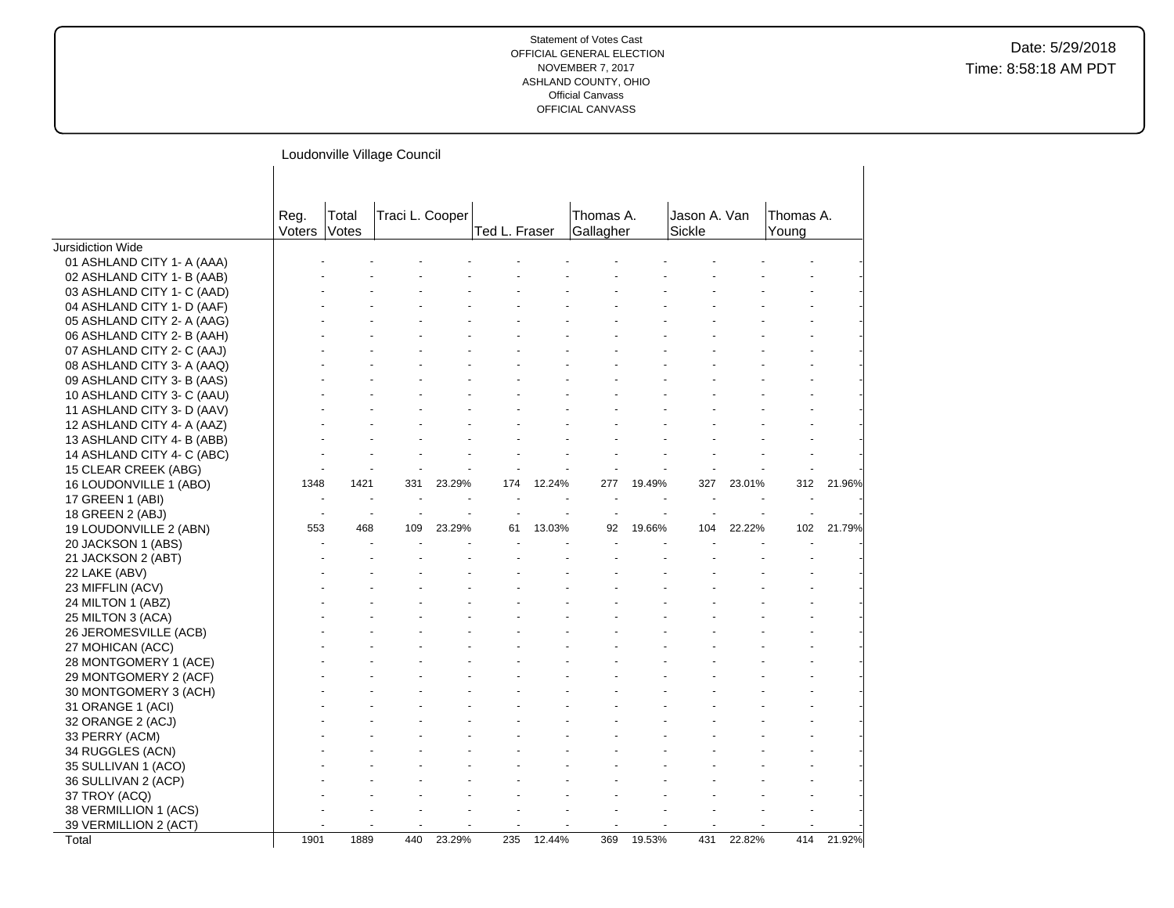|                            |                      |        | Loudonville Village Council |        |               |        |                        |        |                        |        |                    |        |
|----------------------------|----------------------|--------|-----------------------------|--------|---------------|--------|------------------------|--------|------------------------|--------|--------------------|--------|
|                            | Reg.<br>Voters Votes | Total  | Traci L. Cooper             |        | Ted L. Fraser |        | Thomas A.<br>Gallagher |        | Jason A. Van<br>Sickle |        | Thomas A.<br>Young |        |
| Jursidiction Wide          |                      |        |                             |        |               |        |                        |        |                        |        |                    |        |
| 01 ASHLAND CITY 1- A (AAA) |                      |        |                             |        |               |        |                        |        |                        |        |                    |        |
| 02 ASHLAND CITY 1- B (AAB) |                      |        |                             |        |               |        |                        |        |                        |        |                    |        |
| 03 ASHLAND CITY 1- C (AAD) |                      |        |                             |        |               |        |                        |        |                        |        |                    |        |
| 04 ASHLAND CITY 1- D (AAF) |                      |        |                             |        |               |        |                        |        |                        |        |                    |        |
| 05 ASHLAND CITY 2- A (AAG) |                      |        |                             |        |               |        |                        |        |                        |        |                    |        |
| 06 ASHLAND CITY 2- B (AAH) |                      |        |                             |        |               |        |                        |        |                        |        |                    |        |
| 07 ASHLAND CITY 2- C (AAJ) |                      |        |                             |        |               |        |                        |        |                        |        |                    |        |
| 08 ASHLAND CITY 3- A (AAQ) |                      |        |                             |        |               |        |                        |        |                        |        |                    |        |
| 09 ASHLAND CITY 3- B (AAS) |                      |        |                             |        |               |        |                        |        |                        |        |                    |        |
| 10 ASHLAND CITY 3- C (AAU) |                      |        |                             |        |               |        |                        |        |                        |        |                    |        |
| 11 ASHLAND CITY 3- D (AAV) |                      |        |                             |        |               |        |                        |        |                        |        |                    |        |
| 12 ASHLAND CITY 4- A (AAZ) |                      |        |                             |        |               |        |                        |        |                        |        |                    |        |
| 13 ASHLAND CITY 4- B (ABB) |                      |        |                             |        |               |        |                        |        |                        |        |                    |        |
| 14 ASHLAND CITY 4- C (ABC) |                      |        |                             |        |               |        |                        |        |                        |        |                    |        |
| 15 CLEAR CREEK (ABG)       |                      |        |                             |        |               |        |                        |        |                        |        |                    |        |
| 16 LOUDONVILLE 1 (ABO)     | 1348                 | 1421   | 331                         | 23.29% | 174           | 12.24% | 277                    | 19.49% | 327                    | 23.01% | 312                | 21.96% |
| 17 GREEN 1 (ABI)           |                      |        |                             |        |               |        |                        |        |                        |        |                    |        |
| 18 GREEN 2 (ABJ)           |                      | $\sim$ |                             |        |               |        |                        |        |                        |        |                    |        |
| 19 LOUDONVILLE 2 (ABN)     | 553                  | 468    | 109                         | 23.29% | 61            | 13.03% | 92                     | 19.66% | 104                    | 22.22% | 102                | 21.79% |
| 20 JACKSON 1 (ABS)         |                      |        |                             |        |               |        |                        |        |                        |        |                    |        |
| 21 JACKSON 2 (ABT)         |                      |        |                             |        |               |        |                        |        |                        |        |                    |        |
| 22 LAKE (ABV)              |                      |        |                             |        |               |        |                        |        |                        |        |                    |        |
| 23 MIFFLIN (ACV)           |                      |        |                             |        |               |        |                        |        |                        |        |                    |        |
| 24 MILTON 1 (ABZ)          |                      |        |                             |        |               |        |                        |        |                        |        |                    |        |
| 25 MILTON 3 (ACA)          |                      |        |                             |        |               |        |                        |        |                        |        |                    |        |
| 26 JEROMESVILLE (ACB)      |                      |        |                             |        |               |        |                        |        |                        |        |                    |        |
| 27 MOHICAN (ACC)           |                      |        |                             |        |               |        |                        |        |                        |        |                    |        |
| 28 MONTGOMERY 1 (ACE)      |                      |        |                             |        |               |        |                        |        |                        |        |                    |        |
| 29 MONTGOMERY 2 (ACF)      |                      |        |                             |        |               |        |                        |        |                        |        |                    |        |
| 30 MONTGOMERY 3 (ACH)      |                      |        |                             |        |               |        |                        |        |                        |        |                    |        |
| 31 ORANGE 1 (ACI)          |                      |        |                             |        |               |        |                        |        |                        |        |                    |        |
| 32 ORANGE 2 (ACJ)          |                      |        |                             |        |               |        |                        |        |                        |        |                    |        |
| 33 PERRY (ACM)             |                      |        |                             |        |               |        |                        |        |                        |        |                    |        |
| 34 RUGGLES (ACN)           |                      |        |                             |        |               |        |                        |        |                        |        |                    |        |
| 35 SULLIVAN 1 (ACO)        |                      |        |                             |        |               |        |                        |        |                        |        |                    |        |
| 36 SULLIVAN 2 (ACP)        |                      |        |                             |        |               |        |                        |        |                        |        |                    |        |
| 37 TROY (ACQ)              |                      |        |                             |        |               |        |                        |        |                        |        |                    |        |
| 38 VERMILLION 1 (ACS)      |                      |        |                             |        |               |        |                        |        |                        |        |                    |        |
| 39 VERMILLION 2 (ACT)      |                      |        |                             |        |               |        |                        |        |                        |        |                    |        |
| Total                      | 1901                 | 1889   | 440                         | 23.29% | 235           | 12.44% | 369                    | 19.53% | 431                    | 22.82% | 414                | 21.92% |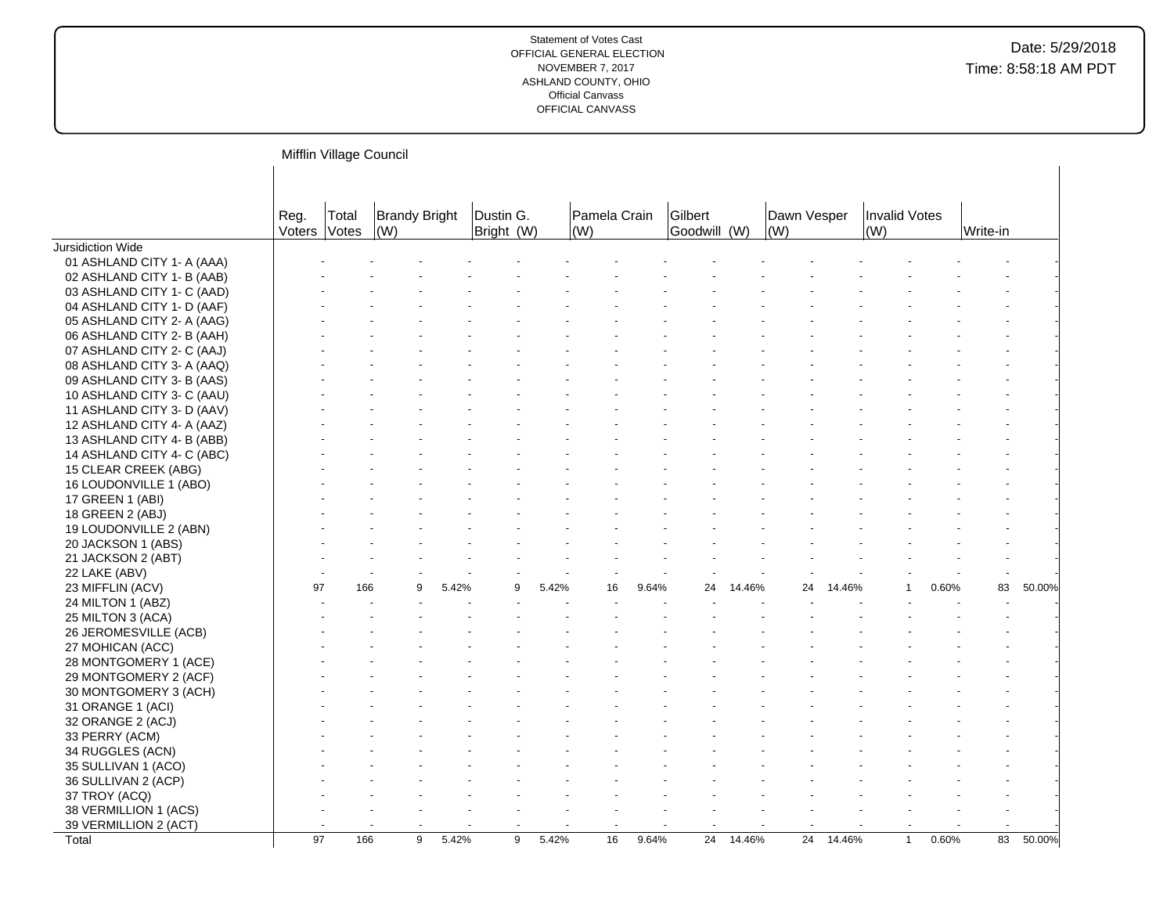|                            |                      | Mifflin Village Council |                                     |       |                         |       |                     |       |                         |        |                    |        |                      |       |          |        |
|----------------------------|----------------------|-------------------------|-------------------------------------|-------|-------------------------|-------|---------------------|-------|-------------------------|--------|--------------------|--------|----------------------|-------|----------|--------|
|                            | Reg.<br>Voters Votes | Total                   | <b>Brandy Bright</b><br>$\vert$ (W) |       | Dustin G.<br>Bright (W) |       | Pamela Crain<br>(W) |       | Gilbert<br>Goodwill (W) |        | Dawn Vesper<br>(W) |        | Invalid Votes<br>(W) |       | Write-in |        |
| Jursidiction Wide          |                      |                         |                                     |       |                         |       |                     |       |                         |        |                    |        |                      |       |          |        |
| 01 ASHLAND CITY 1- A (AAA) |                      |                         |                                     |       |                         |       |                     |       |                         |        |                    |        |                      |       |          |        |
| 02 ASHLAND CITY 1- B (AAB) |                      |                         |                                     |       |                         |       |                     |       |                         |        |                    |        |                      |       |          |        |
| 03 ASHLAND CITY 1- C (AAD) |                      |                         |                                     |       |                         |       |                     |       |                         |        |                    |        |                      |       |          |        |
| 04 ASHLAND CITY 1- D (AAF) |                      |                         |                                     |       |                         |       |                     |       |                         |        |                    |        |                      |       |          |        |
| 05 ASHLAND CITY 2- A (AAG) |                      |                         |                                     |       |                         |       |                     |       |                         |        |                    |        |                      |       |          |        |
| 06 ASHLAND CITY 2- B (AAH) |                      |                         |                                     |       |                         |       |                     |       |                         |        |                    |        |                      |       |          |        |
| 07 ASHLAND CITY 2- C (AAJ) |                      |                         |                                     |       |                         |       |                     |       |                         |        |                    |        |                      |       |          |        |
| 08 ASHLAND CITY 3- A (AAQ) |                      |                         |                                     |       |                         |       |                     |       |                         |        |                    |        |                      |       |          |        |
| 09 ASHLAND CITY 3- B (AAS) |                      |                         |                                     |       |                         |       |                     |       |                         |        |                    |        |                      |       |          |        |
| 10 ASHLAND CITY 3- C (AAU) |                      |                         |                                     |       |                         |       |                     |       |                         |        |                    |        |                      |       |          |        |
| 11 ASHLAND CITY 3- D (AAV) |                      |                         |                                     |       |                         |       |                     |       |                         |        |                    |        |                      |       |          |        |
| 12 ASHLAND CITY 4- A (AAZ) |                      |                         |                                     |       |                         |       |                     |       |                         |        |                    |        |                      |       |          |        |
| 13 ASHLAND CITY 4- B (ABB) |                      |                         |                                     |       |                         |       |                     |       |                         |        |                    |        |                      |       |          |        |
| 14 ASHLAND CITY 4- C (ABC) |                      |                         |                                     |       |                         |       |                     |       |                         |        |                    |        |                      |       |          |        |
| 15 CLEAR CREEK (ABG)       |                      |                         |                                     |       |                         |       |                     |       |                         |        |                    |        |                      |       |          |        |
| 16 LOUDONVILLE 1 (ABO)     |                      |                         |                                     |       |                         |       |                     |       |                         |        |                    |        |                      |       |          |        |
| 17 GREEN 1 (ABI)           |                      |                         |                                     |       |                         |       |                     |       |                         |        |                    |        |                      |       |          |        |
| 18 GREEN 2 (ABJ)           |                      |                         |                                     |       |                         |       |                     |       |                         |        |                    |        |                      |       |          |        |
| 19 LOUDONVILLE 2 (ABN)     |                      |                         |                                     |       |                         |       |                     |       |                         |        |                    |        |                      |       |          |        |
| 20 JACKSON 1 (ABS)         |                      |                         |                                     |       |                         |       |                     |       |                         |        |                    |        |                      |       |          |        |
| 21 JACKSON 2 (ABT)         |                      |                         |                                     |       |                         |       |                     |       |                         |        |                    |        |                      |       |          |        |
| 22 LAKE (ABV)              |                      |                         |                                     |       |                         |       |                     |       |                         |        |                    |        |                      |       |          |        |
| 23 MIFFLIN (ACV)           | 97                   | 166                     |                                     | 5.42% |                         | 5.42% | 16                  | 9.64% | 24                      | 14.46% | 24                 | 14.46% |                      | 0.60% | 83       | 50.00% |
| 24 MILTON 1 (ABZ)          |                      |                         |                                     |       |                         |       |                     |       |                         |        |                    |        |                      |       |          |        |
| 25 MILTON 3 (ACA)          |                      |                         |                                     |       |                         |       |                     |       |                         |        |                    |        |                      |       |          |        |
| 26 JEROMESVILLE (ACB)      |                      |                         |                                     |       |                         |       |                     |       |                         |        |                    |        |                      |       |          |        |
|                            |                      |                         |                                     |       |                         |       |                     |       |                         |        |                    |        |                      |       |          |        |
| 27 MOHICAN (ACC)           |                      |                         |                                     |       |                         |       |                     |       |                         |        |                    |        |                      |       |          |        |
| 28 MONTGOMERY 1 (ACE)      |                      |                         |                                     |       |                         |       |                     |       |                         |        |                    |        |                      |       |          |        |
| 29 MONTGOMERY 2 (ACF)      |                      |                         |                                     |       |                         |       |                     |       |                         |        |                    |        |                      |       |          |        |
| 30 MONTGOMERY 3 (ACH)      |                      |                         |                                     |       |                         |       |                     |       |                         |        |                    |        |                      |       |          |        |
| 31 ORANGE 1 (ACI)          |                      |                         |                                     |       |                         |       |                     |       |                         |        |                    |        |                      |       |          |        |
| 32 ORANGE 2 (ACJ)          |                      |                         |                                     |       |                         |       |                     |       |                         |        |                    |        |                      |       |          |        |
| 33 PERRY (ACM)             |                      |                         |                                     |       |                         |       |                     |       |                         |        |                    |        |                      |       |          |        |
| 34 RUGGLES (ACN)           |                      |                         |                                     |       |                         |       |                     |       |                         |        |                    |        |                      |       |          |        |
| 35 SULLIVAN 1 (ACO)        |                      |                         |                                     |       |                         |       |                     |       |                         |        |                    |        |                      |       |          |        |
| 36 SULLIVAN 2 (ACP)        |                      |                         |                                     |       |                         |       |                     |       |                         |        |                    |        |                      |       |          |        |
| 37 TROY (ACQ)              |                      |                         |                                     |       |                         |       |                     |       |                         |        |                    |        |                      |       |          |        |
| 38 VERMILLION 1 (ACS)      |                      |                         |                                     |       |                         |       |                     |       |                         |        |                    |        |                      |       |          |        |
| 39 VERMILLION 2 (ACT)      |                      |                         |                                     |       |                         |       |                     |       |                         |        |                    |        |                      |       |          |        |
| Total                      | $\overline{97}$      | 166                     | 9                                   | 5.42% | 9                       | 5.42% | 16                  | 9.64% | 24                      | 14.46% | $\overline{24}$    | 14.46% | $\mathbf{1}$         | 0.60% | 83       | 50.00% |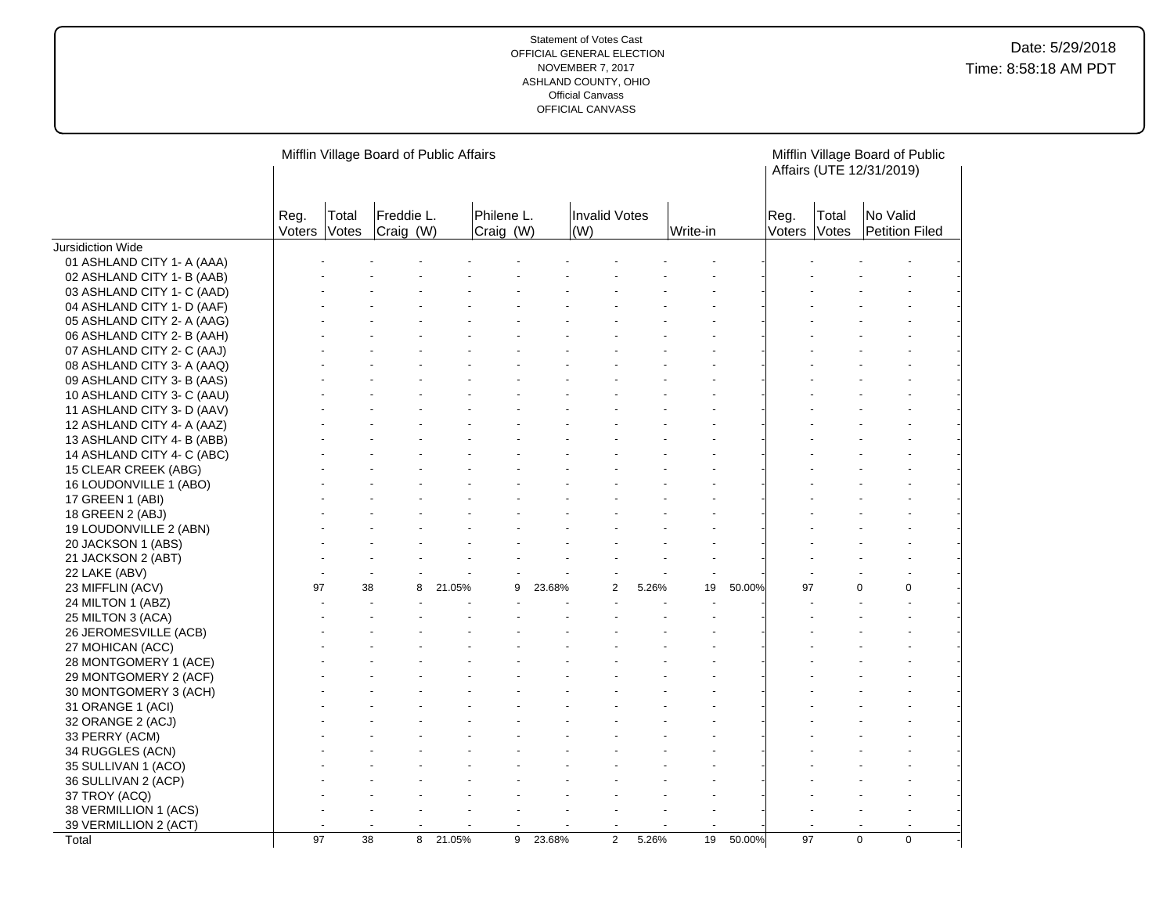|                                           |                |                | Mifflin Village Board of Public Affairs |        |                         |        |                      |       |          |        |                |                       | Mifflin Village Board of Public<br>Affairs (UTE 12/31/2019) |             |
|-------------------------------------------|----------------|----------------|-----------------------------------------|--------|-------------------------|--------|----------------------|-------|----------|--------|----------------|-----------------------|-------------------------------------------------------------|-------------|
|                                           | Reg.<br>Voters | Total<br>Votes | Freddie L.<br>Craig (W)                 |        | Philene L.<br>Craig (W) |        | Invalid Votes<br>(W) |       | Write-in |        | Reg.<br>Voters | Total<br><b>Votes</b> | No Valid<br>Petition Filed                                  |             |
| Jursidiction Wide                         |                |                |                                         |        |                         |        |                      |       |          |        |                |                       |                                                             |             |
| 01 ASHLAND CITY 1- A (AAA)                |                |                |                                         |        |                         |        |                      |       |          |        |                |                       |                                                             |             |
| 02 ASHLAND CITY 1- B (AAB)                |                |                |                                         |        |                         |        |                      |       |          |        |                |                       |                                                             |             |
| 03 ASHLAND CITY 1- C (AAD)                |                |                |                                         |        |                         |        |                      |       |          |        |                |                       |                                                             |             |
| 04 ASHLAND CITY 1- D (AAF)                |                |                |                                         |        |                         |        |                      |       |          |        |                |                       |                                                             |             |
| 05 ASHLAND CITY 2- A (AAG)                |                |                |                                         |        |                         |        |                      |       |          |        |                |                       |                                                             |             |
| 06 ASHLAND CITY 2- B (AAH)                |                |                |                                         |        |                         |        |                      |       |          |        |                |                       |                                                             |             |
| 07 ASHLAND CITY 2- C (AAJ)                |                |                |                                         |        |                         |        |                      |       |          |        |                |                       |                                                             |             |
| 08 ASHLAND CITY 3- A (AAQ)                |                |                |                                         |        |                         |        |                      |       |          |        |                |                       |                                                             |             |
| 09 ASHLAND CITY 3- B (AAS)                |                |                |                                         |        |                         |        |                      |       |          |        |                |                       |                                                             |             |
| 10 ASHLAND CITY 3- C (AAU)                |                |                |                                         |        |                         |        |                      |       |          |        |                |                       |                                                             |             |
| 11 ASHLAND CITY 3- D (AAV)                |                |                |                                         |        |                         |        |                      |       |          |        |                |                       |                                                             |             |
| 12 ASHLAND CITY 4- A (AAZ)                |                |                |                                         |        |                         |        |                      |       |          |        |                |                       |                                                             |             |
| 13 ASHLAND CITY 4- B (ABB)                |                |                |                                         |        |                         |        |                      |       |          |        |                |                       |                                                             |             |
| 14 ASHLAND CITY 4- C (ABC)                |                |                |                                         |        |                         |        |                      |       |          |        |                |                       |                                                             |             |
| 15 CLEAR CREEK (ABG)                      |                |                |                                         |        |                         |        |                      |       |          |        |                |                       |                                                             |             |
| 16 LOUDONVILLE 1 (ABO)                    |                |                |                                         |        |                         |        |                      |       |          |        |                |                       |                                                             |             |
| 17 GREEN 1 (ABI)                          |                |                |                                         |        |                         |        |                      |       |          |        |                |                       |                                                             |             |
| 18 GREEN 2 (ABJ)                          |                |                |                                         |        |                         |        |                      |       |          |        |                |                       |                                                             |             |
| 19 LOUDONVILLE 2 (ABN)                    |                |                |                                         |        |                         |        |                      |       |          |        |                |                       |                                                             |             |
| 20 JACKSON 1 (ABS)                        |                |                |                                         |        |                         |        |                      |       |          |        |                |                       |                                                             |             |
| 21 JACKSON 2 (ABT)                        |                |                |                                         |        |                         |        |                      |       |          |        |                |                       |                                                             |             |
| 22 LAKE (ABV)                             | 97             |                | 38<br>8                                 | 21.05% | 9                       | 23.68% | $\overline{2}$       | 5.26% | 19       | 50.00% | 97             |                       | $\Omega$                                                    | $\Omega$    |
| 23 MIFFLIN (ACV)                          |                |                |                                         |        |                         |        |                      |       |          |        |                |                       |                                                             |             |
| 24 MILTON 1 (ABZ)                         |                |                |                                         |        |                         |        |                      |       |          |        |                |                       |                                                             |             |
| 25 MILTON 3 (ACA)                         |                |                |                                         |        |                         |        |                      |       |          |        |                |                       |                                                             |             |
| 26 JEROMESVILLE (ACB)                     |                |                |                                         |        |                         |        |                      |       |          |        |                |                       |                                                             |             |
| 27 MOHICAN (ACC)<br>28 MONTGOMERY 1 (ACE) |                |                |                                         |        |                         |        |                      |       |          |        |                |                       |                                                             |             |
| 29 MONTGOMERY 2 (ACF)                     |                |                |                                         |        |                         |        |                      |       |          |        |                |                       |                                                             |             |
| 30 MONTGOMERY 3 (ACH)                     |                |                |                                         |        |                         |        |                      |       |          |        |                |                       |                                                             |             |
| 31 ORANGE 1 (ACI)                         |                |                |                                         |        |                         |        |                      |       |          |        |                |                       |                                                             |             |
| 32 ORANGE 2 (ACJ)                         |                |                |                                         |        |                         |        |                      |       |          |        |                |                       |                                                             |             |
| 33 PERRY (ACM)                            |                |                |                                         |        |                         |        |                      |       |          |        |                |                       |                                                             |             |
| 34 RUGGLES (ACN)                          |                |                |                                         |        |                         |        |                      |       |          |        |                |                       |                                                             |             |
| 35 SULLIVAN 1 (ACO)                       |                |                |                                         |        |                         |        |                      |       |          |        |                |                       |                                                             |             |
| 36 SULLIVAN 2 (ACP)                       |                |                |                                         |        |                         |        |                      |       |          |        |                |                       |                                                             |             |
| 37 TROY (ACQ)                             |                |                |                                         |        |                         |        |                      |       |          |        |                |                       |                                                             |             |
| 38 VERMILLION 1 (ACS)                     |                |                |                                         |        |                         |        |                      |       |          |        |                |                       |                                                             |             |
| 39 VERMILLION 2 (ACT)                     |                |                |                                         |        |                         |        |                      |       |          |        |                |                       |                                                             |             |
| Total                                     | 97             |                | 38<br>8                                 | 21.05% | 9                       | 23.68% | $\overline{2}$       | 5.26% | 19       | 50.00% | 97             |                       | 0                                                           | $\mathbf 0$ |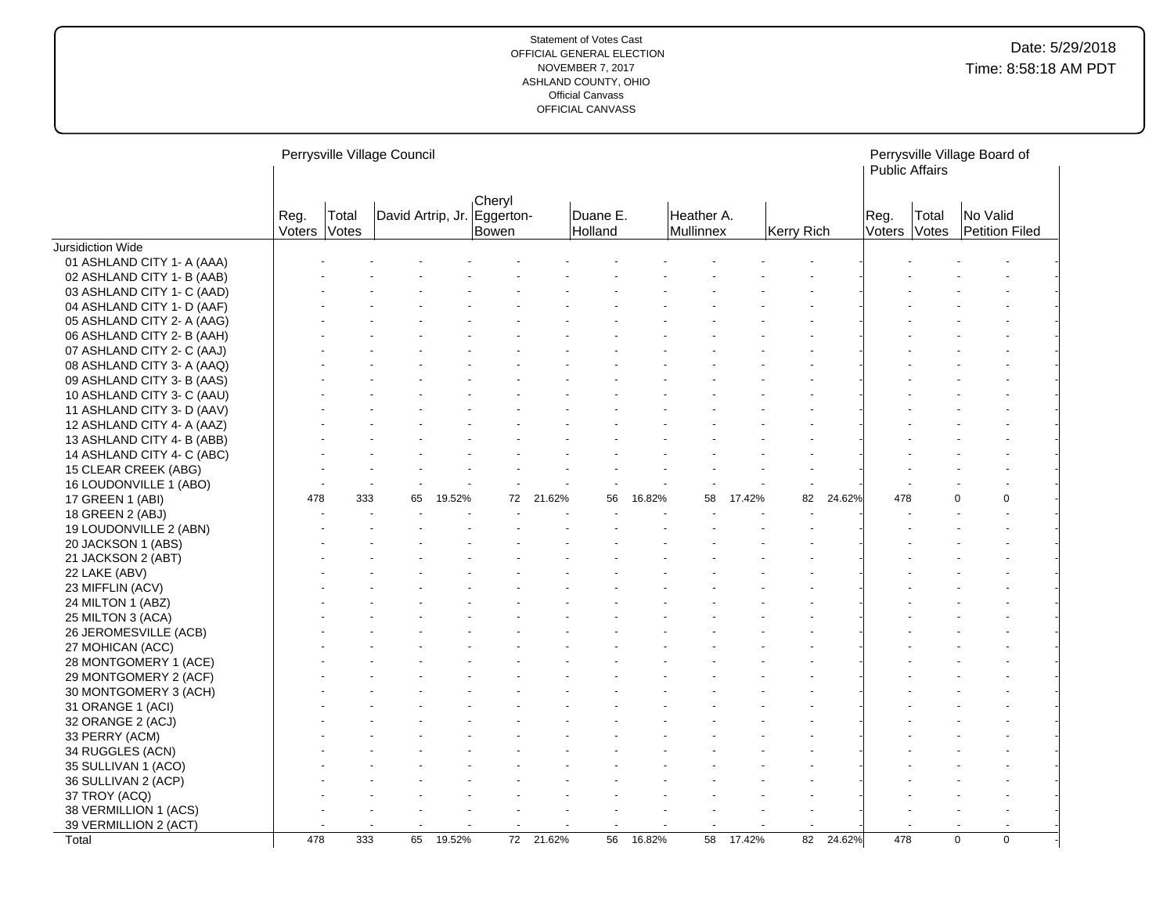|                            |                |                | Perrysville Village Council |        |                 |        |                     |        |                         |        |            |        | <b>Public Affairs</b> |                              | Perrysville Village Board of |  |
|----------------------------|----------------|----------------|-----------------------------|--------|-----------------|--------|---------------------|--------|-------------------------|--------|------------|--------|-----------------------|------------------------------|------------------------------|--|
|                            | Reg.<br>Voters | Total<br>Votes | David Artrip, Jr. Eggerton- |        | Cheryl<br>Bowen |        | Duane E.<br>Holland |        | Heather A.<br>Mullinnex |        | Kerry Rich |        | Reg.<br>Voters        | Total<br><i><b>Votes</b></i> | No Valid<br>Petition Filed   |  |
| Jursidiction Wide          |                |                |                             |        |                 |        |                     |        |                         |        |            |        |                       |                              |                              |  |
| 01 ASHLAND CITY 1- A (AAA) |                |                |                             |        |                 |        |                     |        |                         |        |            |        |                       |                              |                              |  |
| 02 ASHLAND CITY 1- B (AAB) |                |                |                             |        |                 |        |                     |        |                         |        |            |        |                       |                              |                              |  |
| 03 ASHLAND CITY 1- C (AAD) |                |                |                             |        |                 |        |                     |        |                         |        |            |        |                       |                              |                              |  |
| 04 ASHLAND CITY 1- D (AAF) |                |                |                             |        |                 |        |                     |        |                         |        |            |        |                       |                              |                              |  |
| 05 ASHLAND CITY 2- A (AAG) |                |                |                             |        |                 |        |                     |        |                         |        |            |        |                       |                              |                              |  |
| 06 ASHLAND CITY 2- B (AAH) |                |                |                             |        |                 |        |                     |        |                         |        |            |        |                       |                              |                              |  |
| 07 ASHLAND CITY 2- C (AAJ) |                |                |                             |        |                 |        |                     |        |                         |        |            |        |                       |                              |                              |  |
| 08 ASHLAND CITY 3- A (AAQ) |                |                |                             |        |                 |        |                     |        |                         |        |            |        |                       |                              |                              |  |
| 09 ASHLAND CITY 3- B (AAS) |                |                |                             |        |                 |        |                     |        |                         |        |            |        |                       |                              |                              |  |
| 10 ASHLAND CITY 3- C (AAU) |                |                |                             |        |                 |        |                     |        |                         |        |            |        |                       |                              |                              |  |
| 11 ASHLAND CITY 3- D (AAV) |                |                |                             |        |                 |        |                     |        |                         |        |            |        |                       |                              |                              |  |
| 12 ASHLAND CITY 4- A (AAZ) |                |                |                             |        |                 |        |                     |        |                         |        |            |        |                       |                              |                              |  |
| 13 ASHLAND CITY 4- B (ABB) |                |                |                             |        |                 |        |                     |        |                         |        |            |        |                       |                              |                              |  |
| 14 ASHLAND CITY 4- C (ABC) |                |                |                             |        |                 |        |                     |        |                         |        |            |        |                       |                              |                              |  |
| 15 CLEAR CREEK (ABG)       |                |                |                             |        |                 |        |                     |        |                         |        |            |        |                       |                              |                              |  |
| 16 LOUDONVILLE 1 (ABO)     |                |                |                             |        |                 |        |                     |        |                         |        |            |        |                       |                              |                              |  |
| 17 GREEN 1 (ABI)           | 478            | 333            | 65                          | 19.52% | 72              | 21.62% | 56                  | 16.82% | 58                      | 17.42% | 82         | 24.62% | 478                   |                              | $\Omega$<br>0                |  |
| 18 GREEN 2 (ABJ)           |                |                |                             |        |                 |        |                     |        |                         |        |            |        |                       |                              |                              |  |
| 19 LOUDONVILLE 2 (ABN)     |                |                |                             |        |                 |        |                     |        |                         |        |            |        |                       |                              |                              |  |
| 20 JACKSON 1 (ABS)         |                |                |                             |        |                 |        |                     |        |                         |        |            |        |                       |                              |                              |  |
| 21 JACKSON 2 (ABT)         |                |                |                             |        |                 |        |                     |        |                         |        |            |        |                       |                              |                              |  |
| 22 LAKE (ABV)              |                |                |                             |        |                 |        |                     |        |                         |        |            |        |                       |                              |                              |  |
| 23 MIFFLIN (ACV)           |                |                |                             |        |                 |        |                     |        |                         |        |            |        |                       |                              |                              |  |
| 24 MILTON 1 (ABZ)          |                |                |                             |        |                 |        |                     |        |                         |        |            |        |                       |                              |                              |  |
| 25 MILTON 3 (ACA)          |                |                |                             |        |                 |        |                     |        |                         |        |            |        |                       |                              |                              |  |
| 26 JEROMESVILLE (ACB)      |                |                |                             |        |                 |        |                     |        |                         |        |            |        |                       |                              |                              |  |
| 27 MOHICAN (ACC)           |                |                |                             |        |                 |        |                     |        |                         |        |            |        |                       |                              |                              |  |
| 28 MONTGOMERY 1 (ACE)      |                |                |                             |        |                 |        |                     |        |                         |        |            |        |                       |                              |                              |  |
| 29 MONTGOMERY 2 (ACF)      |                |                |                             |        |                 |        |                     |        |                         |        |            |        |                       |                              |                              |  |
| 30 MONTGOMERY 3 (ACH)      |                |                |                             |        |                 |        |                     |        |                         |        |            |        |                       |                              |                              |  |
|                            |                |                |                             |        |                 |        |                     |        |                         |        |            |        |                       |                              |                              |  |
| 31 ORANGE 1 (ACI)          |                |                |                             |        |                 |        |                     |        |                         |        |            |        |                       |                              |                              |  |
| 32 ORANGE 2 (ACJ)          |                |                |                             |        |                 |        |                     |        |                         |        |            |        |                       |                              |                              |  |
| 33 PERRY (ACM)             |                |                |                             |        |                 |        |                     |        |                         |        |            |        |                       |                              |                              |  |
| 34 RUGGLES (ACN)           |                |                |                             |        |                 |        |                     |        |                         |        |            |        |                       |                              |                              |  |
| 35 SULLIVAN 1 (ACO)        |                |                |                             |        |                 |        |                     |        |                         |        |            |        |                       |                              |                              |  |
| 36 SULLIVAN 2 (ACP)        |                |                |                             |        |                 |        |                     |        |                         |        |            |        |                       |                              |                              |  |
| 37 TROY (ACQ)              |                |                |                             |        |                 |        |                     |        |                         |        |            |        |                       |                              |                              |  |
| 38 VERMILLION 1 (ACS)      |                |                |                             |        |                 |        |                     |        |                         |        |            |        |                       |                              |                              |  |
| 39 VERMILLION 2 (ACT)      |                |                |                             |        |                 |        |                     |        |                         |        |            |        |                       |                              |                              |  |
| Total                      | 478            | 333            | 65                          | 19.52% | 72              | 21.62% | 56                  | 16.82% | 58                      | 17.42% | 82         | 24.62% | 478                   |                              | $\mathbf 0$<br>$\mathbf 0$   |  |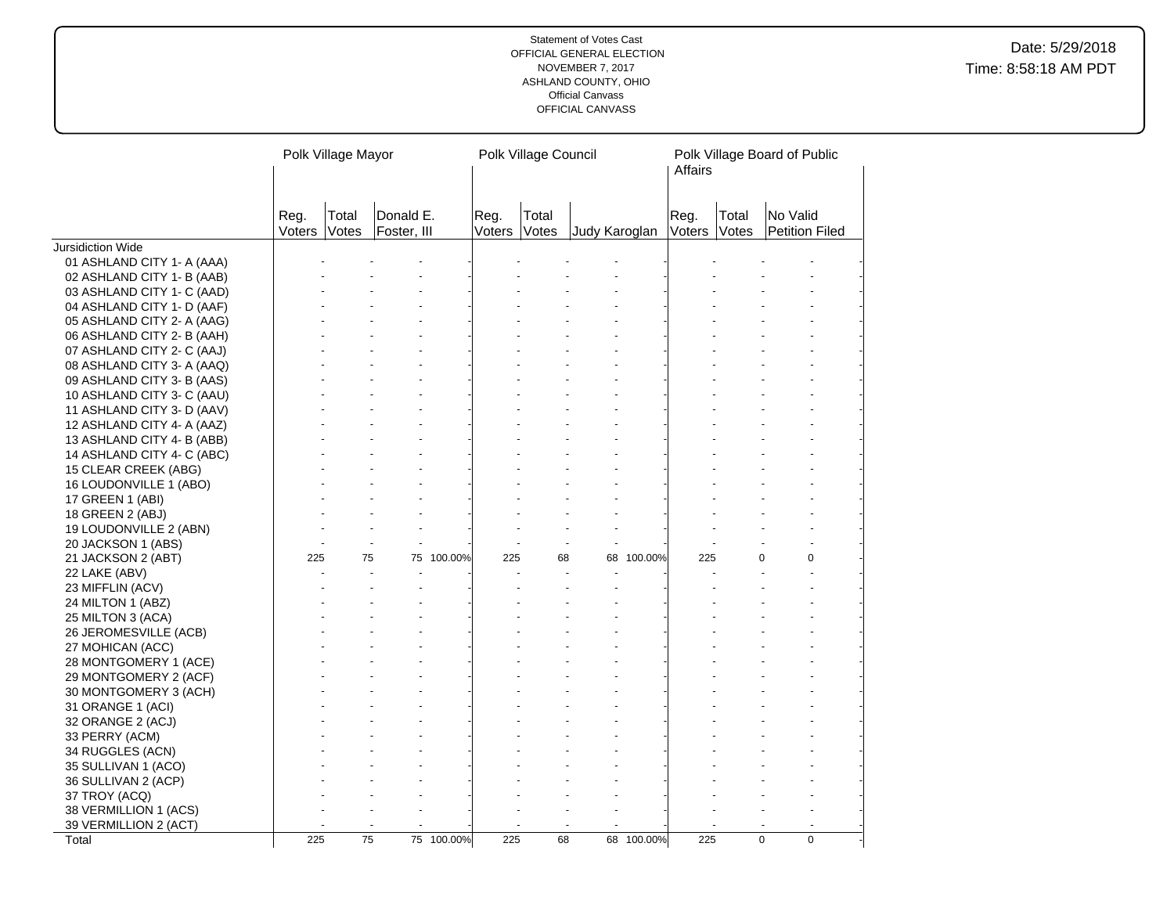|                            |                | Polk Village Mayor |                          |            |                | Polk Village Council |               |            | Affairs        |                | Polk Village Board of Public |  |
|----------------------------|----------------|--------------------|--------------------------|------------|----------------|----------------------|---------------|------------|----------------|----------------|------------------------------|--|
|                            | Reg.<br>Voters | Total<br>Votes     | Donald E.<br>Foster, III |            | Reg.<br>Voters | Total<br>Votes       | Judy Karoglan |            | Reg.<br>Voters | Total<br>Votes | No Valid<br>Petition Filed   |  |
| Jursidiction Wide          |                |                    |                          |            |                |                      |               |            |                |                |                              |  |
| 01 ASHLAND CITY 1- A (AAA) |                |                    |                          |            |                |                      |               |            |                |                |                              |  |
| 02 ASHLAND CITY 1- B (AAB) |                |                    |                          |            |                |                      |               |            |                |                |                              |  |
| 03 ASHLAND CITY 1- C (AAD) |                |                    |                          |            |                |                      |               |            |                |                |                              |  |
| 04 ASHLAND CITY 1- D (AAF) |                |                    |                          |            |                |                      |               |            |                |                |                              |  |
| 05 ASHLAND CITY 2- A (AAG) |                |                    |                          |            |                |                      |               |            |                |                |                              |  |
| 06 ASHLAND CITY 2- B (AAH) |                |                    |                          |            |                |                      |               |            |                |                |                              |  |
| 07 ASHLAND CITY 2- C (AAJ) |                |                    |                          |            |                |                      |               |            |                |                |                              |  |
| 08 ASHLAND CITY 3- A (AAQ) |                |                    |                          |            |                |                      |               |            |                |                |                              |  |
| 09 ASHLAND CITY 3- B (AAS) |                |                    |                          |            |                |                      |               |            |                |                |                              |  |
| 10 ASHLAND CITY 3- C (AAU) |                |                    |                          |            |                |                      |               |            |                |                |                              |  |
| 11 ASHLAND CITY 3- D (AAV) |                |                    |                          |            |                |                      |               |            |                |                |                              |  |
| 12 ASHLAND CITY 4- A (AAZ) |                |                    |                          |            |                |                      |               |            |                |                |                              |  |
| 13 ASHLAND CITY 4- B (ABB) |                |                    |                          |            |                |                      |               |            |                |                |                              |  |
| 14 ASHLAND CITY 4- C (ABC) |                |                    |                          |            |                |                      |               |            |                |                |                              |  |
| 15 CLEAR CREEK (ABG)       |                |                    |                          |            |                |                      |               |            |                |                |                              |  |
| 16 LOUDONVILLE 1 (ABO)     |                |                    |                          |            |                |                      |               |            |                |                |                              |  |
| 17 GREEN 1 (ABI)           |                |                    |                          |            |                |                      |               |            |                |                |                              |  |
| 18 GREEN 2 (ABJ)           |                |                    |                          |            |                |                      |               |            |                |                |                              |  |
| 19 LOUDONVILLE 2 (ABN)     |                |                    |                          |            |                |                      |               |            |                |                |                              |  |
| 20 JACKSON 1 (ABS)         |                |                    |                          |            |                |                      |               |            |                |                |                              |  |
| 21 JACKSON 2 (ABT)         | 225            | 75                 | 75                       | 100.00%    | 225            | 68                   |               | 68 100.00% | 225            |                | 0<br>0                       |  |
| 22 LAKE (ABV)              |                |                    |                          |            |                |                      |               |            |                |                |                              |  |
| 23 MIFFLIN (ACV)           |                |                    |                          |            |                |                      |               |            |                |                |                              |  |
| 24 MILTON 1 (ABZ)          |                |                    |                          |            |                |                      |               |            |                |                |                              |  |
| 25 MILTON 3 (ACA)          |                |                    |                          |            |                |                      |               |            |                |                |                              |  |
| 26 JEROMESVILLE (ACB)      |                |                    |                          |            |                |                      |               |            |                |                |                              |  |
| 27 MOHICAN (ACC)           |                |                    |                          |            |                |                      |               |            |                |                |                              |  |
| 28 MONTGOMERY 1 (ACE)      |                |                    |                          |            |                |                      |               |            |                |                |                              |  |
| 29 MONTGOMERY 2 (ACF)      |                |                    |                          |            |                |                      |               |            |                |                |                              |  |
| 30 MONTGOMERY 3 (ACH)      |                |                    |                          |            |                |                      |               |            |                |                |                              |  |
| 31 ORANGE 1 (ACI)          |                |                    |                          |            |                |                      |               |            |                |                |                              |  |
| 32 ORANGE 2 (ACJ)          |                |                    |                          |            |                |                      |               |            |                |                |                              |  |
| 33 PERRY (ACM)             |                |                    |                          |            |                |                      |               |            |                |                |                              |  |
| 34 RUGGLES (ACN)           |                |                    |                          |            |                |                      |               |            |                |                |                              |  |
| 35 SULLIVAN 1 (ACO)        |                |                    |                          |            |                |                      |               |            |                |                |                              |  |
| 36 SULLIVAN 2 (ACP)        |                |                    |                          |            |                |                      |               |            |                |                |                              |  |
| 37 TROY (ACQ)              |                |                    |                          |            |                |                      |               |            |                |                |                              |  |
| 38 VERMILLION 1 (ACS)      |                |                    |                          |            |                |                      |               |            |                |                |                              |  |
| 39 VERMILLION 2 (ACT)      |                |                    |                          |            |                |                      |               |            |                |                |                              |  |
| Total                      | 225            | 75                 |                          | 75 100.00% | 225            | 68                   |               | 68 100.00% | 225            |                | $\mathbf 0$<br>$\mathbf 0$   |  |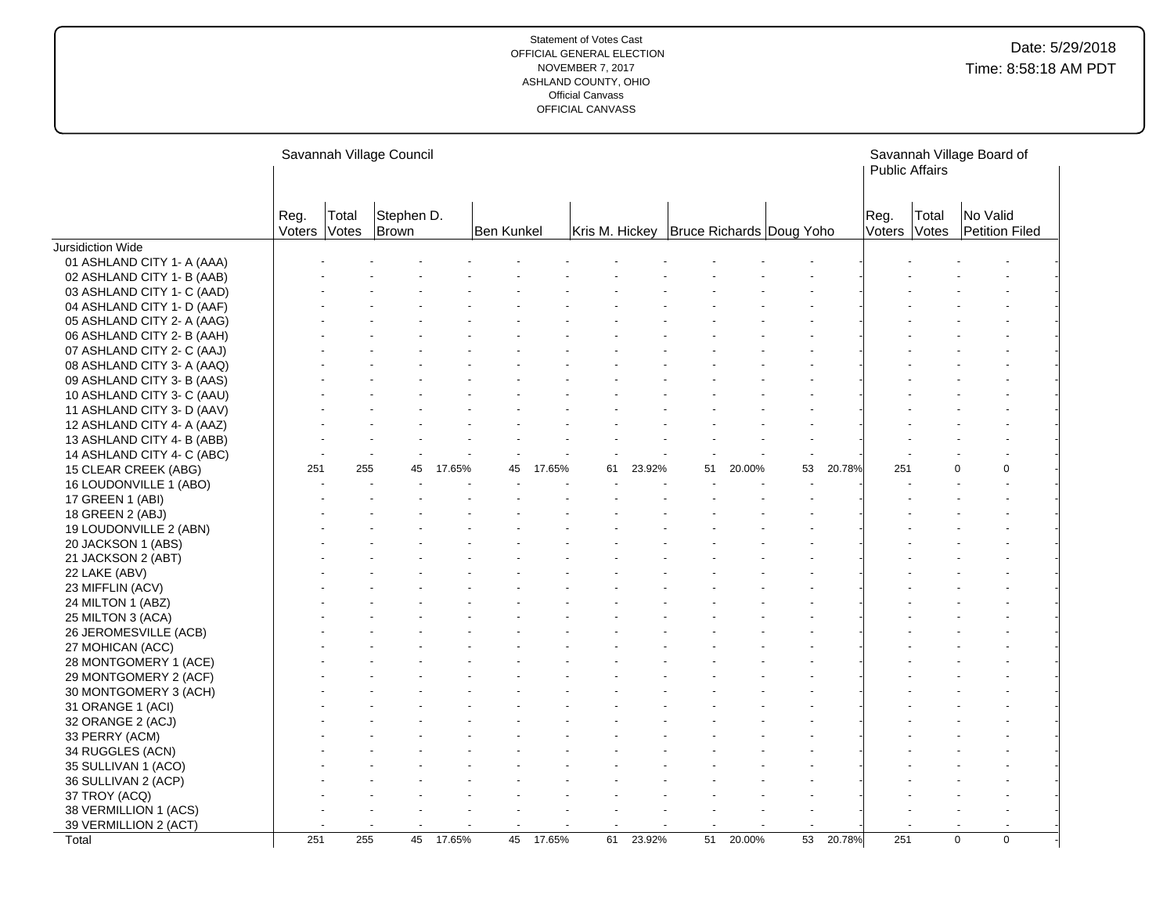|                                          |                |                | Savannah Village Council |        |            |        |    |        |                                             |        |                 |        | <b>Public Affairs</b> |                | Savannah Village Board of  |  |
|------------------------------------------|----------------|----------------|--------------------------|--------|------------|--------|----|--------|---------------------------------------------|--------|-----------------|--------|-----------------------|----------------|----------------------------|--|
|                                          | Reg.<br>Voters | Total<br>Votes | Stephen D.<br>Brown      |        | Ben Kunkel |        |    |        | Kris M. Hickey   Bruce Richards   Doug Yoho |        |                 |        | Reg.<br>Voters        | Total<br>Votes | No Valid<br>Petition Filed |  |
| Jursidiction Wide                        |                |                |                          |        |            |        |    |        |                                             |        |                 |        |                       |                |                            |  |
| 01 ASHLAND CITY 1- A (AAA)               |                |                |                          |        |            |        |    |        |                                             |        |                 |        |                       |                |                            |  |
| 02 ASHLAND CITY 1- B (AAB)               |                |                |                          |        |            |        |    |        |                                             |        |                 |        |                       |                |                            |  |
| 03 ASHLAND CITY 1- C (AAD)               |                |                |                          |        |            |        |    |        |                                             |        |                 |        |                       |                |                            |  |
| 04 ASHLAND CITY 1- D (AAF)               |                |                |                          |        |            |        |    |        |                                             |        |                 |        |                       |                |                            |  |
| 05 ASHLAND CITY 2- A (AAG)               |                |                |                          |        |            |        |    |        |                                             |        |                 |        |                       |                |                            |  |
| 06 ASHLAND CITY 2- B (AAH)               |                |                |                          |        |            |        |    |        |                                             |        |                 |        |                       |                |                            |  |
| 07 ASHLAND CITY 2- C (AAJ)               |                |                |                          |        |            |        |    |        |                                             |        |                 |        |                       |                |                            |  |
| 08 ASHLAND CITY 3- A (AAQ)               |                |                |                          |        |            |        |    |        |                                             |        |                 |        |                       |                |                            |  |
| 09 ASHLAND CITY 3- B (AAS)               |                |                |                          |        |            |        |    |        |                                             |        |                 |        |                       |                |                            |  |
| 10 ASHLAND CITY 3- C (AAU)               |                |                |                          |        |            |        |    |        |                                             |        |                 |        |                       |                |                            |  |
| 11 ASHLAND CITY 3- D (AAV)               |                |                |                          |        |            |        |    |        |                                             |        |                 |        |                       |                |                            |  |
| 12 ASHLAND CITY 4- A (AAZ)               |                |                |                          |        |            |        |    |        |                                             |        |                 |        |                       |                |                            |  |
| 13 ASHLAND CITY 4- B (ABB)               |                |                |                          |        |            |        |    |        |                                             |        |                 |        |                       |                |                            |  |
| 14 ASHLAND CITY 4- C (ABC)               |                |                |                          |        |            |        |    |        |                                             |        |                 |        |                       |                |                            |  |
| 15 CLEAR CREEK (ABG)                     | 251            | 255            | 45                       | 17.65% | 45         | 17.65% | 61 | 23.92% | 51                                          | 20.00% | 53              | 20.78% | 251                   |                | $\Omega$<br>$\Omega$       |  |
| 16 LOUDONVILLE 1 (ABO)                   |                |                |                          |        |            |        |    |        |                                             |        |                 |        |                       |                |                            |  |
| 17 GREEN 1 (ABI)                         |                |                |                          |        |            |        |    |        |                                             |        |                 |        |                       |                |                            |  |
| 18 GREEN 2 (ABJ)                         |                |                |                          |        |            |        |    |        |                                             |        |                 |        |                       |                |                            |  |
| 19 LOUDONVILLE 2 (ABN)                   |                |                |                          |        |            |        |    |        |                                             |        |                 |        |                       |                |                            |  |
| 20 JACKSON 1 (ABS)<br>21 JACKSON 2 (ABT) |                |                |                          |        |            |        |    |        |                                             |        |                 |        |                       |                |                            |  |
| 22 LAKE (ABV)                            |                |                |                          |        |            |        |    |        |                                             |        |                 |        |                       |                |                            |  |
| 23 MIFFLIN (ACV)                         |                |                |                          |        |            |        |    |        |                                             |        |                 |        |                       |                |                            |  |
| 24 MILTON 1 (ABZ)                        |                |                |                          |        |            |        |    |        |                                             |        |                 |        |                       |                |                            |  |
| 25 MILTON 3 (ACA)                        |                |                |                          |        |            |        |    |        |                                             |        |                 |        |                       |                |                            |  |
| 26 JEROMESVILLE (ACB)                    |                |                |                          |        |            |        |    |        |                                             |        |                 |        |                       |                |                            |  |
| 27 MOHICAN (ACC)                         |                |                |                          |        |            |        |    |        |                                             |        |                 |        |                       |                |                            |  |
| 28 MONTGOMERY 1 (ACE)                    |                |                |                          |        |            |        |    |        |                                             |        |                 |        |                       |                |                            |  |
| 29 MONTGOMERY 2 (ACF)                    |                |                |                          |        |            |        |    |        |                                             |        |                 |        |                       |                |                            |  |
| 30 MONTGOMERY 3 (ACH)                    |                |                |                          |        |            |        |    |        |                                             |        |                 |        |                       |                |                            |  |
| 31 ORANGE 1 (ACI)                        |                |                |                          |        |            |        |    |        |                                             |        |                 |        |                       |                |                            |  |
| 32 ORANGE 2 (ACJ)                        |                |                |                          |        |            |        |    |        |                                             |        |                 |        |                       |                |                            |  |
| 33 PERRY (ACM)                           |                |                |                          |        |            |        |    |        |                                             |        |                 |        |                       |                |                            |  |
| 34 RUGGLES (ACN)                         |                |                |                          |        |            |        |    |        |                                             |        |                 |        |                       |                |                            |  |
| 35 SULLIVAN 1 (ACO)                      |                |                |                          |        |            |        |    |        |                                             |        |                 |        |                       |                |                            |  |
| 36 SULLIVAN 2 (ACP)                      |                |                |                          |        |            |        |    |        |                                             |        |                 |        |                       |                |                            |  |
| 37 TROY (ACQ)                            |                |                |                          |        |            |        |    |        |                                             |        |                 |        |                       |                |                            |  |
| 38 VERMILLION 1 (ACS)                    |                |                |                          |        |            |        |    |        |                                             |        |                 |        |                       |                |                            |  |
| 39 VERMILLION 2 (ACT)                    |                |                |                          |        |            |        |    |        |                                             |        |                 |        |                       |                |                            |  |
| Total                                    | 251            | 255            | 45                       | 17.65% | 45         | 17.65% | 61 | 23.92% | 51                                          | 20.00% | $\overline{53}$ | 20.78% | 251                   |                | $\mathbf 0$<br>$\mathbf 0$ |  |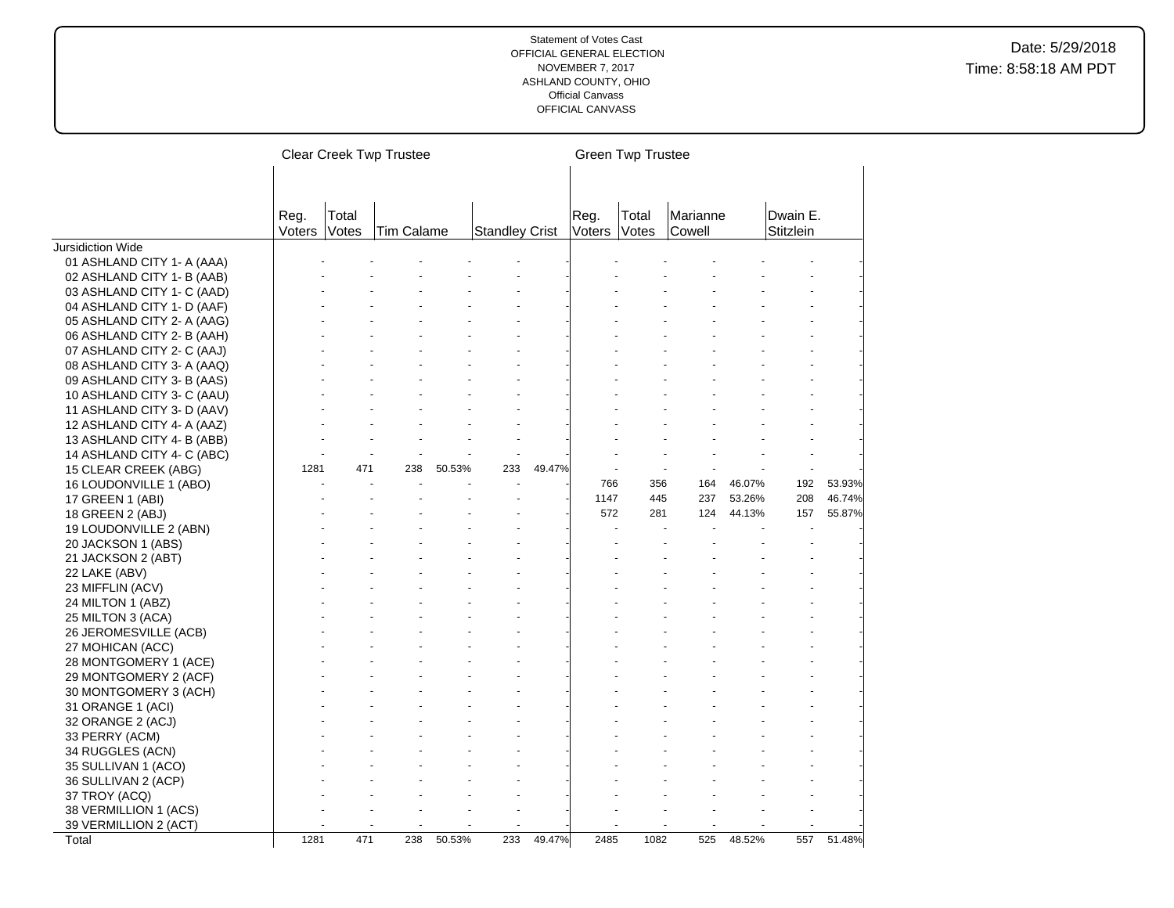|                            |                |                | <b>Clear Creek Twp Trustee</b> |        |                       |        |                | <b>Green Twp Trustee</b> |                    |        |                       |        |
|----------------------------|----------------|----------------|--------------------------------|--------|-----------------------|--------|----------------|--------------------------|--------------------|--------|-----------------------|--------|
|                            |                |                |                                |        |                       |        |                |                          |                    |        |                       |        |
|                            | Reg.<br>Voters | Total<br>Votes | Tim Calame                     |        | <b>Standley Crist</b> |        | Reg.<br>Voters | Total<br>Votes           | Marianne<br>Cowell |        | Dwain E.<br>Stitzlein |        |
| Jursidiction Wide          |                |                |                                |        |                       |        |                |                          |                    |        |                       |        |
| 01 ASHLAND CITY 1- A (AAA) |                |                |                                |        |                       |        |                |                          |                    |        |                       |        |
| 02 ASHLAND CITY 1- B (AAB) |                |                |                                |        |                       |        |                |                          |                    |        |                       |        |
| 03 ASHLAND CITY 1- C (AAD) |                |                |                                |        |                       |        |                |                          |                    |        |                       |        |
| 04 ASHLAND CITY 1- D (AAF) |                |                |                                |        |                       |        |                |                          |                    |        |                       |        |
| 05 ASHLAND CITY 2- A (AAG) |                |                |                                |        |                       |        |                |                          |                    |        |                       |        |
| 06 ASHLAND CITY 2- B (AAH) |                |                |                                |        |                       |        |                |                          |                    |        |                       |        |
| 07 ASHLAND CITY 2- C (AAJ) |                |                |                                |        |                       |        |                |                          |                    |        |                       |        |
| 08 ASHLAND CITY 3- A (AAQ) |                |                |                                |        |                       |        |                |                          |                    |        |                       |        |
| 09 ASHLAND CITY 3- B (AAS) |                |                |                                |        |                       |        |                |                          |                    |        |                       |        |
| 10 ASHLAND CITY 3- C (AAU) |                |                |                                |        |                       |        |                |                          |                    |        |                       |        |
| 11 ASHLAND CITY 3- D (AAV) |                |                |                                |        |                       |        |                |                          |                    |        |                       |        |
| 12 ASHLAND CITY 4- A (AAZ) |                |                |                                |        |                       |        |                |                          |                    |        |                       |        |
| 13 ASHLAND CITY 4- B (ABB) |                |                |                                |        |                       |        |                |                          |                    |        |                       |        |
| 14 ASHLAND CITY 4- C (ABC) |                |                |                                |        |                       |        |                |                          |                    |        |                       |        |
| 15 CLEAR CREEK (ABG)       | 1281           | 471            | 238                            | 50.53% | 233                   | 49.47% |                |                          |                    |        |                       |        |
| 16 LOUDONVILLE 1 (ABO)     |                |                |                                |        |                       |        | 766            | 356                      | 164                | 46.07% | 192                   | 53.93% |
| 17 GREEN 1 (ABI)           |                |                |                                |        |                       |        | 1147           | 445                      | 237                | 53.26% | 208                   | 46.74% |
| 18 GREEN 2 (ABJ)           |                |                |                                |        |                       |        | 572            | 281                      | 124                | 44.13% | 157                   | 55.87% |
| 19 LOUDONVILLE 2 (ABN)     |                |                |                                |        |                       |        |                |                          |                    |        |                       |        |
| 20 JACKSON 1 (ABS)         |                |                |                                |        |                       |        |                |                          |                    |        |                       |        |
| 21 JACKSON 2 (ABT)         |                |                |                                |        |                       |        |                |                          |                    |        |                       |        |
| 22 LAKE (ABV)              |                |                |                                |        |                       |        |                |                          |                    |        |                       |        |
| 23 MIFFLIN (ACV)           |                |                |                                |        |                       |        |                |                          |                    |        |                       |        |
| 24 MILTON 1 (ABZ)          |                |                |                                |        |                       |        |                |                          |                    |        |                       |        |
| 25 MILTON 3 (ACA)          |                |                |                                |        |                       |        |                |                          |                    |        |                       |        |
| 26 JEROMESVILLE (ACB)      |                |                |                                |        |                       |        |                |                          |                    |        |                       |        |
| 27 MOHICAN (ACC)           |                |                |                                |        |                       |        |                |                          |                    |        |                       |        |
| 28 MONTGOMERY 1 (ACE)      |                |                |                                |        |                       |        |                |                          |                    |        |                       |        |
| 29 MONTGOMERY 2 (ACF)      |                |                |                                |        |                       |        |                |                          |                    |        |                       |        |
| 30 MONTGOMERY 3 (ACH)      |                |                |                                |        |                       |        |                |                          |                    |        |                       |        |
| 31 ORANGE 1 (ACI)          |                |                |                                |        |                       |        |                |                          |                    |        |                       |        |
| 32 ORANGE 2 (ACJ)          |                |                |                                |        |                       |        |                |                          |                    |        |                       |        |
| 33 PERRY (ACM)             |                |                |                                |        |                       |        |                |                          |                    |        |                       |        |
| 34 RUGGLES (ACN)           |                |                |                                |        |                       |        |                |                          |                    |        |                       |        |
| 35 SULLIVAN 1 (ACO)        |                |                |                                |        |                       |        |                |                          |                    |        |                       |        |
| 36 SULLIVAN 2 (ACP)        |                |                |                                |        |                       |        |                |                          |                    |        |                       |        |
| 37 TROY (ACQ)              |                |                |                                |        |                       |        |                |                          |                    |        |                       |        |
| 38 VERMILLION 1 (ACS)      |                |                |                                |        |                       |        |                |                          |                    |        |                       |        |
| 39 VERMILLION 2 (ACT)      |                |                |                                |        |                       |        |                |                          |                    |        |                       |        |
| Total                      | 1281           | 471            | 238                            | 50.53% | 233                   | 49.47% | 2485           | 1082                     | 525                | 48.52% | 557                   | 51.48% |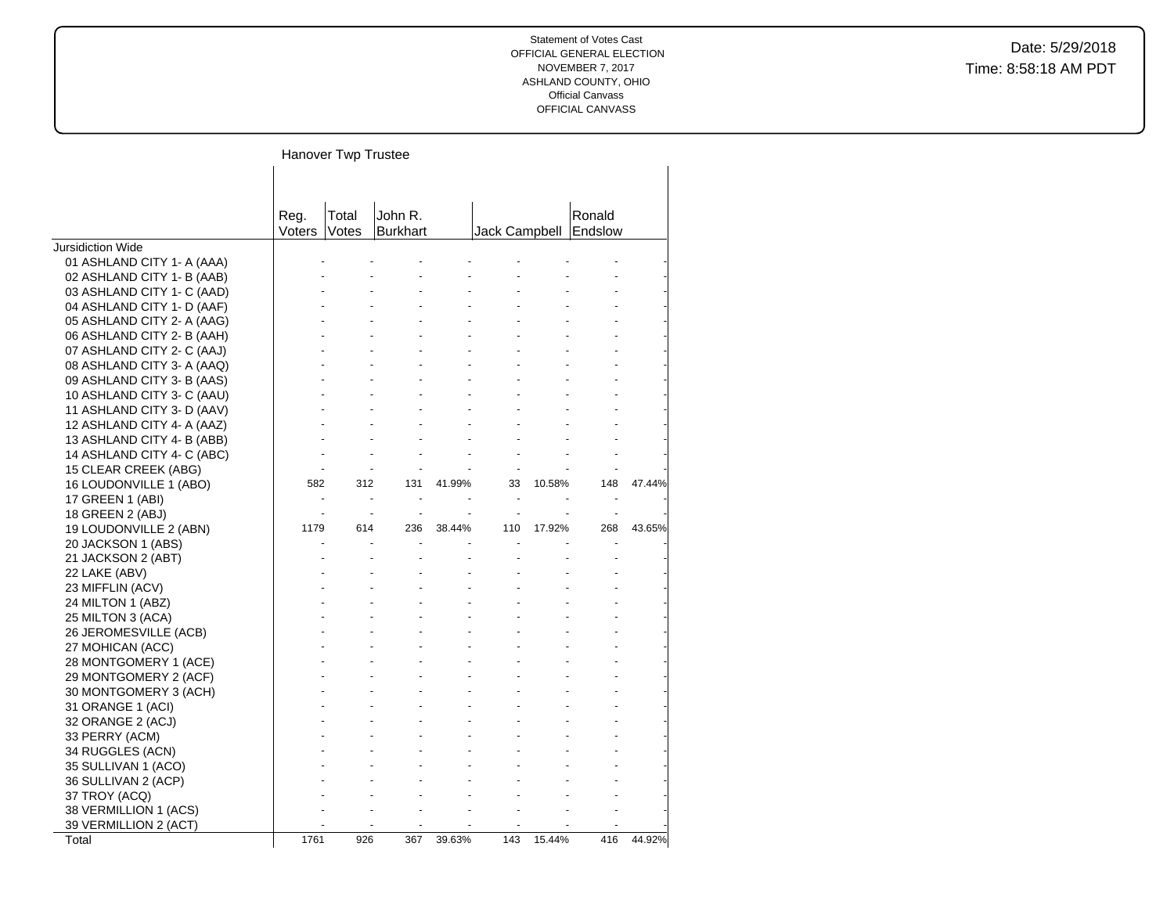Hanover Twp Trustee

|                            | Reg.   | Total | John R.         |        |               |        | Ronald  |        |
|----------------------------|--------|-------|-----------------|--------|---------------|--------|---------|--------|
|                            | Voters | Votes | <b>Burkhart</b> |        | Jack Campbell |        | Endslow |        |
| <b>Jursidiction Wide</b>   |        |       |                 |        |               |        |         |        |
| 01 ASHLAND CITY 1- A (AAA) |        |       |                 |        |               |        |         |        |
| 02 ASHLAND CITY 1- B (AAB) |        |       |                 |        |               |        |         |        |
| 03 ASHLAND CITY 1- C (AAD) |        |       |                 |        |               |        |         |        |
| 04 ASHLAND CITY 1- D (AAF) |        |       |                 |        |               |        |         |        |
| 05 ASHLAND CITY 2- A (AAG) |        |       |                 |        |               |        |         |        |
| 06 ASHLAND CITY 2- B (AAH) |        |       |                 |        |               |        |         |        |
| 07 ASHLAND CITY 2- C (AAJ) |        |       |                 |        |               |        |         |        |
| 08 ASHLAND CITY 3- A (AAQ) |        |       |                 |        |               |        |         |        |
| 09 ASHLAND CITY 3- B (AAS) |        |       |                 |        |               |        |         |        |
| 10 ASHLAND CITY 3- C (AAU) |        |       |                 |        |               |        |         |        |
| 11 ASHLAND CITY 3- D (AAV) |        |       |                 |        |               |        |         |        |
| 12 ASHLAND CITY 4- A (AAZ) |        |       |                 |        |               |        |         |        |
| 13 ASHLAND CITY 4- B (ABB) |        |       |                 |        |               |        |         |        |
| 14 ASHLAND CITY 4- C (ABC) |        |       |                 |        |               |        |         |        |
| 15 CLEAR CREEK (ABG)       |        |       |                 |        |               |        |         |        |
| 16 LOUDONVILLE 1 (ABO)     | 582    | 312   | 131             | 41.99% | 33            | 10.58% | 148     | 47.44% |
| 17 GREEN 1 (ABI)           |        |       |                 |        |               |        |         |        |
| 18 GREEN 2 (ABJ)           |        |       |                 |        |               |        |         |        |
| 19 LOUDONVILLE 2 (ABN)     | 1179   | 614   | 236             | 38.44% | 110           | 17.92% | 268     | 43.65% |
| 20 JACKSON 1 (ABS)         |        |       |                 |        |               |        |         |        |
| 21 JACKSON 2 (ABT)         |        |       |                 |        |               |        |         |        |
| 22 LAKE (ABV)              |        |       |                 |        |               |        |         |        |
| 23 MIFFLIN (ACV)           |        |       |                 |        |               |        |         |        |
| 24 MILTON 1 (ABZ)          |        |       |                 |        |               |        |         |        |
| 25 MILTON 3 (ACA)          |        |       |                 |        |               |        |         |        |
| 26 JEROMESVILLE (ACB)      |        |       |                 |        |               |        |         |        |
| 27 MOHICAN (ACC)           |        |       |                 |        |               |        |         |        |
| 28 MONTGOMERY 1 (ACE)      |        |       |                 |        |               |        |         |        |
| 29 MONTGOMERY 2 (ACF)      |        |       |                 |        |               |        |         |        |
| 30 MONTGOMERY 3 (ACH)      |        |       |                 |        |               |        |         |        |
| 31 ORANGE 1 (ACI)          |        |       |                 |        |               |        |         |        |
| 32 ORANGE 2 (ACJ)          |        |       |                 |        |               |        |         |        |
| 33 PERRY (ACM)             |        |       |                 |        |               |        |         |        |
| 34 RUGGLES (ACN)           |        |       |                 |        |               |        |         |        |
| 35 SULLIVAN 1 (ACO)        |        |       |                 |        |               |        |         |        |
| 36 SULLIVAN 2 (ACP)        |        |       |                 |        |               |        |         |        |
| 37 TROY (ACQ)              |        |       |                 |        |               |        |         |        |
| 38 VERMILLION 1 (ACS)      |        |       |                 |        |               |        |         |        |
| 39 VERMILLION 2 (ACT)      |        |       |                 |        |               |        |         |        |
| Total                      | 1761   | 926   | 367             | 39.63% | 143           | 15.44% | 416     | 44.92% |
|                            |        |       |                 |        |               |        |         |        |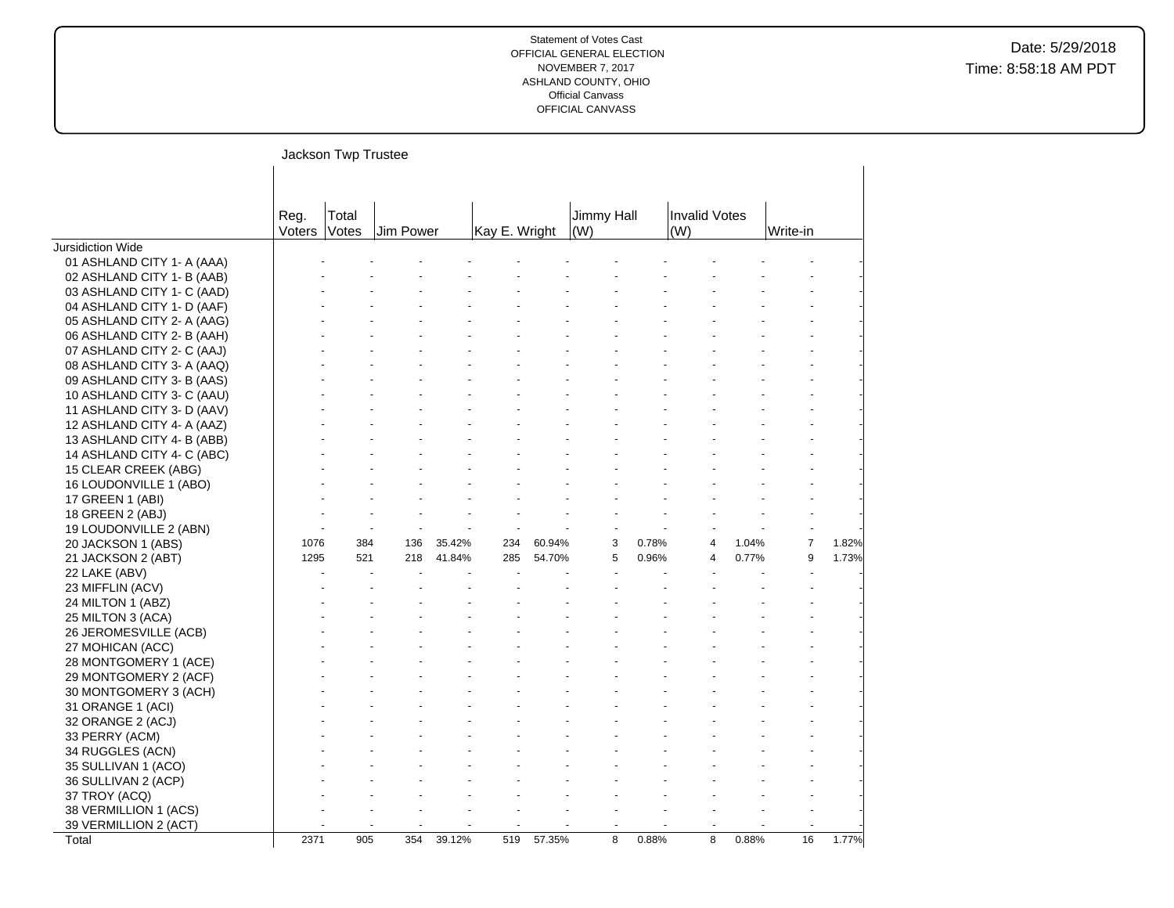|                            |                | Jackson Twp Trustee |           |        |               |        |                   |       |                      |       |                |       |
|----------------------------|----------------|---------------------|-----------|--------|---------------|--------|-------------------|-------|----------------------|-------|----------------|-------|
|                            | Reg.<br>Voters | Total<br>Votes      | Jim Power |        | Kay E. Wright |        | Jimmy Hall<br>(W) |       | Invalid Votes<br>(W) |       | Write-in       |       |
| Jursidiction Wide          |                |                     |           |        |               |        |                   |       |                      |       |                |       |
| 01 ASHLAND CITY 1- A (AAA) |                |                     |           |        |               |        |                   |       |                      |       |                |       |
| 02 ASHLAND CITY 1- B (AAB) |                |                     |           |        |               |        |                   |       |                      |       |                |       |
| 03 ASHLAND CITY 1- C (AAD) |                |                     |           |        |               |        |                   |       |                      |       |                |       |
| 04 ASHLAND CITY 1- D (AAF) |                |                     |           |        |               |        |                   |       |                      |       |                |       |
| 05 ASHLAND CITY 2- A (AAG) |                |                     |           |        |               |        |                   |       |                      |       |                |       |
| 06 ASHLAND CITY 2- B (AAH) |                |                     |           |        |               |        |                   |       |                      |       |                |       |
| 07 ASHLAND CITY 2- C (AAJ) |                |                     |           |        |               |        |                   |       |                      |       |                |       |
| 08 ASHLAND CITY 3- A (AAQ) |                |                     |           |        |               |        |                   |       |                      |       |                |       |
| 09 ASHLAND CITY 3- B (AAS) |                |                     |           |        |               |        |                   |       |                      |       |                |       |
| 10 ASHLAND CITY 3- C (AAU) |                |                     |           |        |               |        |                   |       |                      |       |                |       |
| 11 ASHLAND CITY 3- D (AAV) |                |                     |           |        |               |        |                   |       |                      |       |                |       |
| 12 ASHLAND CITY 4- A (AAZ) |                |                     |           |        |               |        |                   |       |                      |       |                |       |
| 13 ASHLAND CITY 4- B (ABB) |                |                     |           |        |               |        |                   |       |                      |       |                |       |
| 14 ASHLAND CITY 4- C (ABC) |                |                     |           |        |               |        |                   |       |                      |       |                |       |
| 15 CLEAR CREEK (ABG)       |                |                     |           |        |               |        |                   |       |                      |       |                |       |
| 16 LOUDONVILLE 1 (ABO)     |                |                     |           |        |               |        |                   |       |                      |       |                |       |
| 17 GREEN 1 (ABI)           |                |                     |           |        |               |        |                   |       |                      |       |                |       |
| 18 GREEN 2 (ABJ)           |                |                     |           |        |               |        |                   |       |                      |       |                |       |
|                            |                |                     |           |        |               |        |                   |       |                      |       |                |       |
| 19 LOUDONVILLE 2 (ABN)     | 1076           | 384                 | 136       | 35.42% | 234           | 60.94% | 3                 | 0.78% | 4                    | 1.04% | $\overline{7}$ | 1.82% |
| 20 JACKSON 1 (ABS)         | 1295           | 521                 | 218       | 41.84% | 285           | 54.70% | 5                 | 0.96% | 4                    | 0.77% | 9              | 1.73% |
| 21 JACKSON 2 (ABT)         |                |                     |           |        |               |        |                   |       |                      |       |                |       |
| 22 LAKE (ABV)              |                |                     |           |        |               |        |                   |       |                      |       |                |       |
| 23 MIFFLIN (ACV)           |                |                     |           |        |               |        |                   |       |                      |       |                |       |
| 24 MILTON 1 (ABZ)          |                |                     |           |        |               |        |                   |       |                      |       |                |       |
| 25 MILTON 3 (ACA)          |                |                     |           |        |               |        |                   |       |                      |       |                |       |
| 26 JEROMESVILLE (ACB)      |                |                     |           |        |               |        |                   |       |                      |       |                |       |
| 27 MOHICAN (ACC)           |                |                     |           |        |               |        |                   |       |                      |       |                |       |
| 28 MONTGOMERY 1 (ACE)      |                |                     |           |        |               |        |                   |       |                      |       |                |       |
| 29 MONTGOMERY 2 (ACF)      |                |                     |           |        |               |        |                   |       |                      |       |                |       |
| 30 MONTGOMERY 3 (ACH)      |                |                     |           |        |               |        |                   |       |                      |       |                |       |
| 31 ORANGE 1 (ACI)          |                |                     |           |        |               |        |                   |       |                      |       |                |       |
| 32 ORANGE 2 (ACJ)          |                |                     |           |        |               |        |                   |       |                      |       |                |       |
| 33 PERRY (ACM)             |                |                     |           |        |               |        |                   |       |                      |       |                |       |
| 34 RUGGLES (ACN)           |                |                     |           |        |               |        |                   |       |                      |       |                |       |
| 35 SULLIVAN 1 (ACO)        |                |                     |           |        |               |        |                   |       |                      |       |                |       |
| 36 SULLIVAN 2 (ACP)        |                |                     |           |        |               |        |                   |       |                      |       |                |       |
| 37 TROY (ACQ)              |                |                     |           |        |               |        |                   |       |                      |       |                |       |
| 38 VERMILLION 1 (ACS)      |                |                     |           |        |               |        |                   |       |                      |       |                |       |
| 39 VERMILLION 2 (ACT)      |                |                     |           |        |               |        |                   |       |                      |       |                |       |
| Total                      | 2371           | 905                 | 354       | 39.12% | 519           | 57.35% | 8                 | 0.88% | 8                    | 0.88% | 16             | 1.77% |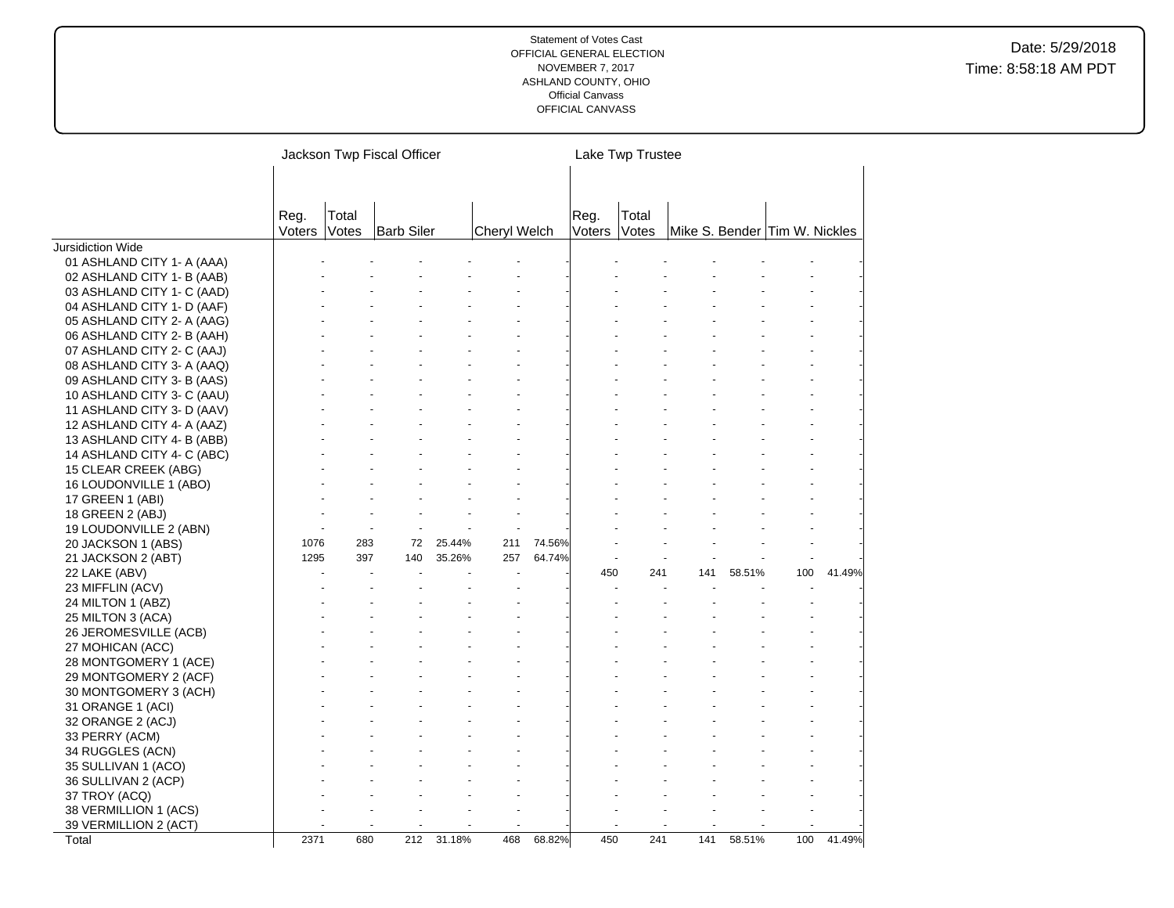|                            |                |                | Jackson Twp Fiscal Officer |        |              |        |                | Lake Twp Trustee |                               |        |     |        |
|----------------------------|----------------|----------------|----------------------------|--------|--------------|--------|----------------|------------------|-------------------------------|--------|-----|--------|
|                            | Reg.<br>Voters | Total<br>Votes | <b>Barb Siler</b>          |        | Cheryl Welch |        | Reg.<br>Voters | Total<br>Votes   | Mike S. Bender Tim W. Nickles |        |     |        |
| Jursidiction Wide          |                |                |                            |        |              |        |                |                  |                               |        |     |        |
| 01 ASHLAND CITY 1- A (AAA) |                |                |                            |        |              |        |                |                  |                               |        |     |        |
| 02 ASHLAND CITY 1- B (AAB) |                |                |                            |        |              |        |                |                  |                               |        |     |        |
| 03 ASHLAND CITY 1- C (AAD) |                |                |                            |        |              |        |                |                  |                               |        |     |        |
| 04 ASHLAND CITY 1- D (AAF) |                |                |                            |        |              |        |                |                  |                               |        |     |        |
| 05 ASHLAND CITY 2- A (AAG) |                |                |                            |        |              |        |                |                  |                               |        |     |        |
| 06 ASHLAND CITY 2- B (AAH) |                |                |                            |        |              |        |                |                  |                               |        |     |        |
| 07 ASHLAND CITY 2- C (AAJ) |                |                |                            |        |              |        |                |                  |                               |        |     |        |
| 08 ASHLAND CITY 3- A (AAQ) |                |                |                            |        |              |        |                |                  |                               |        |     |        |
| 09 ASHLAND CITY 3- B (AAS) |                |                |                            |        |              |        |                |                  |                               |        |     |        |
| 10 ASHLAND CITY 3- C (AAU) |                |                |                            |        |              |        |                |                  |                               |        |     |        |
| 11 ASHLAND CITY 3- D (AAV) |                |                |                            |        |              |        |                |                  |                               |        |     |        |
| 12 ASHLAND CITY 4- A (AAZ) |                |                |                            |        |              |        |                |                  |                               |        |     |        |
| 13 ASHLAND CITY 4- B (ABB) |                |                |                            |        |              |        |                |                  |                               |        |     |        |
| 14 ASHLAND CITY 4- C (ABC) |                |                |                            |        |              |        |                |                  |                               |        |     |        |
| 15 CLEAR CREEK (ABG)       |                |                |                            |        |              |        |                |                  |                               |        |     |        |
| 16 LOUDONVILLE 1 (ABO)     |                |                |                            |        |              |        |                |                  |                               |        |     |        |
| 17 GREEN 1 (ABI)           |                |                |                            |        |              |        |                |                  |                               |        |     |        |
| 18 GREEN 2 (ABJ)           |                |                |                            |        |              |        |                |                  |                               |        |     |        |
| 19 LOUDONVILLE 2 (ABN)     |                |                |                            |        |              |        |                |                  |                               |        |     |        |
| 20 JACKSON 1 (ABS)         | 1076           | 283            | 72                         | 25.44% | 211          | 74.56% |                |                  |                               |        |     |        |
| 21 JACKSON 2 (ABT)         | 1295           | 397            | 140                        | 35.26% | 257          | 64.74% |                |                  |                               |        |     |        |
| 22 LAKE (ABV)              |                |                |                            |        |              |        | 450            | 241              | 141                           | 58.51% | 100 | 41.49% |
| 23 MIFFLIN (ACV)           |                |                |                            |        |              |        |                |                  |                               |        |     |        |
| 24 MILTON 1 (ABZ)          |                |                |                            |        |              |        |                |                  |                               |        |     |        |
| 25 MILTON 3 (ACA)          |                |                |                            |        |              |        |                |                  |                               |        |     |        |
| 26 JEROMESVILLE (ACB)      |                |                |                            |        |              |        |                |                  |                               |        |     |        |
| 27 MOHICAN (ACC)           |                |                |                            |        |              |        |                |                  |                               |        |     |        |
| 28 MONTGOMERY 1 (ACE)      |                |                |                            |        |              |        |                |                  |                               |        |     |        |
| 29 MONTGOMERY 2 (ACF)      |                |                |                            |        |              |        |                |                  |                               |        |     |        |
| 30 MONTGOMERY 3 (ACH)      |                |                |                            |        |              |        |                |                  |                               |        |     |        |
| 31 ORANGE 1 (ACI)          |                |                |                            |        |              |        |                |                  |                               |        |     |        |
| 32 ORANGE 2 (ACJ)          |                |                |                            |        |              |        |                |                  |                               |        |     |        |
| 33 PERRY (ACM)             |                |                |                            |        |              |        |                |                  |                               |        |     |        |
| 34 RUGGLES (ACN)           |                |                |                            |        |              |        |                |                  |                               |        |     |        |
| 35 SULLIVAN 1 (ACO)        |                |                |                            |        |              |        |                |                  |                               |        |     |        |
| 36 SULLIVAN 2 (ACP)        |                |                |                            |        |              |        |                |                  |                               |        |     |        |
| 37 TROY (ACQ)              |                |                |                            |        |              |        |                |                  |                               |        |     |        |
| 38 VERMILLION 1 (ACS)      |                |                |                            |        |              |        |                |                  |                               |        |     |        |
| 39 VERMILLION 2 (ACT)      |                |                |                            |        |              |        |                |                  |                               |        |     |        |
| Total                      | 2371           | 680            | 212                        | 31.18% | 468          | 68.82% | 450            | 241              | 141                           | 58.51% | 100 | 41.49% |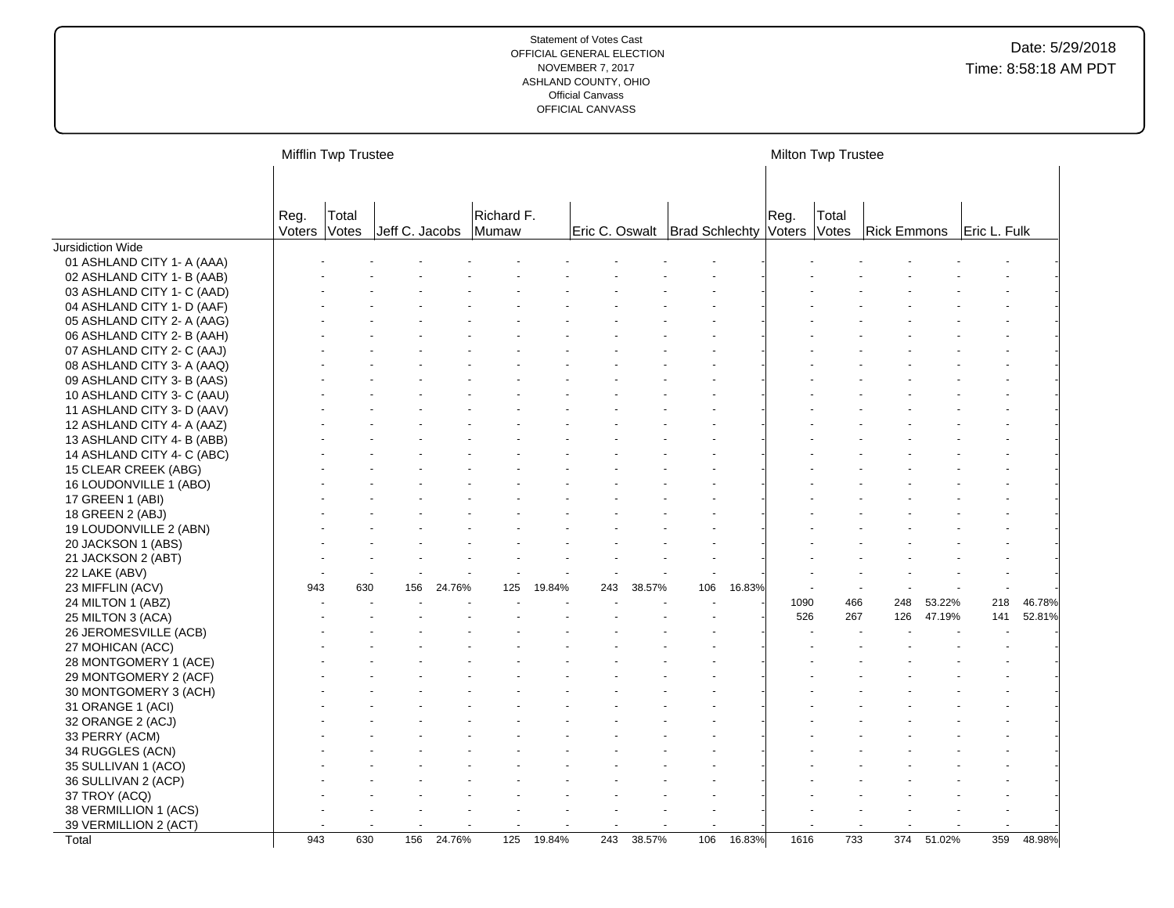|                            |                | Mifflin Twp Trustee |                |        |                     |        |     |        |                                 |        |                | Milton Twp Trustee |                    |        |              |        |
|----------------------------|----------------|---------------------|----------------|--------|---------------------|--------|-----|--------|---------------------------------|--------|----------------|--------------------|--------------------|--------|--------------|--------|
|                            | Reg.<br>Voters | Total<br>Votes      | Jeff C. Jacobs |        | Richard F.<br>Mumaw |        |     |        | Eric C. Oswalt   Brad Schlechty |        | Reg.<br>Voters | Total<br>Votes     | <b>Rick Emmons</b> |        | Eric L. Fulk |        |
| Jursidiction Wide          |                |                     |                |        |                     |        |     |        |                                 |        |                |                    |                    |        |              |        |
| 01 ASHLAND CITY 1- A (AAA) |                |                     |                |        |                     |        |     |        |                                 |        |                |                    |                    |        |              |        |
| 02 ASHLAND CITY 1- B (AAB) |                |                     |                |        |                     |        |     |        |                                 |        |                |                    |                    |        |              |        |
| 03 ASHLAND CITY 1- C (AAD) |                |                     |                |        |                     |        |     |        |                                 |        |                |                    |                    |        |              |        |
| 04 ASHLAND CITY 1- D (AAF) |                |                     |                |        |                     |        |     |        |                                 |        |                |                    |                    |        |              |        |
| 05 ASHLAND CITY 2- A (AAG) |                |                     |                |        |                     |        |     |        |                                 |        |                |                    |                    |        |              |        |
| 06 ASHLAND CITY 2- B (AAH) |                |                     |                |        |                     |        |     |        |                                 |        |                |                    |                    |        |              |        |
| 07 ASHLAND CITY 2- C (AAJ) |                |                     |                |        |                     |        |     |        |                                 |        |                |                    |                    |        |              |        |
| 08 ASHLAND CITY 3- A (AAQ) |                |                     |                |        |                     |        |     |        |                                 |        |                |                    |                    |        |              |        |
| 09 ASHLAND CITY 3- B (AAS) |                |                     |                |        |                     |        |     |        |                                 |        |                |                    |                    |        |              |        |
| 10 ASHLAND CITY 3- C (AAU) |                |                     |                |        |                     |        |     |        |                                 |        |                |                    |                    |        |              |        |
| 11 ASHLAND CITY 3- D (AAV) |                |                     |                |        |                     |        |     |        |                                 |        |                |                    |                    |        |              |        |
| 12 ASHLAND CITY 4- A (AAZ) |                |                     |                |        |                     |        |     |        |                                 |        |                |                    |                    |        |              |        |
| 13 ASHLAND CITY 4- B (ABB) |                |                     |                |        |                     |        |     |        |                                 |        |                |                    |                    |        |              |        |
| 14 ASHLAND CITY 4- C (ABC) |                |                     |                |        |                     |        |     |        |                                 |        |                |                    |                    |        |              |        |
| 15 CLEAR CREEK (ABG)       |                |                     |                |        |                     |        |     |        |                                 |        |                |                    |                    |        |              |        |
| 16 LOUDONVILLE 1 (ABO)     |                |                     |                |        |                     |        |     |        |                                 |        |                |                    |                    |        |              |        |
| 17 GREEN 1 (ABI)           |                |                     |                |        |                     |        |     |        |                                 |        |                |                    |                    |        |              |        |
| 18 GREEN 2 (ABJ)           |                |                     |                |        |                     |        |     |        |                                 |        |                |                    |                    |        |              |        |
| 19 LOUDONVILLE 2 (ABN)     |                |                     |                |        |                     |        |     |        |                                 |        |                |                    |                    |        |              |        |
| 20 JACKSON 1 (ABS)         |                |                     |                |        |                     |        |     |        |                                 |        |                |                    |                    |        |              |        |
| 21 JACKSON 2 (ABT)         |                |                     |                |        |                     |        |     |        |                                 |        |                |                    |                    |        |              |        |
| 22 LAKE (ABV)              |                |                     |                |        |                     |        |     |        |                                 |        |                |                    |                    |        |              |        |
| 23 MIFFLIN (ACV)           | 943            | 630                 | 156            | 24.76% | 125                 | 19.84% | 243 | 38.57% | 106                             | 16.83% |                |                    |                    |        |              |        |
| 24 MILTON 1 (ABZ)          |                |                     |                |        |                     |        |     |        |                                 |        | 1090           | 466                | 248                | 53.22% | 218          | 46.78% |
| 25 MILTON 3 (ACA)          |                |                     |                |        |                     |        |     |        |                                 |        | 526            | 267                | 126                | 47.19% | 141          | 52.81% |
| 26 JEROMESVILLE (ACB)      |                |                     |                |        |                     |        |     |        |                                 |        |                |                    |                    |        |              |        |
| 27 MOHICAN (ACC)           |                |                     |                |        |                     |        |     |        |                                 |        |                |                    |                    |        |              |        |
| 28 MONTGOMERY 1 (ACE)      |                |                     |                |        |                     |        |     |        |                                 |        |                |                    |                    |        |              |        |
| 29 MONTGOMERY 2 (ACF)      |                |                     |                |        |                     |        |     |        |                                 |        |                |                    |                    |        |              |        |
| 30 MONTGOMERY 3 (ACH)      |                |                     |                |        |                     |        |     |        |                                 |        |                |                    |                    |        |              |        |
| 31 ORANGE 1 (ACI)          |                |                     |                |        |                     |        |     |        |                                 |        |                |                    |                    |        |              |        |
| 32 ORANGE 2 (ACJ)          |                |                     |                |        |                     |        |     |        |                                 |        |                |                    |                    |        |              |        |
| 33 PERRY (ACM)             |                |                     |                |        |                     |        |     |        |                                 |        |                |                    |                    |        |              |        |
| 34 RUGGLES (ACN)           |                |                     |                |        |                     |        |     |        |                                 |        |                |                    |                    |        |              |        |
| 35 SULLIVAN 1 (ACO)        |                |                     |                |        |                     |        |     |        |                                 |        |                |                    |                    |        |              |        |
| 36 SULLIVAN 2 (ACP)        |                |                     |                |        |                     |        |     |        |                                 |        |                |                    |                    |        |              |        |
| 37 TROY (ACQ)              |                |                     |                |        |                     |        |     |        |                                 |        |                |                    |                    |        |              |        |
| 38 VERMILLION 1 (ACS)      |                |                     |                |        |                     |        |     |        |                                 |        |                |                    |                    |        |              |        |
| 39 VERMILLION 2 (ACT)      |                |                     |                |        |                     |        |     |        |                                 |        |                |                    |                    |        |              |        |
| Total                      | 943            | 630                 | 156            | 24.76% | 125                 | 19.84% | 243 | 38.57% | 106                             | 16.83% | 1616           | 733                | 374                | 51.02% | 359          | 48.98% |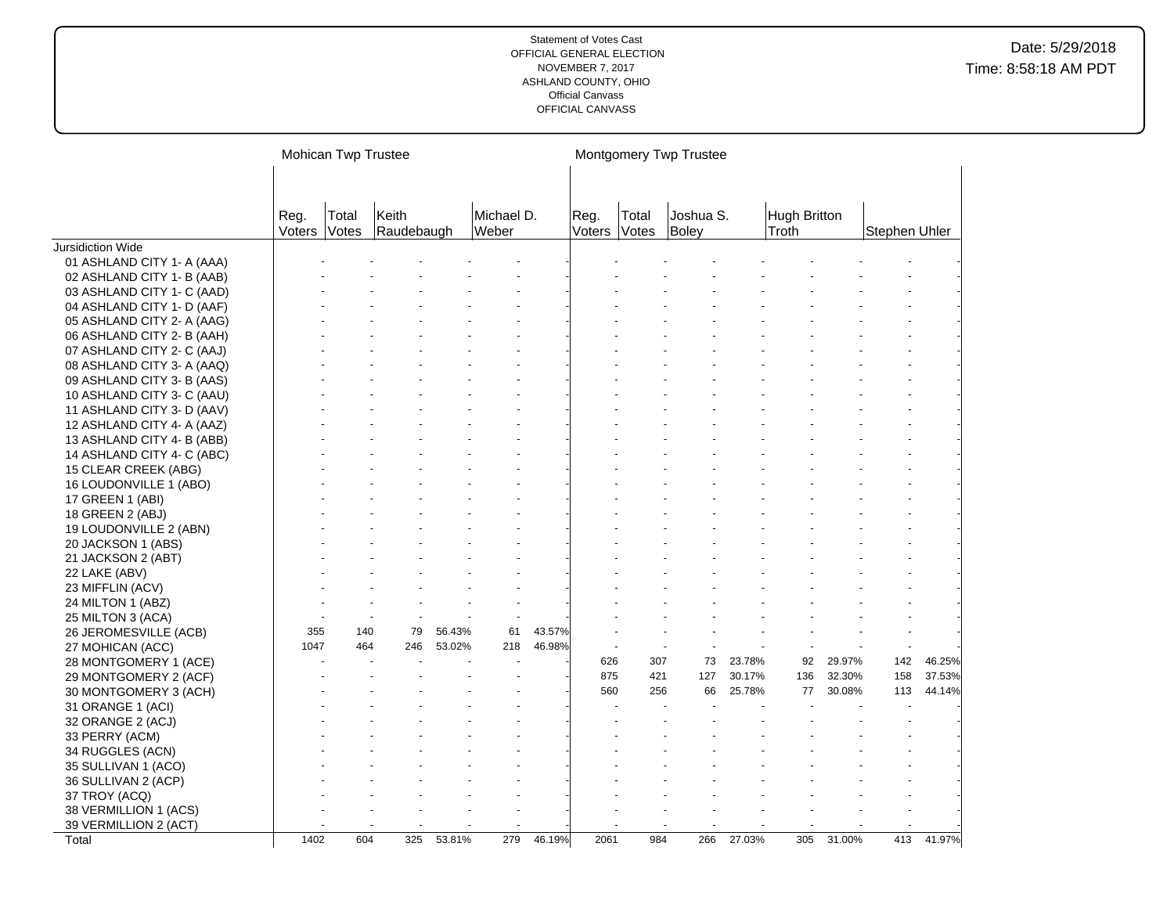|                            |                       | Mohican Twp Trustee |                     |        |                     |        |                |                | Montgomery Twp Trustee |        |                       |        |               |        |
|----------------------------|-----------------------|---------------------|---------------------|--------|---------------------|--------|----------------|----------------|------------------------|--------|-----------------------|--------|---------------|--------|
|                            | Reg.<br><b>Voters</b> | Total<br>Votes      | Keith<br>Raudebaugh |        | Michael D.<br>Weber |        | Reg.<br>Voters | Total<br>Votes | Joshua S.<br>Boley     |        | Hugh Britton<br>Troth |        | Stephen Uhler |        |
| <b>Jursidiction Wide</b>   |                       |                     |                     |        |                     |        |                |                |                        |        |                       |        |               |        |
| 01 ASHLAND CITY 1- A (AAA) |                       |                     |                     |        |                     |        |                |                |                        |        |                       |        |               |        |
| 02 ASHLAND CITY 1- B (AAB) |                       |                     |                     |        |                     |        |                |                |                        |        |                       |        |               |        |
| 03 ASHLAND CITY 1- C (AAD) |                       |                     |                     |        |                     |        |                |                |                        |        |                       |        |               |        |
| 04 ASHLAND CITY 1- D (AAF) |                       |                     |                     |        |                     |        |                |                |                        |        |                       |        |               |        |
| 05 ASHLAND CITY 2- A (AAG) |                       |                     |                     |        |                     |        |                |                |                        |        |                       |        |               |        |
| 06 ASHLAND CITY 2- B (AAH) |                       |                     |                     |        |                     |        |                |                |                        |        |                       |        |               |        |
| 07 ASHLAND CITY 2- C (AAJ) |                       |                     |                     |        |                     |        |                |                |                        |        |                       |        |               |        |
| 08 ASHLAND CITY 3- A (AAQ) |                       |                     |                     |        |                     |        |                |                |                        |        |                       |        |               |        |
| 09 ASHLAND CITY 3- B (AAS) |                       |                     |                     |        |                     |        |                |                |                        |        |                       |        |               |        |
| 10 ASHLAND CITY 3- C (AAU) |                       |                     |                     |        |                     |        |                |                |                        |        |                       |        |               |        |
| 11 ASHLAND CITY 3- D (AAV) |                       |                     |                     |        |                     |        |                |                |                        |        |                       |        |               |        |
| 12 ASHLAND CITY 4- A (AAZ) |                       |                     |                     |        |                     |        |                |                |                        |        |                       |        |               |        |
| 13 ASHLAND CITY 4- B (ABB) |                       |                     |                     |        |                     |        |                |                |                        |        |                       |        |               |        |
| 14 ASHLAND CITY 4- C (ABC) |                       |                     |                     |        |                     |        |                |                |                        |        |                       |        |               |        |
| 15 CLEAR CREEK (ABG)       |                       |                     |                     |        |                     |        |                |                |                        |        |                       |        |               |        |
| 16 LOUDONVILLE 1 (ABO)     |                       |                     |                     |        |                     |        |                |                |                        |        |                       |        |               |        |
| 17 GREEN 1 (ABI)           |                       |                     |                     |        |                     |        |                |                |                        |        |                       |        |               |        |
| 18 GREEN 2 (ABJ)           |                       |                     |                     |        |                     |        |                |                |                        |        |                       |        |               |        |
| 19 LOUDONVILLE 2 (ABN)     |                       |                     |                     |        |                     |        |                |                |                        |        |                       |        |               |        |
| 20 JACKSON 1 (ABS)         |                       |                     |                     |        |                     |        |                |                |                        |        |                       |        |               |        |
| 21 JACKSON 2 (ABT)         |                       |                     |                     |        |                     |        |                |                |                        |        |                       |        |               |        |
| 22 LAKE (ABV)              |                       |                     |                     |        |                     |        |                |                |                        |        |                       |        |               |        |
| 23 MIFFLIN (ACV)           |                       |                     |                     |        |                     |        |                |                |                        |        |                       |        |               |        |
| 24 MILTON 1 (ABZ)          |                       |                     |                     |        |                     |        |                |                |                        |        |                       |        |               |        |
| 25 MILTON 3 (ACA)          |                       |                     |                     |        |                     |        |                |                |                        |        |                       |        |               |        |
| 26 JEROMESVILLE (ACB)      | 355                   | 140                 | 79                  | 56.43% | 61                  | 43.57% |                |                |                        |        |                       |        |               |        |
| 27 MOHICAN (ACC)           | 1047                  | 464                 | 246                 | 53.02% | 218                 | 46.98% |                |                |                        |        |                       |        |               |        |
| 28 MONTGOMERY 1 (ACE)      |                       |                     |                     |        |                     |        | 626            | 307            | 73                     | 23.78% | 92                    | 29.97% | 142           | 46.25% |
| 29 MONTGOMERY 2 (ACF)      |                       |                     |                     |        |                     |        | 875            | 421            | 127                    | 30.17% | 136                   | 32.30% | 158           | 37.53% |
| 30 MONTGOMERY 3 (ACH)      |                       |                     |                     |        |                     |        | 560            | 256            | 66                     | 25.78% | 77                    | 30.08% | 113           | 44.14% |
| 31 ORANGE 1 (ACI)          |                       |                     |                     |        |                     |        |                |                |                        |        |                       |        |               |        |
| 32 ORANGE 2 (ACJ)          |                       |                     |                     |        |                     |        |                |                |                        |        |                       |        |               |        |
| 33 PERRY (ACM)             |                       |                     |                     |        |                     |        |                |                |                        |        |                       |        |               |        |
| 34 RUGGLES (ACN)           |                       |                     |                     |        |                     |        |                |                |                        |        |                       |        |               |        |
| 35 SULLIVAN 1 (ACO)        |                       |                     |                     |        |                     |        |                |                |                        |        |                       |        |               |        |
| 36 SULLIVAN 2 (ACP)        |                       |                     |                     |        |                     |        |                |                |                        |        |                       |        |               |        |
| 37 TROY (ACQ)              |                       |                     |                     |        |                     |        |                |                |                        |        |                       |        |               |        |
| 38 VERMILLION 1 (ACS)      |                       |                     |                     |        |                     |        |                |                |                        |        |                       |        |               |        |
| 39 VERMILLION 2 (ACT)      |                       |                     |                     |        |                     |        |                |                |                        |        |                       |        |               |        |
| Total                      | 1402                  | 604                 | 325                 | 53.81% | 279                 | 46.19% | 2061           | 984            | 266                    | 27.03% | 305                   | 31.00% | 413           | 41.97% |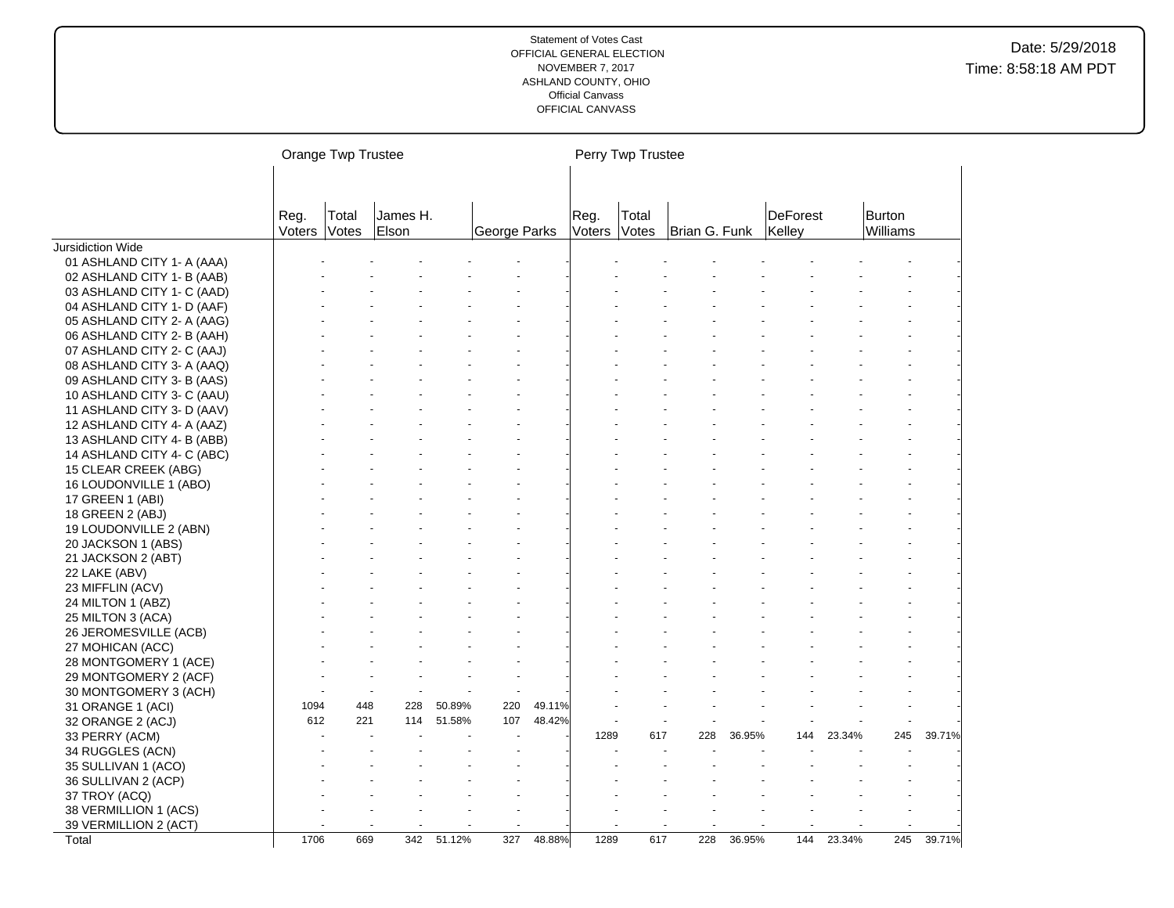|                            |                | Orange Twp Trustee |                   |        |              |        |                | Perry Twp Trustee |               |        |                           |        |                    |        |
|----------------------------|----------------|--------------------|-------------------|--------|--------------|--------|----------------|-------------------|---------------|--------|---------------------------|--------|--------------------|--------|
|                            |                |                    |                   |        |              |        |                |                   |               |        |                           |        |                    |        |
|                            | Reg.<br>Voters | Total<br>Votes     | James H.<br>Elson |        | George Parks |        | Reg.<br>Voters | Total<br>Votes    | Brian G. Funk |        | <b>DeForest</b><br>Kelley |        | Burton<br>Williams |        |
| Jursidiction Wide          |                |                    |                   |        |              |        |                |                   |               |        |                           |        |                    |        |
| 01 ASHLAND CITY 1- A (AAA) |                |                    |                   |        |              |        |                |                   |               |        |                           |        |                    |        |
| 02 ASHLAND CITY 1- B (AAB) |                |                    |                   |        |              |        |                |                   |               |        |                           |        |                    |        |
| 03 ASHLAND CITY 1- C (AAD) |                |                    |                   |        |              |        |                |                   |               |        |                           |        |                    |        |
| 04 ASHLAND CITY 1- D (AAF) |                |                    |                   |        |              |        |                |                   |               |        |                           |        |                    |        |
| 05 ASHLAND CITY 2- A (AAG) |                |                    |                   |        |              |        |                |                   |               |        |                           |        |                    |        |
| 06 ASHLAND CITY 2- B (AAH) |                |                    |                   |        |              |        |                |                   |               |        |                           |        |                    |        |
| 07 ASHLAND CITY 2- C (AAJ) |                |                    |                   |        |              |        |                |                   |               |        |                           |        |                    |        |
| 08 ASHLAND CITY 3- A (AAQ) |                |                    |                   |        |              |        |                |                   |               |        |                           |        |                    |        |
| 09 ASHLAND CITY 3- B (AAS) |                |                    |                   |        |              |        |                |                   |               |        |                           |        |                    |        |
| 10 ASHLAND CITY 3- C (AAU) |                |                    |                   |        |              |        |                |                   |               |        |                           |        |                    |        |
| 11 ASHLAND CITY 3- D (AAV) |                |                    |                   |        |              |        |                |                   |               |        |                           |        |                    |        |
| 12 ASHLAND CITY 4- A (AAZ) |                |                    |                   |        |              |        |                |                   |               |        |                           |        |                    |        |
| 13 ASHLAND CITY 4- B (ABB) |                |                    |                   |        |              |        |                |                   |               |        |                           |        |                    |        |
| 14 ASHLAND CITY 4- C (ABC) |                |                    |                   |        |              |        |                |                   |               |        |                           |        |                    |        |
| 15 CLEAR CREEK (ABG)       |                |                    |                   |        |              |        |                |                   |               |        |                           |        |                    |        |
| 16 LOUDONVILLE 1 (ABO)     |                |                    |                   |        |              |        |                |                   |               |        |                           |        |                    |        |
| 17 GREEN 1 (ABI)           |                |                    |                   |        |              |        |                |                   |               |        |                           |        |                    |        |
| 18 GREEN 2 (ABJ)           |                |                    |                   |        |              |        |                |                   |               |        |                           |        |                    |        |
| 19 LOUDONVILLE 2 (ABN)     |                |                    |                   |        |              |        |                |                   |               |        |                           |        |                    |        |
| 20 JACKSON 1 (ABS)         |                |                    |                   |        |              |        |                |                   |               |        |                           |        |                    |        |
| 21 JACKSON 2 (ABT)         |                |                    |                   |        |              |        |                |                   |               |        |                           |        |                    |        |
| 22 LAKE (ABV)              |                |                    |                   |        |              |        |                |                   |               |        |                           |        |                    |        |
| 23 MIFFLIN (ACV)           |                |                    |                   |        |              |        |                |                   |               |        |                           |        |                    |        |
| 24 MILTON 1 (ABZ)          |                |                    |                   |        |              |        |                |                   |               |        |                           |        |                    |        |
| 25 MILTON 3 (ACA)          |                |                    |                   |        |              |        |                |                   |               |        |                           |        |                    |        |
| 26 JEROMESVILLE (ACB)      |                |                    |                   |        |              |        |                |                   |               |        |                           |        |                    |        |
| 27 MOHICAN (ACC)           |                |                    |                   |        |              |        |                |                   |               |        |                           |        |                    |        |
| 28 MONTGOMERY 1 (ACE)      |                |                    |                   |        |              |        |                |                   |               |        |                           |        |                    |        |
| 29 MONTGOMERY 2 (ACF)      |                |                    |                   |        |              |        |                |                   |               |        |                           |        |                    |        |
| 30 MONTGOMERY 3 (ACH)      |                |                    |                   |        |              |        |                |                   |               |        |                           |        |                    |        |
| 31 ORANGE 1 (ACI)          | 1094           | 448                | 228               | 50.89% | 220          | 49.11% |                |                   |               |        |                           |        |                    |        |
| 32 ORANGE 2 (ACJ)          | 612            | 221                | 114               | 51.58% | 107          | 48.42% |                |                   |               |        |                           |        |                    |        |
| 33 PERRY (ACM)             |                |                    |                   |        |              |        | 1289           | 617               | 228           | 36.95% | 144                       | 23.34% | 245                | 39.71% |
| 34 RUGGLES (ACN)           |                |                    |                   |        |              |        |                |                   |               |        |                           |        |                    |        |
| 35 SULLIVAN 1 (ACO)        |                |                    |                   |        |              |        |                |                   |               |        |                           |        |                    |        |
| 36 SULLIVAN 2 (ACP)        |                |                    |                   |        |              |        |                |                   |               |        |                           |        |                    |        |
| 37 TROY (ACQ)              |                |                    |                   |        |              |        |                |                   |               |        |                           |        |                    |        |
| 38 VERMILLION 1 (ACS)      |                |                    |                   |        |              |        |                |                   |               |        |                           |        |                    |        |
| 39 VERMILLION 2 (ACT)      |                |                    |                   |        |              |        |                |                   |               |        |                           |        |                    |        |
| Total                      | 1706           | 669                | 342               | 51.12% | 327          | 48.88% | 1289           | 617               | 228           | 36.95% | 144                       | 23.34% | 245                | 39.71% |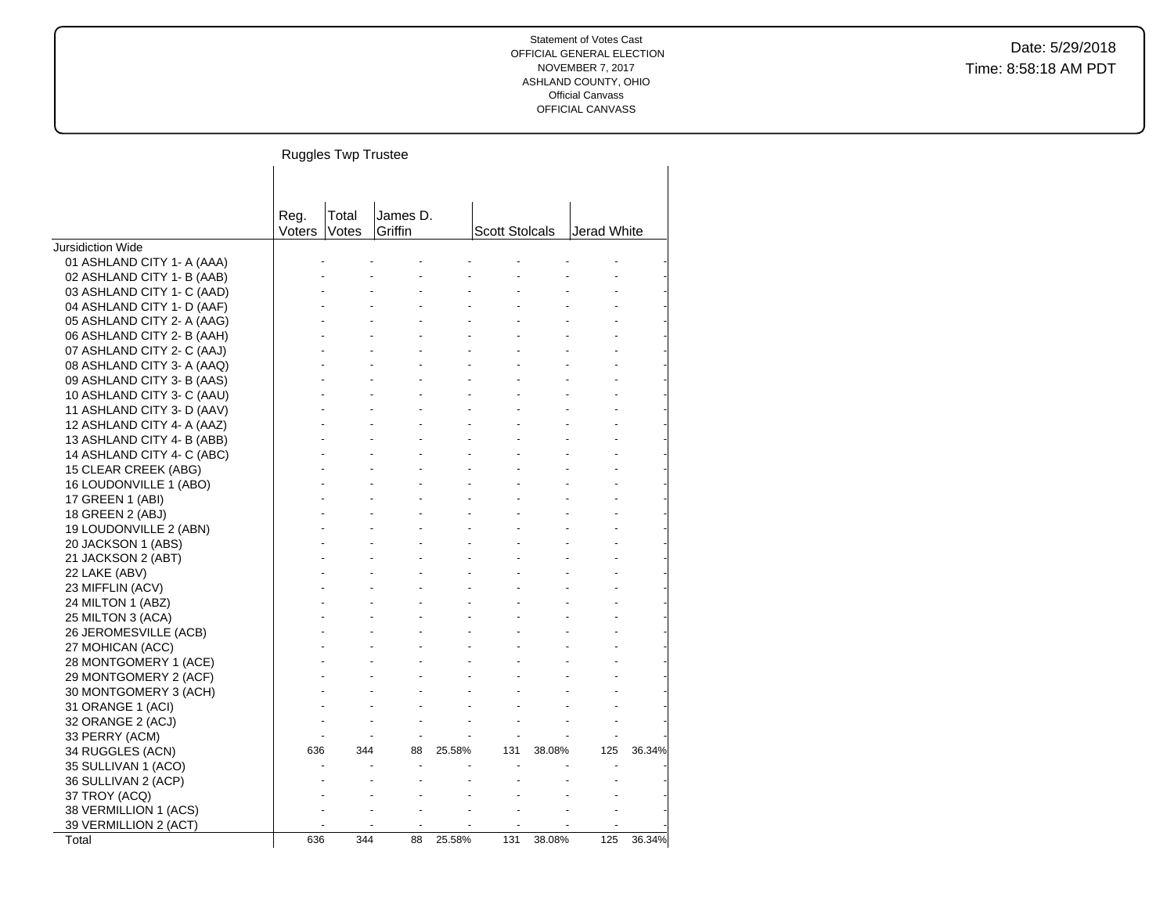Date: 5/29/2018 Time: 8:58:18 AM PDT

# Ruggles Twp Trustee

|                            | Reg.   | Total | James D. |        |                       |        |             |        |
|----------------------------|--------|-------|----------|--------|-----------------------|--------|-------------|--------|
|                            | Voters | Votes | Griffin  |        | <b>Scott Stolcals</b> |        | Jerad White |        |
| <b>Jursidiction Wide</b>   |        |       |          |        |                       |        |             |        |
| 01 ASHLAND CITY 1- A (AAA) |        |       |          |        |                       |        |             |        |
| 02 ASHLAND CITY 1- B (AAB) |        |       |          |        |                       |        |             |        |
| 03 ASHLAND CITY 1- C (AAD) |        |       |          |        |                       |        |             |        |
| 04 ASHLAND CITY 1- D (AAF) |        |       |          |        |                       |        |             |        |
| 05 ASHLAND CITY 2- A (AAG) |        |       |          |        |                       |        |             |        |
| 06 ASHLAND CITY 2- B (AAH) |        |       |          |        |                       |        |             |        |
| 07 ASHLAND CITY 2- C (AAJ) |        |       |          |        |                       |        |             |        |
| 08 ASHLAND CITY 3- A (AAQ) |        |       |          |        |                       |        |             |        |
| 09 ASHLAND CITY 3- B (AAS) |        |       |          |        |                       |        |             |        |
| 10 ASHLAND CITY 3- C (AAU) |        |       |          |        |                       |        |             |        |
| 11 ASHLAND CITY 3- D (AAV) |        |       |          |        |                       |        |             |        |
| 12 ASHLAND CITY 4- A (AAZ) |        |       |          |        |                       |        |             |        |
| 13 ASHLAND CITY 4- B (ABB) |        |       |          |        |                       |        |             |        |
| 14 ASHLAND CITY 4- C (ABC) |        |       |          |        |                       |        |             |        |
| 15 CLEAR CREEK (ABG)       |        |       |          |        |                       |        |             |        |
| 16 LOUDONVILLE 1 (ABO)     |        |       |          |        |                       |        |             |        |
| 17 GREEN 1 (ABI)           |        |       |          |        |                       |        |             |        |
| 18 GREEN 2 (ABJ)           |        |       |          |        |                       |        |             |        |
| 19 LOUDONVILLE 2 (ABN)     |        |       |          |        |                       |        |             |        |
| 20 JACKSON 1 (ABS)         |        |       |          |        |                       |        |             |        |
| 21 JACKSON 2 (ABT)         |        |       |          |        |                       |        |             |        |
| 22 LAKE (ABV)              |        |       |          |        |                       |        |             |        |
| 23 MIFFLIN (ACV)           |        |       |          |        |                       |        |             |        |
| 24 MILTON 1 (ABZ)          |        |       |          |        |                       |        |             |        |
| 25 MILTON 3 (ACA)          |        |       |          |        |                       |        |             |        |
| 26 JEROMESVILLE (ACB)      |        |       |          |        |                       |        |             |        |
| 27 MOHICAN (ACC)           |        |       |          |        |                       |        |             |        |
| 28 MONTGOMERY 1 (ACE)      |        |       |          |        |                       |        |             |        |
| 29 MONTGOMERY 2 (ACF)      |        |       |          |        |                       |        |             |        |
| 30 MONTGOMERY 3 (ACH)      |        |       |          |        |                       |        |             |        |
| 31 ORANGE 1 (ACI)          |        |       |          |        |                       |        |             |        |
| 32 ORANGE 2 (ACJ)          |        |       |          |        |                       |        |             |        |
| 33 PERRY (ACM)             |        |       |          |        |                       |        |             |        |
| 34 RUGGLES (ACN)           | 636    | 344   | 88       | 25.58% | 131                   | 38.08% | 125         | 36.34% |
| 35 SULLIVAN 1 (ACO)        |        |       |          |        |                       |        |             |        |
| 36 SULLIVAN 2 (ACP)        |        |       |          |        |                       |        |             |        |
| 37 TROY (ACQ)              |        |       |          |        |                       |        |             |        |
| 38 VERMILLION 1 (ACS)      |        |       |          |        |                       |        |             |        |
| 39 VERMILLION 2 (ACT)      |        |       |          |        |                       |        |             |        |
| Total                      | 636    | 344   | 88       | 25.58% | 131                   | 38.08% | 125         | 36.34% |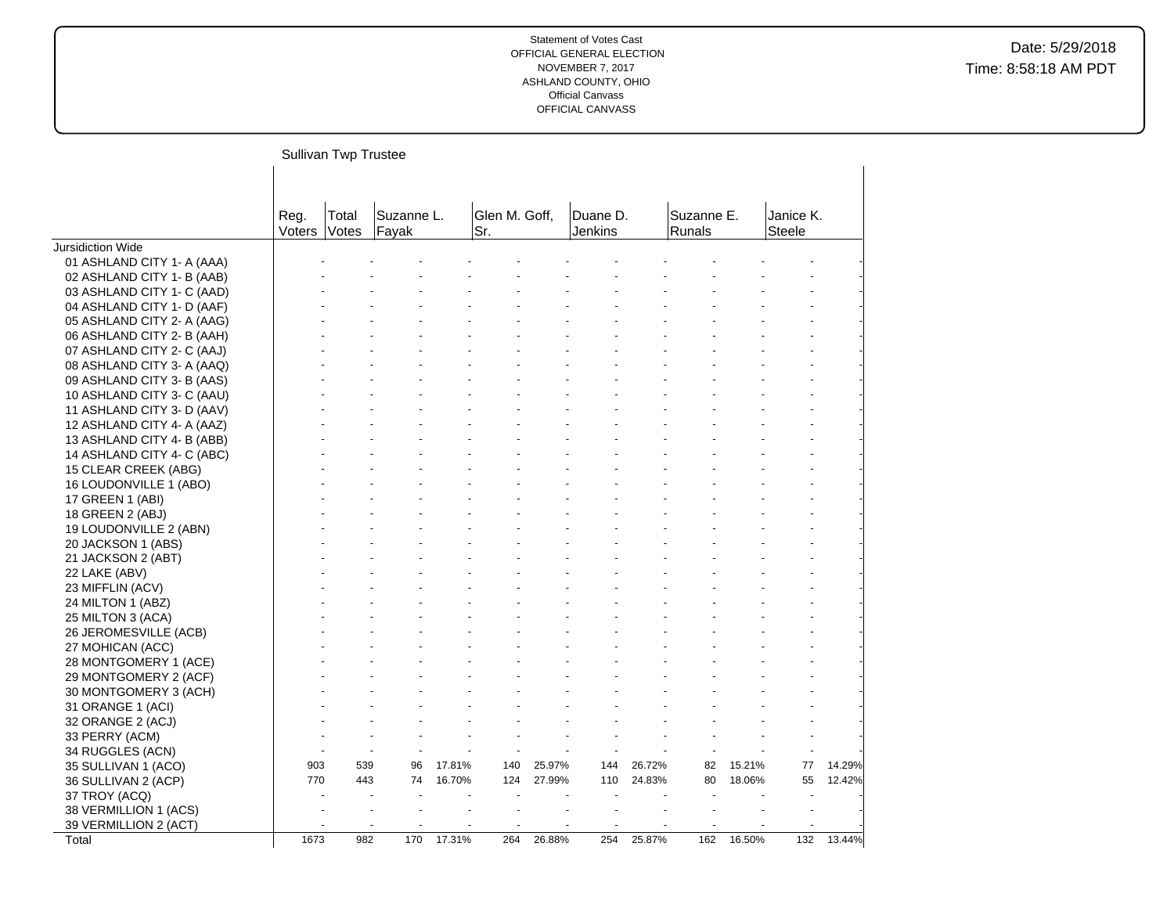|                            |                | Sullivan Twp Trustee |                     |        |                      |        |                     |        |                      |        |                     |        |
|----------------------------|----------------|----------------------|---------------------|--------|----------------------|--------|---------------------|--------|----------------------|--------|---------------------|--------|
|                            | Reg.<br>Voters | Total<br>Votes       | Suzanne L.<br>Fayak |        | Glen M. Goff,<br>Sr. |        | Duane D.<br>Jenkins |        | Suzanne E.<br>Runals |        | Janice K.<br>Steele |        |
| Jursidiction Wide          |                |                      |                     |        |                      |        |                     |        |                      |        |                     |        |
| 01 ASHLAND CITY 1- A (AAA) |                |                      |                     |        |                      |        |                     |        |                      |        |                     |        |
| 02 ASHLAND CITY 1- B (AAB) |                |                      |                     |        |                      |        |                     |        |                      |        |                     |        |
| 03 ASHLAND CITY 1- C (AAD) |                |                      |                     |        |                      |        |                     |        |                      |        |                     |        |
| 04 ASHLAND CITY 1- D (AAF) |                |                      |                     |        |                      |        |                     |        |                      |        |                     |        |
| 05 ASHLAND CITY 2- A (AAG) |                |                      |                     |        |                      |        |                     |        |                      |        |                     |        |
| 06 ASHLAND CITY 2- B (AAH) |                |                      |                     |        |                      |        |                     |        |                      |        |                     |        |
| 07 ASHLAND CITY 2- C (AAJ) |                |                      |                     |        |                      |        |                     |        |                      |        |                     |        |
| 08 ASHLAND CITY 3- A (AAQ) |                |                      |                     |        |                      |        |                     |        |                      |        |                     |        |
| 09 ASHLAND CITY 3- B (AAS) |                |                      |                     |        |                      |        |                     |        |                      |        |                     |        |
| 10 ASHLAND CITY 3- C (AAU) |                |                      |                     |        |                      |        |                     |        |                      |        |                     |        |
| 11 ASHLAND CITY 3- D (AAV) |                |                      |                     |        |                      |        |                     |        |                      |        |                     |        |
| 12 ASHLAND CITY 4- A (AAZ) |                |                      |                     |        |                      |        |                     |        |                      |        |                     |        |
| 13 ASHLAND CITY 4- B (ABB) |                |                      |                     |        |                      |        |                     |        |                      |        |                     |        |
| 14 ASHLAND CITY 4- C (ABC) |                |                      |                     |        |                      |        |                     |        |                      |        |                     |        |
| 15 CLEAR CREEK (ABG)       |                |                      |                     |        |                      |        |                     |        |                      |        |                     |        |
| 16 LOUDONVILLE 1 (ABO)     |                |                      |                     |        |                      |        |                     |        |                      |        |                     |        |
| 17 GREEN 1 (ABI)           |                |                      |                     |        |                      |        |                     |        |                      |        |                     |        |
| 18 GREEN 2 (ABJ)           |                |                      |                     |        |                      |        |                     |        |                      |        |                     |        |
| 19 LOUDONVILLE 2 (ABN)     |                |                      |                     |        |                      |        |                     |        |                      |        |                     |        |
| 20 JACKSON 1 (ABS)         |                |                      |                     |        |                      |        |                     |        |                      |        |                     |        |
| 21 JACKSON 2 (ABT)         |                |                      |                     |        |                      |        |                     |        |                      |        |                     |        |
| 22 LAKE (ABV)              |                |                      |                     |        |                      |        |                     |        |                      |        |                     |        |
| 23 MIFFLIN (ACV)           |                |                      |                     |        |                      |        |                     |        |                      |        |                     |        |
| 24 MILTON 1 (ABZ)          |                |                      |                     |        |                      |        |                     |        |                      |        |                     |        |
| 25 MILTON 3 (ACA)          |                |                      |                     |        |                      |        |                     |        |                      |        |                     |        |
| 26 JEROMESVILLE (ACB)      |                |                      |                     |        |                      |        |                     |        |                      |        |                     |        |
| 27 MOHICAN (ACC)           |                |                      |                     |        |                      |        |                     |        |                      |        |                     |        |
| 28 MONTGOMERY 1 (ACE)      |                |                      |                     |        |                      |        |                     |        |                      |        |                     |        |
| 29 MONTGOMERY 2 (ACF)      |                |                      |                     |        |                      |        |                     |        |                      |        |                     |        |
| 30 MONTGOMERY 3 (ACH)      |                |                      |                     |        |                      |        |                     |        |                      |        |                     |        |
| 31 ORANGE 1 (ACI)          |                |                      |                     |        |                      |        |                     |        |                      |        |                     |        |
| 32 ORANGE 2 (ACJ)          |                |                      |                     |        |                      |        |                     |        |                      |        |                     |        |
| 33 PERRY (ACM)             |                |                      |                     |        |                      |        |                     |        |                      |        |                     |        |
| 34 RUGGLES (ACN)           |                |                      |                     |        |                      |        |                     |        |                      |        |                     |        |
| 35 SULLIVAN 1 (ACO)        | 903            | 539                  | 96                  | 17.81% | 140                  | 25.97% | 144                 | 26.72% | 82                   | 15.21% | 77                  | 14.29% |
| 36 SULLIVAN 2 (ACP)        | 770            | 443                  | 74                  | 16.70% | 124                  | 27.99% | 110                 | 24.83% | 80                   | 18.06% | 55                  | 12.42% |
| 37 TROY (ACQ)              |                |                      |                     |        |                      |        |                     |        |                      |        |                     |        |
| 38 VERMILLION 1 (ACS)      |                |                      |                     |        |                      |        |                     |        |                      |        |                     |        |
| 39 VERMILLION 2 (ACT)      |                |                      |                     |        |                      |        |                     |        |                      |        |                     |        |
| Total                      | 1673           | 982                  | 170                 | 17.31% | 264                  | 26.88% | 254                 | 25.87% | 162                  | 16.50% | 132                 | 13.44% |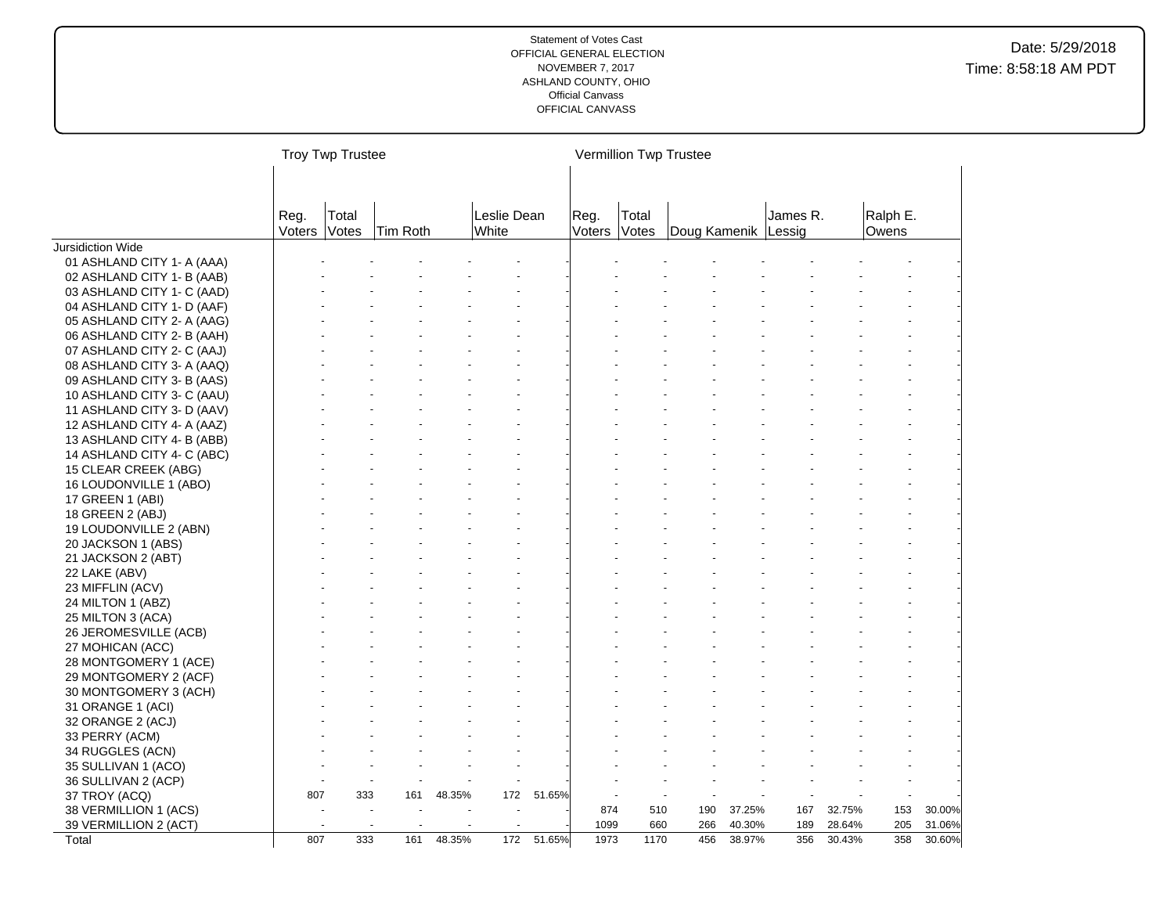|                            |                | <b>Troy Twp Trustee</b> |          |        |                      |        |                |                | Vermillion Twp Trustee |        |          |        |                   |        |
|----------------------------|----------------|-------------------------|----------|--------|----------------------|--------|----------------|----------------|------------------------|--------|----------|--------|-------------------|--------|
|                            |                |                         |          |        |                      |        |                |                |                        |        |          |        |                   |        |
|                            | Reg.<br>Voters | Total<br>Votes          | Tim Roth |        | Leslie Dean<br>White |        | Reg.<br>Voters | Total<br>Votes | Doug Kamenik Lessig    |        | James R. |        | Ralph E.<br>Owens |        |
| Jursidiction Wide          |                |                         |          |        |                      |        |                |                |                        |        |          |        |                   |        |
| 01 ASHLAND CITY 1- A (AAA) |                |                         |          |        |                      |        |                |                |                        |        |          |        |                   |        |
| 02 ASHLAND CITY 1- B (AAB) |                |                         |          |        |                      |        |                |                |                        |        |          |        |                   |        |
| 03 ASHLAND CITY 1- C (AAD) |                |                         |          |        |                      |        |                |                |                        |        |          |        |                   |        |
| 04 ASHLAND CITY 1- D (AAF) |                |                         |          |        |                      |        |                |                |                        |        |          |        |                   |        |
| 05 ASHLAND CITY 2- A (AAG) |                |                         |          |        |                      |        |                |                |                        |        |          |        |                   |        |
| 06 ASHLAND CITY 2- B (AAH) |                |                         |          |        |                      |        |                |                |                        |        |          |        |                   |        |
| 07 ASHLAND CITY 2- C (AAJ) |                |                         |          |        |                      |        |                |                |                        |        |          |        |                   |        |
| 08 ASHLAND CITY 3- A (AAQ) |                |                         |          |        |                      |        |                |                |                        |        |          |        |                   |        |
| 09 ASHLAND CITY 3- B (AAS) |                |                         |          |        |                      |        |                |                |                        |        |          |        |                   |        |
| 10 ASHLAND CITY 3- C (AAU) |                |                         |          |        |                      |        |                |                |                        |        |          |        |                   |        |
| 11 ASHLAND CITY 3- D (AAV) |                |                         |          |        |                      |        |                |                |                        |        |          |        |                   |        |
| 12 ASHLAND CITY 4- A (AAZ) |                |                         |          |        |                      |        |                |                |                        |        |          |        |                   |        |
| 13 ASHLAND CITY 4- B (ABB) |                |                         |          |        |                      |        |                |                |                        |        |          |        |                   |        |
| 14 ASHLAND CITY 4- C (ABC) |                |                         |          |        |                      |        |                |                |                        |        |          |        |                   |        |
| 15 CLEAR CREEK (ABG)       |                |                         |          |        |                      |        |                |                |                        |        |          |        |                   |        |
| 16 LOUDONVILLE 1 (ABO)     |                |                         |          |        |                      |        |                |                |                        |        |          |        |                   |        |
| 17 GREEN 1 (ABI)           |                |                         |          |        |                      |        |                |                |                        |        |          |        |                   |        |
| 18 GREEN 2 (ABJ)           |                |                         |          |        |                      |        |                |                |                        |        |          |        |                   |        |
| 19 LOUDONVILLE 2 (ABN)     |                |                         |          |        |                      |        |                |                |                        |        |          |        |                   |        |
| 20 JACKSON 1 (ABS)         |                |                         |          |        |                      |        |                |                |                        |        |          |        |                   |        |
| 21 JACKSON 2 (ABT)         |                |                         |          |        |                      |        |                |                |                        |        |          |        |                   |        |
| 22 LAKE (ABV)              |                |                         |          |        |                      |        |                |                |                        |        |          |        |                   |        |
| 23 MIFFLIN (ACV)           |                |                         |          |        |                      |        |                |                |                        |        |          |        |                   |        |
| 24 MILTON 1 (ABZ)          |                |                         |          |        |                      |        |                |                |                        |        |          |        |                   |        |
| 25 MILTON 3 (ACA)          |                |                         |          |        |                      |        |                |                |                        |        |          |        |                   |        |
| 26 JEROMESVILLE (ACB)      |                |                         |          |        |                      |        |                |                |                        |        |          |        |                   |        |
| 27 MOHICAN (ACC)           |                |                         |          |        |                      |        |                |                |                        |        |          |        |                   |        |
| 28 MONTGOMERY 1 (ACE)      |                |                         |          |        |                      |        |                |                |                        |        |          |        |                   |        |
| 29 MONTGOMERY 2 (ACF)      |                |                         |          |        |                      |        |                |                |                        |        |          |        |                   |        |
| 30 MONTGOMERY 3 (ACH)      |                |                         |          |        |                      |        |                |                |                        |        |          |        |                   |        |
| 31 ORANGE 1 (ACI)          |                |                         |          |        |                      |        |                |                |                        |        |          |        |                   |        |
| 32 ORANGE 2 (ACJ)          |                |                         |          |        |                      |        |                |                |                        |        |          |        |                   |        |
| 33 PERRY (ACM)             |                |                         |          |        |                      |        |                |                |                        |        |          |        |                   |        |
| 34 RUGGLES (ACN)           |                |                         |          |        |                      |        |                |                |                        |        |          |        |                   |        |
| 35 SULLIVAN 1 (ACO)        |                |                         |          |        |                      |        |                |                |                        |        |          |        |                   |        |
| 36 SULLIVAN 2 (ACP)        |                |                         |          |        |                      |        |                |                |                        |        |          |        |                   |        |
| 37 TROY (ACQ)              | 807            | 333                     | 161      | 48.35% | 172                  | 51.65% |                |                |                        |        |          |        |                   |        |
| 38 VERMILLION 1 (ACS)      |                |                         |          |        |                      |        | 874            | 510            | 190                    | 37.25% | 167      | 32.75% | 153               | 30.00% |
| 39 VERMILLION 2 (ACT)      |                | $\overline{a}$          |          |        |                      |        | 1099           | 660            | 266                    | 40.30% | 189      | 28.64% | 205               | 31.06% |
| Total                      | 807            | 333                     | 161      | 48.35% | 172                  | 51.65% | 1973           | 1170           | 456                    | 38.97% | 356      | 30.43% | 358               | 30.60% |
|                            |                |                         |          |        |                      |        |                |                |                        |        |          |        |                   |        |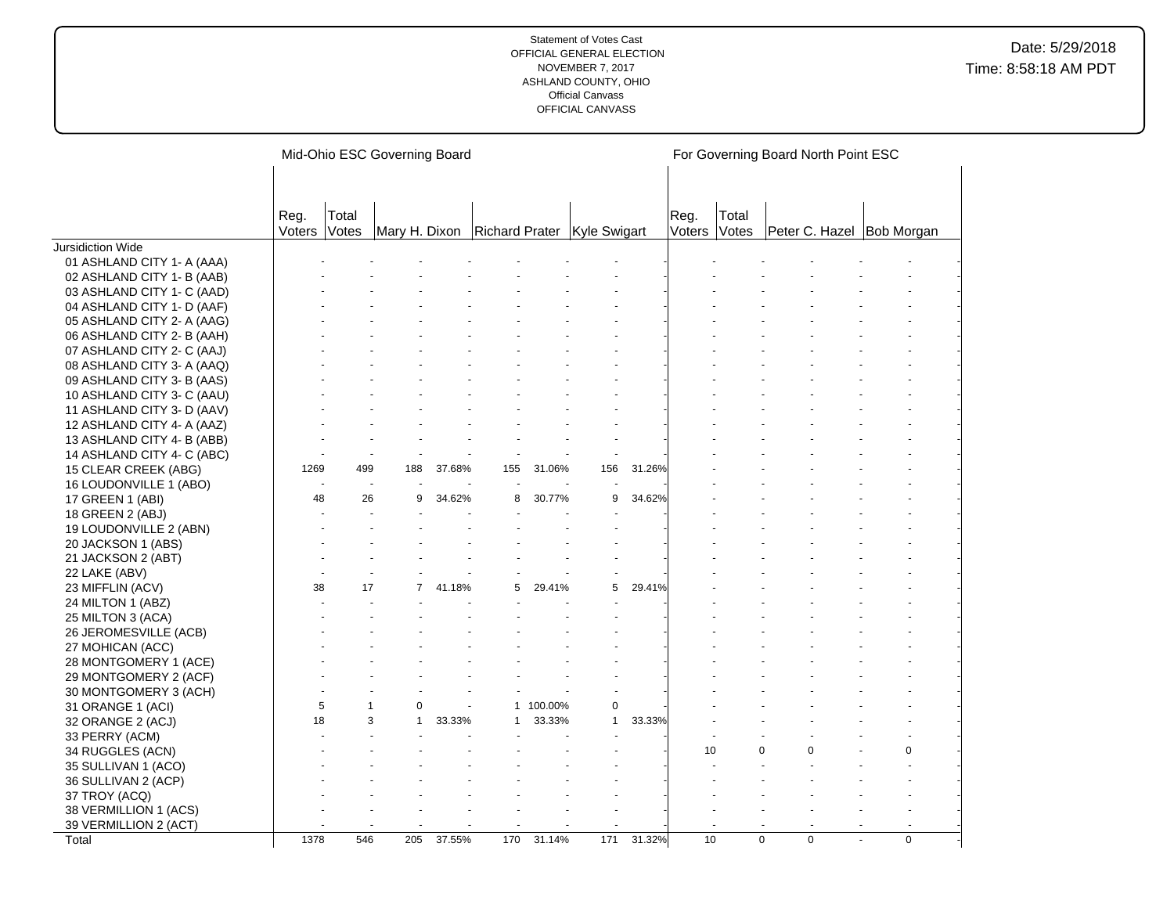|                                           |                |                       | Mid-Ohio ESC Governing Board              |        |              |           |              |        |                |                |             | For Governing Board North Point ESC |    |             |
|-------------------------------------------|----------------|-----------------------|-------------------------------------------|--------|--------------|-----------|--------------|--------|----------------|----------------|-------------|-------------------------------------|----|-------------|
|                                           |                |                       |                                           |        |              |           |              |        |                |                |             |                                     |    |             |
|                                           |                |                       |                                           |        |              |           |              |        |                |                |             |                                     |    |             |
|                                           | Reg.<br>Voters | Total<br><b>Votes</b> | Mary H. Dixon Richard Prater Kyle Swigart |        |              |           |              |        | Reg.<br>Voters | Total<br>Votes |             | Peter C. Hazel Bob Morgan           |    |             |
| Jursidiction Wide                         |                |                       |                                           |        |              |           |              |        |                |                |             |                                     |    |             |
| 01 ASHLAND CITY 1- A (AAA)                |                |                       |                                           |        |              |           |              |        |                |                |             |                                     |    |             |
| 02 ASHLAND CITY 1- B (AAB)                |                |                       |                                           |        |              |           |              |        |                |                |             |                                     |    |             |
| 03 ASHLAND CITY 1- C (AAD)                |                |                       |                                           |        |              |           |              |        |                |                |             |                                     |    |             |
| 04 ASHLAND CITY 1- D (AAF)                |                |                       |                                           |        |              |           |              |        |                |                |             |                                     |    |             |
| 05 ASHLAND CITY 2- A (AAG)                |                |                       |                                           |        |              |           |              |        |                |                |             |                                     |    |             |
| 06 ASHLAND CITY 2- B (AAH)                |                |                       |                                           |        |              |           |              |        |                |                |             |                                     |    |             |
| 07 ASHLAND CITY 2- C (AAJ)                |                |                       |                                           |        |              |           |              |        |                |                |             |                                     |    |             |
| 08 ASHLAND CITY 3- A (AAQ)                |                |                       |                                           |        |              |           |              |        |                |                |             |                                     |    |             |
| 09 ASHLAND CITY 3- B (AAS)                |                |                       |                                           |        |              |           |              |        |                |                |             |                                     |    |             |
| 10 ASHLAND CITY 3- C (AAU)                |                |                       |                                           |        |              |           |              |        |                |                |             |                                     |    |             |
| 11 ASHLAND CITY 3- D (AAV)                |                |                       |                                           |        |              |           |              |        |                |                |             |                                     |    |             |
| 12 ASHLAND CITY 4- A (AAZ)                |                |                       |                                           |        |              |           |              |        |                |                |             |                                     |    |             |
| 13 ASHLAND CITY 4- B (ABB)                |                |                       |                                           |        |              |           |              |        |                |                |             |                                     |    |             |
| 14 ASHLAND CITY 4- C (ABC)                |                |                       |                                           |        |              |           |              |        |                |                |             |                                     |    |             |
| 15 CLEAR CREEK (ABG)                      | 1269           | 499                   | 188                                       | 37.68% | 155          | 31.06%    | 156          | 31.26% |                |                |             |                                     |    |             |
| 16 LOUDONVILLE 1 (ABO)                    |                |                       |                                           |        |              |           |              |        |                |                |             |                                     |    |             |
| 17 GREEN 1 (ABI)                          | 48             | 26                    | 9                                         | 34.62% | 8            | 30.77%    | 9            | 34.62% |                |                |             |                                     |    |             |
| 18 GREEN 2 (ABJ)                          |                |                       |                                           |        |              |           |              |        |                |                |             |                                     |    |             |
| 19 LOUDONVILLE 2 (ABN)                    |                |                       |                                           |        |              |           |              |        |                |                |             |                                     |    |             |
| 20 JACKSON 1 (ABS)                        |                |                       |                                           |        |              |           |              |        |                |                |             |                                     |    |             |
| 21 JACKSON 2 (ABT)                        |                |                       |                                           |        |              |           |              |        |                |                |             |                                     |    |             |
| 22 LAKE (ABV)                             |                |                       |                                           |        |              |           |              |        |                |                |             |                                     |    |             |
| 23 MIFFLIN (ACV)                          | 38             | 17                    | 7                                         | 41.18% | 5            | 29.41%    | 5            | 29.41% |                |                |             |                                     |    |             |
| 24 MILTON 1 (ABZ)                         |                |                       |                                           |        |              |           |              |        |                |                |             |                                     |    |             |
|                                           |                |                       |                                           |        |              |           |              |        |                |                |             |                                     |    |             |
| 25 MILTON 3 (ACA)                         |                |                       |                                           |        |              |           |              |        |                |                |             |                                     |    |             |
| 26 JEROMESVILLE (ACB)                     |                |                       |                                           |        |              |           |              |        |                |                |             |                                     |    |             |
| 27 MOHICAN (ACC)<br>28 MONTGOMERY 1 (ACE) |                |                       |                                           |        |              |           |              |        |                |                |             |                                     |    |             |
|                                           |                |                       |                                           |        |              |           |              |        |                |                |             |                                     |    |             |
| 29 MONTGOMERY 2 (ACF)                     |                |                       |                                           |        |              |           |              |        |                |                |             |                                     |    |             |
| 30 MONTGOMERY 3 (ACH)                     | 5              |                       | 0                                         |        |              | 1 100.00% | 0            |        |                |                |             |                                     |    |             |
| 31 ORANGE 1 (ACI)                         | 18             |                       | 3<br>1                                    | 33.33% | $\mathbf{1}$ | 33.33%    | $\mathbf{1}$ | 33.33% |                |                |             |                                     |    |             |
| 32 ORANGE 2 (ACJ)                         |                |                       |                                           |        |              |           |              |        |                |                |             |                                     |    |             |
| 33 PERRY (ACM)                            |                |                       |                                           |        |              |           |              |        | 10             |                | $\Omega$    | $\Omega$                            |    | $\mathbf 0$ |
| 34 RUGGLES (ACN)                          |                |                       |                                           |        |              |           |              |        |                |                |             |                                     |    |             |
| 35 SULLIVAN 1 (ACO)                       |                |                       |                                           |        |              |           |              |        |                |                |             |                                     |    |             |
| 36 SULLIVAN 2 (ACP)                       |                |                       |                                           |        |              |           |              |        |                |                |             |                                     |    |             |
| 37 TROY (ACQ)                             |                |                       |                                           |        |              |           |              |        |                |                |             |                                     |    |             |
| 38 VERMILLION 1 (ACS)                     |                |                       |                                           |        |              |           |              |        |                |                |             |                                     |    |             |
| 39 VERMILLION 2 (ACT)                     | 1378           | 546                   |                                           |        | 170          |           | 171          | 31.32% | 10             |                | $\mathbf 0$ | $\mathbf 0$                         | ÷. | $\mathbf 0$ |
| Total                                     |                |                       | 205                                       | 37.55% |              | 31.14%    |              |        |                |                |             |                                     |    |             |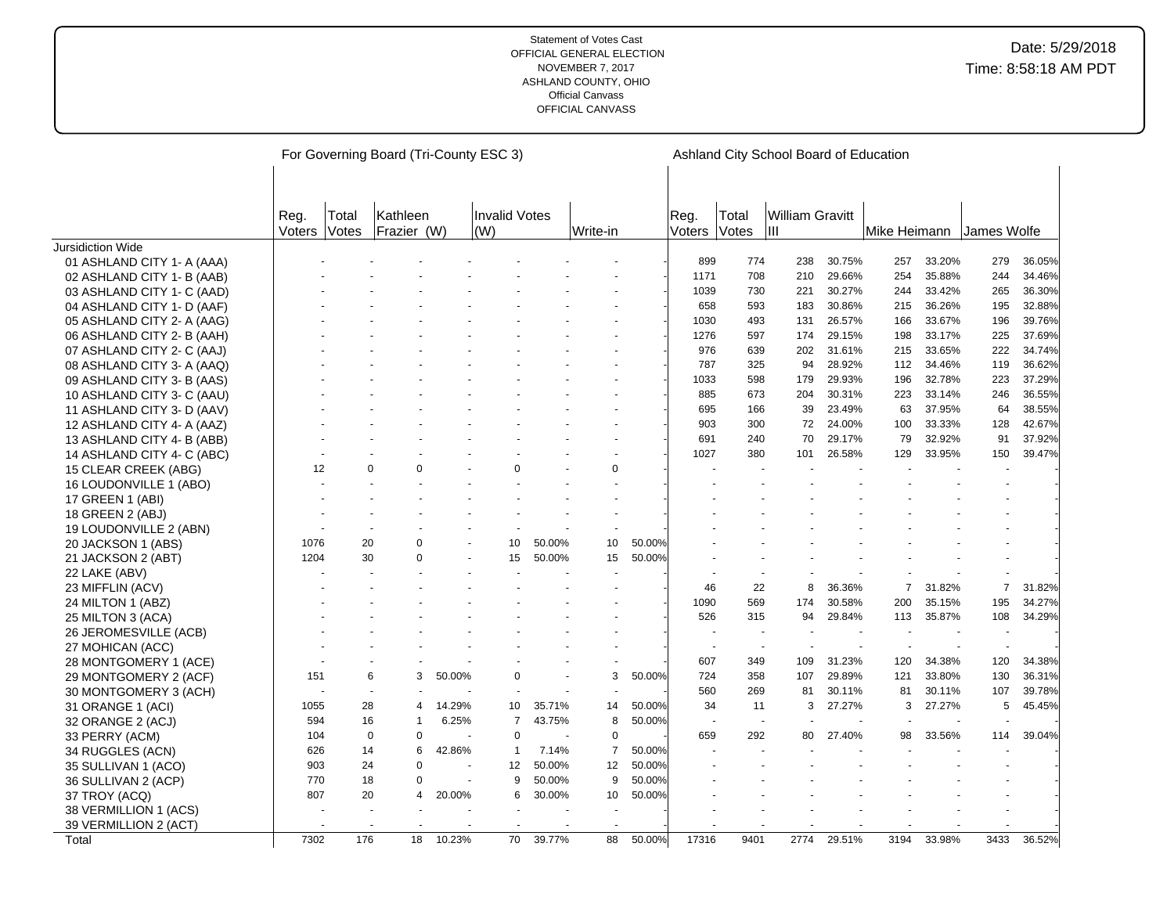|                            |                       |                | For Governing Board (Tri-County ESC 3) |        |                |        |                |        |                |                          | Ashland City School Board of Education |        |              |        |                |        |
|----------------------------|-----------------------|----------------|----------------------------------------|--------|----------------|--------|----------------|--------|----------------|--------------------------|----------------------------------------|--------|--------------|--------|----------------|--------|
|                            |                       |                |                                        |        |                |        |                |        |                |                          |                                        |        |              |        |                |        |
|                            |                       |                |                                        |        |                |        |                |        |                |                          |                                        |        |              |        |                |        |
|                            |                       |                | Kathleen                               |        | Invalid Votes  |        |                |        |                |                          |                                        |        |              |        |                |        |
|                            | Reg.<br><b>Voters</b> | Total<br>Votes | Frazier (W)                            |        | (W)            |        | Write-in       |        | Reg.<br>Voters | Total<br>Votes           | <b>William Gravitt</b><br>Iш           |        | Mike Heimann |        | James Wolfe    |        |
| Jursidiction Wide          |                       |                |                                        |        |                |        |                |        |                |                          |                                        |        |              |        |                |        |
| 01 ASHLAND CITY 1- A (AAA) |                       |                |                                        |        |                |        |                |        | 899            | 774                      | 238                                    | 30.75% | 257          | 33.20% | 279            | 36.05% |
| 02 ASHLAND CITY 1- B (AAB) |                       |                |                                        |        |                |        |                |        | 1171           | 708                      | 210                                    | 29.66% | 254          | 35.88% | 244            | 34.46% |
| 03 ASHLAND CITY 1- C (AAD) |                       |                |                                        |        |                |        |                |        | 1039           | 730                      | 221                                    | 30.27% | 244          | 33.42% | 265            | 36.30% |
| 04 ASHLAND CITY 1- D (AAF) |                       |                |                                        |        |                |        |                |        | 658            | 593                      | 183                                    | 30.86% | 215          | 36.26% | 195            | 32.88% |
| 05 ASHLAND CITY 2- A (AAG) |                       |                |                                        |        |                |        |                |        | 1030           | 493                      | 131                                    | 26.57% | 166          | 33.67% | 196            | 39.76% |
| 06 ASHLAND CITY 2- B (AAH) |                       |                |                                        |        |                |        |                |        | 1276           | 597                      | 174                                    | 29.15% | 198          | 33.17% | 225            | 37.69% |
| 07 ASHLAND CITY 2- C (AAJ) |                       |                |                                        |        |                |        |                |        | 976            | 639                      | 202                                    | 31.61% | 215          | 33.65% | 222            | 34.74% |
| 08 ASHLAND CITY 3- A (AAQ) |                       |                |                                        |        |                |        |                |        | 787            | 325                      | 94                                     | 28.92% | 112          | 34.46% | 119            | 36.62% |
| 09 ASHLAND CITY 3- B (AAS) |                       |                |                                        |        |                |        |                |        | 1033           | 598                      | 179                                    | 29.93% | 196          | 32.78% | 223            | 37.29% |
| 10 ASHLAND CITY 3- C (AAU) |                       |                |                                        |        |                |        |                |        | 885            | 673                      | 204                                    | 30.31% | 223          | 33.14% | 246            | 36.55% |
| 11 ASHLAND CITY 3- D (AAV) |                       |                |                                        |        |                |        |                |        | 695            | 166                      | 39                                     | 23.49% | 63           | 37.95% | 64             | 38.55% |
| 12 ASHLAND CITY 4- A (AAZ) |                       |                |                                        |        |                |        |                |        | 903            | 300                      | 72                                     | 24.00% | 100          | 33.33% | 128            | 42.67% |
| 13 ASHLAND CITY 4- B (ABB) |                       |                |                                        |        |                |        |                |        | 691            | 240                      | 70                                     | 29.17% | 79           | 32.92% | 91             | 37.92% |
| 14 ASHLAND CITY 4- C (ABC) |                       |                |                                        |        |                |        |                |        | 1027           | 380                      | 101                                    | 26.58% | 129          | 33.95% | 150            | 39.47% |
| 15 CLEAR CREEK (ABG)       | 12                    |                | 0<br>$\Omega$                          |        | $\Omega$       |        | $\mathbf 0$    |        |                |                          |                                        |        |              |        |                |        |
| 16 LOUDONVILLE 1 (ABO)     |                       |                |                                        |        |                |        |                |        |                |                          |                                        |        |              |        |                |        |
| 17 GREEN 1 (ABI)           |                       |                |                                        |        |                |        |                |        |                |                          |                                        |        |              |        |                |        |
| 18 GREEN 2 (ABJ)           |                       |                |                                        |        |                |        |                |        |                |                          |                                        |        |              |        |                |        |
| 19 LOUDONVILLE 2 (ABN)     |                       |                |                                        |        |                |        |                |        |                |                          |                                        |        |              |        |                |        |
| 20 JACKSON 1 (ABS)         | 1076                  | 20             | $\Omega$                               |        | 10             | 50.00% | 10             | 50.00% |                |                          |                                        |        |              |        |                |        |
| 21 JACKSON 2 (ABT)         | 1204                  | 30             | $\Omega$                               |        | 15             | 50.00% | 15             | 50.00% |                |                          |                                        |        |              |        |                |        |
| 22 LAKE (ABV)              |                       |                |                                        |        |                |        |                |        |                |                          |                                        |        |              |        |                |        |
| 23 MIFFLIN (ACV)           |                       |                |                                        |        |                |        |                |        | 46             | 22                       | 8                                      | 36.36% | 7            | 31.82% | $\overline{7}$ | 31.82% |
| 24 MILTON 1 (ABZ)          |                       |                |                                        |        |                |        |                |        | 1090           | 569                      | 174                                    | 30.58% | 200          | 35.15% | 195            | 34.27% |
| 25 MILTON 3 (ACA)          |                       |                |                                        |        |                |        |                |        | 526            | 315                      | 94                                     | 29.84% | 113          | 35.87% | 108            | 34.29% |
| 26 JEROMESVILLE (ACB)      |                       |                |                                        |        |                |        |                |        |                |                          |                                        |        |              |        |                |        |
| 27 MOHICAN (ACC)           |                       |                |                                        |        |                |        |                |        |                |                          |                                        |        |              |        |                |        |
| 28 MONTGOMERY 1 (ACE)      |                       |                |                                        |        |                |        |                |        | 607            | 349                      | 109                                    | 31.23% | 120          | 34.38% | 120            | 34.38% |
| 29 MONTGOMERY 2 (ACF)      | 151                   |                | 6<br>3                                 | 50.00% | $\Omega$       |        | 3              | 50.00% | 724            | 358                      | 107                                    | 29.89% | 121          | 33.80% | 130            | 36.31% |
| 30 MONTGOMERY 3 (ACH)      |                       |                |                                        |        |                |        |                |        | 560            | 269                      | 81                                     | 30.11% | 81           | 30.11% | 107            | 39.78% |
| 31 ORANGE 1 (ACI)          | 1055                  |                | 28<br>$\overline{4}$                   | 14.29% | 10             | 35.71% | 14             | 50.00% | 34             | 11                       | 3                                      | 27.27% | 3            | 27.27% | 5              | 45.45% |
| 32 ORANGE 2 (ACJ)          | 594                   | 16             | 1                                      | 6.25%  | $\overline{7}$ | 43.75% | 8              | 50.00% |                | $\overline{\phantom{a}}$ |                                        |        |              |        |                |        |
| 33 PERRY (ACM)             | 104                   |                | $\mathbf 0$<br>$\mathbf 0$             |        | $\mathbf 0$    |        | $\pmb{0}$      |        | 659            | 292                      | 80                                     | 27.40% | 98           | 33.56% | 114            | 39.04% |
| 34 RUGGLES (ACN)           | 626                   | 14             | 6                                      | 42.86% | $\mathbf{1}$   | 7.14%  | $\overline{7}$ | 50.00% |                |                          |                                        |        |              |        |                |        |
| 35 SULLIVAN 1 (ACO)        | 903                   | 24             | $\Omega$                               |        | 12             | 50.00% | 12             | 50.00% |                |                          |                                        |        |              |        |                |        |
| 36 SULLIVAN 2 (ACP)        | 770                   | 18             | $\Omega$                               |        | 9              | 50.00% | 9              | 50.00% |                |                          |                                        |        |              |        |                |        |
| 37 TROY (ACQ)              | 807                   | 20             | $\overline{4}$                         | 20.00% | 6              | 30.00% | 10             | 50.00% |                |                          |                                        |        |              |        |                |        |
| 38 VERMILLION 1 (ACS)      |                       |                |                                        |        |                |        |                |        |                |                          |                                        |        |              |        |                |        |
| 39 VERMILLION 2 (ACT)      |                       |                |                                        |        |                |        |                |        |                |                          |                                        |        |              |        |                |        |
| Total                      | 7302                  | 176            | 18                                     | 10.23% | 70             | 39.77% | 88             | 50.00% | 17316          | 9401                     | 2774                                   | 29.51% | 3194         | 33.98% | 3433           | 36.52% |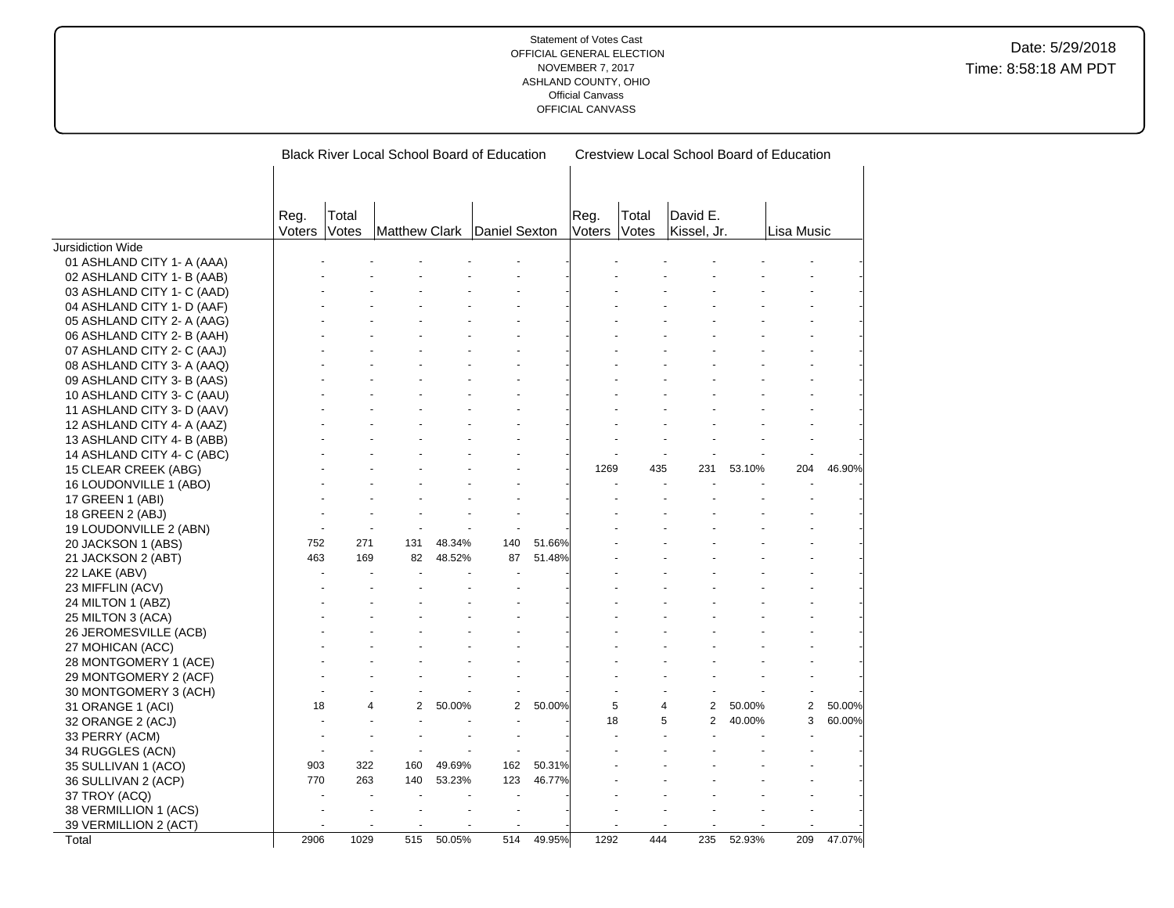|                            |                |       | <b>Black River Local School Board of Education</b> |        |                |        |                   |       | Crestview Local School Board of Education |        |                |        |
|----------------------------|----------------|-------|----------------------------------------------------|--------|----------------|--------|-------------------|-------|-------------------------------------------|--------|----------------|--------|
|                            |                |       |                                                    |        |                |        |                   |       |                                           |        |                |        |
|                            |                |       |                                                    |        |                |        |                   |       |                                           |        |                |        |
|                            |                | Total |                                                    |        |                |        | Reg.              | Total | David E.                                  |        |                |        |
|                            | Reg.<br>Voters | Votes | <b>Matthew Clark</b>                               |        | Daniel Sexton  |        | Voters            | Votes | Kissel, Jr.                               |        | Lisa Music     |        |
| Jursidiction Wide          |                |       |                                                    |        |                |        |                   |       |                                           |        |                |        |
| 01 ASHLAND CITY 1- A (AAA) |                |       |                                                    |        |                |        |                   |       |                                           |        |                |        |
| 02 ASHLAND CITY 1- B (AAB) |                |       |                                                    |        |                |        |                   |       |                                           |        |                |        |
| 03 ASHLAND CITY 1- C (AAD) |                |       |                                                    |        |                |        |                   |       |                                           |        |                |        |
| 04 ASHLAND CITY 1- D (AAF) |                |       |                                                    |        |                |        |                   |       |                                           |        |                |        |
| 05 ASHLAND CITY 2- A (AAG) |                |       |                                                    |        |                |        |                   |       |                                           |        |                |        |
| 06 ASHLAND CITY 2- B (AAH) |                |       |                                                    |        |                |        |                   |       |                                           |        |                |        |
| 07 ASHLAND CITY 2- C (AAJ) |                |       |                                                    |        |                |        |                   |       |                                           |        |                |        |
| 08 ASHLAND CITY 3- A (AAQ) |                |       |                                                    |        |                |        |                   |       |                                           |        |                |        |
| 09 ASHLAND CITY 3- B (AAS) |                |       |                                                    |        |                |        |                   |       |                                           |        |                |        |
| 10 ASHLAND CITY 3- C (AAU) |                |       |                                                    |        |                |        |                   |       |                                           |        |                |        |
| 11 ASHLAND CITY 3- D (AAV) |                |       |                                                    |        |                |        |                   |       |                                           |        |                |        |
| 12 ASHLAND CITY 4- A (AAZ) |                |       |                                                    |        |                |        |                   |       |                                           |        |                |        |
| 13 ASHLAND CITY 4- B (ABB) |                |       |                                                    |        |                |        |                   |       |                                           |        |                |        |
| 14 ASHLAND CITY 4- C (ABC) |                |       |                                                    |        |                |        |                   |       |                                           |        |                |        |
| 15 CLEAR CREEK (ABG)       |                |       |                                                    |        |                |        | 1269              | 435   | 231                                       | 53.10% | 204            | 46.90% |
| 16 LOUDONVILLE 1 (ABO)     |                |       |                                                    |        |                |        |                   |       |                                           |        |                |        |
| 17 GREEN 1 (ABI)           |                |       |                                                    |        |                |        |                   |       |                                           |        |                |        |
| 18 GREEN 2 (ABJ)           |                |       |                                                    |        |                |        |                   |       |                                           |        |                |        |
| 19 LOUDONVILLE 2 (ABN)     |                | ÷.    |                                                    |        |                |        |                   |       |                                           |        |                |        |
| 20 JACKSON 1 (ABS)         | 752            | 271   | 131                                                | 48.34% | 140            | 51.66% |                   |       |                                           |        |                |        |
| 21 JACKSON 2 (ABT)         | 463            | 169   | 82                                                 | 48.52% | 87             | 51.48% |                   |       |                                           |        |                |        |
| 22 LAKE (ABV)              |                |       |                                                    |        |                |        |                   |       |                                           |        |                |        |
| 23 MIFFLIN (ACV)           |                |       |                                                    |        |                |        |                   |       |                                           |        |                |        |
| 24 MILTON 1 (ABZ)          |                |       |                                                    |        |                |        |                   |       |                                           |        |                |        |
| 25 MILTON 3 (ACA)          |                |       |                                                    |        |                |        |                   |       |                                           |        |                |        |
| 26 JEROMESVILLE (ACB)      |                |       |                                                    |        |                |        |                   |       |                                           |        |                |        |
| 27 MOHICAN (ACC)           |                |       |                                                    |        |                |        |                   |       |                                           |        |                |        |
| 28 MONTGOMERY 1 (ACE)      |                |       |                                                    |        |                |        |                   |       |                                           |        |                |        |
| 29 MONTGOMERY 2 (ACF)      |                |       |                                                    |        |                |        |                   |       |                                           |        |                |        |
| 30 MONTGOMERY 3 (ACH)      |                |       |                                                    |        |                |        |                   |       |                                           |        |                |        |
| 31 ORANGE 1 (ACI)          | 18             | 4     | $\overline{2}$                                     | 50.00% | $\overline{2}$ | 50.00% | 5                 |       | 4<br>2                                    | 50.00% | $\overline{2}$ | 50.00% |
| 32 ORANGE 2 (ACJ)          |                |       |                                                    |        |                |        | 18                |       | $\overline{2}$<br>5                       | 40.00% | 3              | 60.00% |
| 33 PERRY (ACM)             |                |       |                                                    |        |                |        |                   |       |                                           |        |                |        |
| 34 RUGGLES (ACN)           |                |       |                                                    |        |                |        |                   |       |                                           |        |                |        |
| 35 SULLIVAN 1 (ACO)        | 903            | 322   | 160                                                | 49.69% | 162            | 50.31% |                   |       |                                           |        |                |        |
| 36 SULLIVAN 2 (ACP)        | 770            | 263   | 140                                                | 53.23% | 123            | 46.77% |                   |       |                                           |        |                |        |
| 37 TROY (ACQ)              |                |       |                                                    |        |                |        |                   |       |                                           |        |                |        |
| 38 VERMILLION 1 (ACS)      |                |       |                                                    |        | ä,             |        |                   |       |                                           |        |                |        |
| 39 VERMILLION 2 (ACT)      |                |       |                                                    |        |                |        |                   |       |                                           |        |                |        |
| Total                      | 2906           | 1029  | 515                                                | 50.05% | 514            | 49.95% | $129\overline{2}$ | 444   | 235                                       | 52.93% | 209            | 47.07% |
|                            |                |       |                                                    |        |                |        |                   |       |                                           |        |                |        |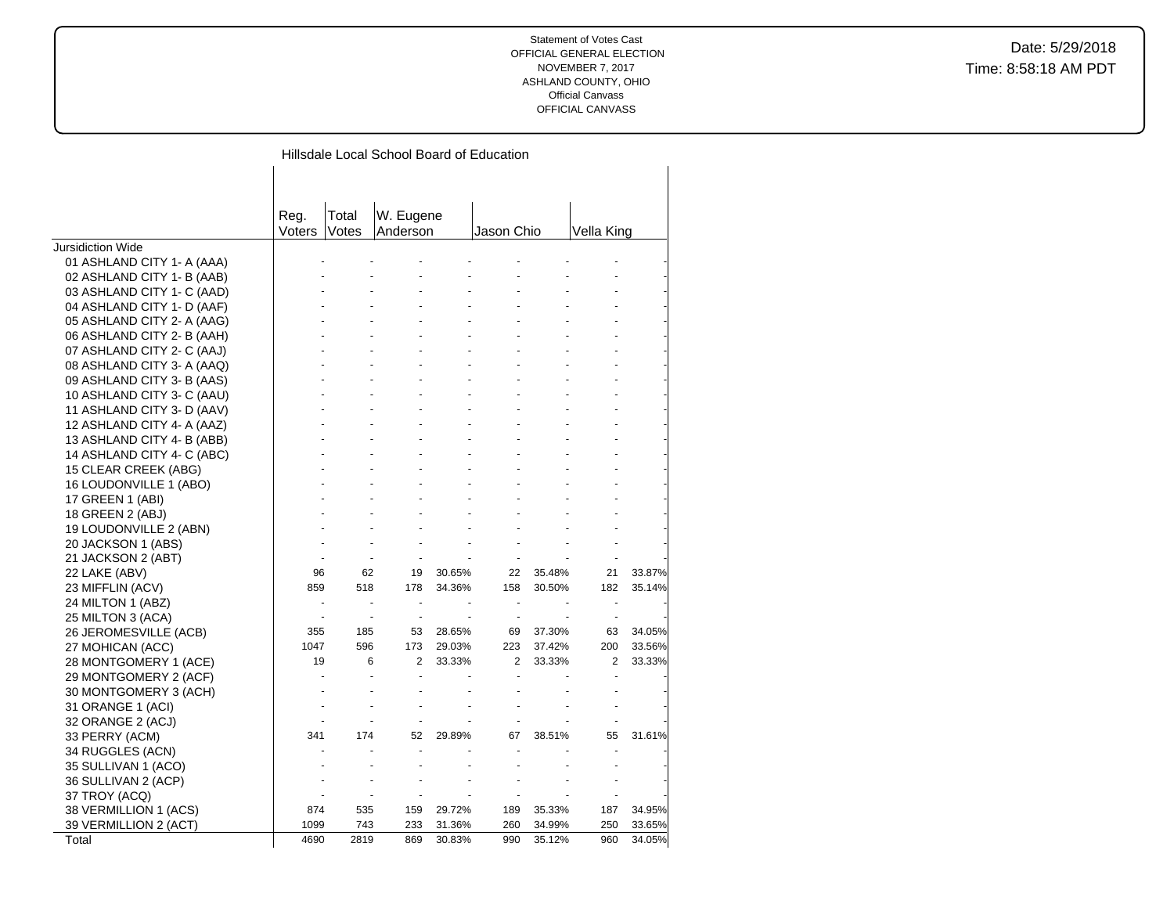|  |  |  |  | Hillsdale Local School Board of Education |
|--|--|--|--|-------------------------------------------|
|--|--|--|--|-------------------------------------------|

|                            | Reg.   | Total | W. Eugene      |        |            |        |            |        |
|----------------------------|--------|-------|----------------|--------|------------|--------|------------|--------|
|                            | Voters | Votes | Anderson       |        | Jason Chio |        | Vella King |        |
| <b>Jursidiction Wide</b>   |        |       |                |        |            |        |            |        |
| 01 ASHLAND CITY 1- A (AAA) |        |       |                |        |            |        |            |        |
| 02 ASHLAND CITY 1- B (AAB) |        |       |                |        |            |        |            |        |
| 03 ASHLAND CITY 1- C (AAD) |        |       |                |        |            |        |            |        |
| 04 ASHLAND CITY 1- D (AAF) |        |       |                |        |            |        |            |        |
| 05 ASHLAND CITY 2- A (AAG) |        |       |                |        |            |        |            |        |
| 06 ASHLAND CITY 2- B (AAH) |        |       |                |        |            |        |            |        |
| 07 ASHLAND CITY 2- C (AAJ) |        |       |                |        |            |        |            |        |
| 08 ASHLAND CITY 3- A (AAQ) |        |       |                |        |            |        |            |        |
| 09 ASHLAND CITY 3- B (AAS) |        |       |                |        |            |        |            |        |
| 10 ASHLAND CITY 3- C (AAU) |        |       |                |        |            |        |            |        |
| 11 ASHLAND CITY 3- D (AAV) |        |       |                |        |            |        |            |        |
| 12 ASHLAND CITY 4- A (AAZ) |        |       |                |        |            |        |            |        |
| 13 ASHLAND CITY 4- B (ABB) |        |       |                |        |            |        |            |        |
| 14 ASHLAND CITY 4- C (ABC) |        |       |                |        |            |        |            |        |
| 15 CLEAR CREEK (ABG)       |        |       |                |        |            |        |            |        |
| 16 LOUDONVILLE 1 (ABO)     |        |       |                |        |            |        |            |        |
| 17 GREEN 1 (ABI)           |        |       |                |        |            |        |            |        |
| 18 GREEN 2 (ABJ)           |        |       |                |        |            |        |            |        |
| 19 LOUDONVILLE 2 (ABN)     |        |       |                |        |            |        |            |        |
| 20 JACKSON 1 (ABS)         |        |       |                |        |            |        |            |        |
| 21 JACKSON 2 (ABT)         |        |       |                |        |            |        |            |        |
| 22 LAKE (ABV)              | 96     | 62    | 19             | 30.65% | 22         | 35.48% | 21         | 33.87% |
| 23 MIFFLIN (ACV)           | 859    | 518   | 178            | 34.36% | 158        | 30.50% | 182        | 35.14% |
| 24 MILTON 1 (ABZ)          |        |       | ÷.             |        |            |        |            |        |
| 25 MILTON 3 (ACA)          |        |       | ÷.             |        |            |        |            |        |
| 26 JEROMESVILLE (ACB)      | 355    | 185   | 53             | 28.65% | 69         | 37.30% | 63         | 34.05% |
| 27 MOHICAN (ACC)           | 1047   | 596   | 173            | 29.03% | 223        | 37.42% | 200        | 33.56% |
|                            | 19     | 6     | 2              | 33.33% | 2          | 33.33% | 2          | 33.33% |
| 28 MONTGOMERY 1 (ACE)      |        |       |                |        |            |        |            |        |
| 29 MONTGOMERY 2 (ACF)      |        |       |                |        |            |        |            |        |
| 30 MONTGOMERY 3 (ACH)      |        |       |                |        |            |        |            |        |
| 31 ORANGE 1 (ACI)          |        |       |                |        |            |        |            |        |
| 32 ORANGE 2 (ACJ)          |        |       |                |        |            |        |            |        |
| 33 PERRY (ACM)             | 341    | 174   | 52             | 29.89% | 67         | 38.51% | 55         | 31.61% |
| 34 RUGGLES (ACN)           |        |       | $\blacksquare$ |        |            |        |            |        |
| 35 SULLIVAN 1 (ACO)        |        |       |                |        |            |        |            |        |
| 36 SULLIVAN 2 (ACP)        |        |       |                |        |            |        |            |        |
| 37 TROY (ACQ)              |        |       |                |        |            |        |            |        |
| 38 VERMILLION 1 (ACS)      | 874    | 535   | 159            | 29.72% | 189        | 35.33% | 187        | 34.95% |
| 39 VERMILLION 2 (ACT)      | 1099   | 743   | 233            | 31.36% | 260        | 34.99% | 250        | 33.65% |
| Total                      | 4690   | 2819  | 869            | 30.83% | 990        | 35.12% | 960        | 34.05% |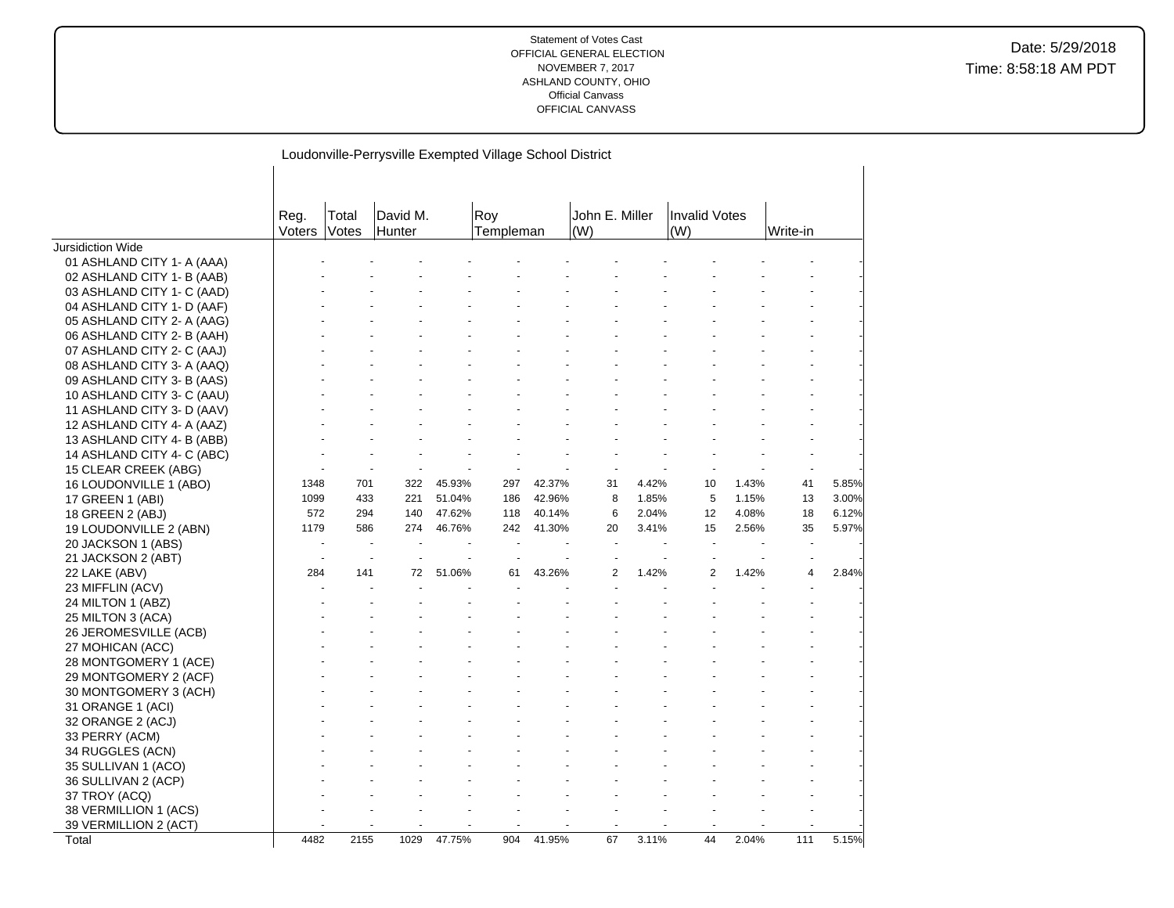|                                                    |                |                       | Loudonville-Perrysville Exempted Village School District |        |                  |        |                       |       |                             |       |          |       |
|----------------------------------------------------|----------------|-----------------------|----------------------------------------------------------|--------|------------------|--------|-----------------------|-------|-----------------------------|-------|----------|-------|
|                                                    | Reg.<br>Voters | Total<br><b>Votes</b> | David M.<br>Hunter                                       |        | Roy<br>Templeman |        | John E. Miller<br>(W) |       | <b>Invalid Votes</b><br>(W) |       | Write-in |       |
| Jursidiction Wide                                  |                |                       |                                                          |        |                  |        |                       |       |                             |       |          |       |
| 01 ASHLAND CITY 1- A (AAA)                         |                |                       |                                                          |        |                  |        |                       |       |                             |       |          |       |
| 02 ASHLAND CITY 1- B (AAB)                         |                |                       |                                                          |        |                  |        |                       |       |                             |       |          |       |
| 03 ASHLAND CITY 1- C (AAD)                         |                |                       |                                                          |        |                  |        |                       |       |                             |       |          |       |
| 04 ASHLAND CITY 1- D (AAF)                         |                |                       |                                                          |        |                  |        |                       |       |                             |       |          |       |
| 05 ASHLAND CITY 2- A (AAG)                         |                |                       |                                                          |        |                  |        |                       |       |                             |       |          |       |
| 06 ASHLAND CITY 2- B (AAH)                         |                |                       |                                                          |        |                  |        |                       |       |                             |       |          |       |
| 07 ASHLAND CITY 2- C (AAJ)                         |                |                       |                                                          |        |                  |        |                       |       |                             |       |          |       |
| 08 ASHLAND CITY 3- A (AAQ)                         |                |                       |                                                          |        |                  |        |                       |       |                             |       |          |       |
| 09 ASHLAND CITY 3- B (AAS)                         |                |                       |                                                          |        |                  |        |                       |       |                             |       |          |       |
| 10 ASHLAND CITY 3- C (AAU)                         |                |                       |                                                          |        |                  |        |                       |       |                             |       |          |       |
| 11 ASHLAND CITY 3- D (AAV)                         |                |                       |                                                          |        |                  |        |                       |       |                             |       |          |       |
| 12 ASHLAND CITY 4- A (AAZ)                         |                |                       |                                                          |        |                  |        |                       |       |                             |       |          |       |
| 13 ASHLAND CITY 4- B (ABB)                         |                |                       |                                                          |        |                  |        |                       |       |                             |       |          |       |
| 14 ASHLAND CITY 4- C (ABC)<br>15 CLEAR CREEK (ABG) |                |                       |                                                          |        |                  |        |                       |       |                             |       |          |       |
|                                                    | 1348           | 701                   | 322                                                      | 45.93% | 297              | 42.37% | 31                    | 4.42% | 10                          | 1.43% | 41       | 5.85% |
| 16 LOUDONVILLE 1 (ABO)<br>17 GREEN 1 (ABI)         | 1099           | 433                   | 221                                                      | 51.04% | 186              | 42.96% | 8                     | 1.85% | 5                           | 1.15% | 13       | 3.00% |
| 18 GREEN 2 (ABJ)                                   | 572            | 294                   | 140                                                      | 47.62% | 118              | 40.14% | 6                     | 2.04% | 12                          | 4.08% | 18       | 6.12% |
| 19 LOUDONVILLE 2 (ABN)                             | 1179           | 586                   | 274                                                      | 46.76% | 242              | 41.30% | 20                    | 3.41% | 15                          | 2.56% | 35       | 5.97% |
| 20 JACKSON 1 (ABS)                                 |                |                       |                                                          |        |                  |        |                       |       |                             |       |          |       |
| 21 JACKSON 2 (ABT)                                 |                |                       |                                                          |        |                  |        |                       |       |                             |       |          |       |
| 22 LAKE (ABV)                                      | 284            | 141                   | 72                                                       | 51.06% | 61               | 43.26% | $\overline{2}$        | 1.42% | $\overline{2}$              | 1.42% | 4        | 2.84% |
| 23 MIFFLIN (ACV)                                   |                |                       |                                                          |        |                  |        |                       |       |                             |       |          |       |
| 24 MILTON 1 (ABZ)                                  |                |                       |                                                          |        |                  |        |                       |       |                             |       |          |       |
| 25 MILTON 3 (ACA)                                  |                |                       |                                                          |        |                  |        |                       |       |                             |       |          |       |
| 26 JEROMESVILLE (ACB)                              |                |                       |                                                          |        |                  |        |                       |       |                             |       |          |       |
| 27 MOHICAN (ACC)                                   |                |                       |                                                          |        |                  |        |                       |       |                             |       |          |       |
| 28 MONTGOMERY 1 (ACE)                              |                |                       |                                                          |        |                  |        |                       |       |                             |       |          |       |
| 29 MONTGOMERY 2 (ACF)                              |                |                       |                                                          |        |                  |        |                       |       |                             |       |          |       |
| 30 MONTGOMERY 3 (ACH)                              |                |                       |                                                          |        |                  |        |                       |       |                             |       |          |       |
| 31 ORANGE 1 (ACI)                                  |                |                       |                                                          |        |                  |        |                       |       |                             |       |          |       |
| 32 ORANGE 2 (ACJ)                                  |                |                       |                                                          |        |                  |        |                       |       |                             |       |          |       |
| 33 PERRY (ACM)                                     |                |                       |                                                          |        |                  |        |                       |       |                             |       |          |       |
| 34 RUGGLES (ACN)                                   |                |                       |                                                          |        |                  |        |                       |       |                             |       |          |       |
| 35 SULLIVAN 1 (ACO)                                |                |                       |                                                          |        |                  |        |                       |       |                             |       |          |       |
| 36 SULLIVAN 2 (ACP)                                |                |                       |                                                          |        |                  |        |                       |       |                             |       |          |       |
| 37 TROY (ACQ)                                      |                |                       |                                                          |        |                  |        |                       |       |                             |       |          |       |
| 38 VERMILLION 1 (ACS)                              |                |                       |                                                          |        |                  |        |                       |       |                             |       |          |       |
| 39 VERMILLION 2 (ACT)                              |                |                       |                                                          |        |                  |        |                       |       |                             |       |          |       |
| Total                                              | 4482           | 2155                  | 1029                                                     | 47.75% | 904              | 41.95% | 67                    | 3.11% | 44                          | 2.04% | 111      | 5.15% |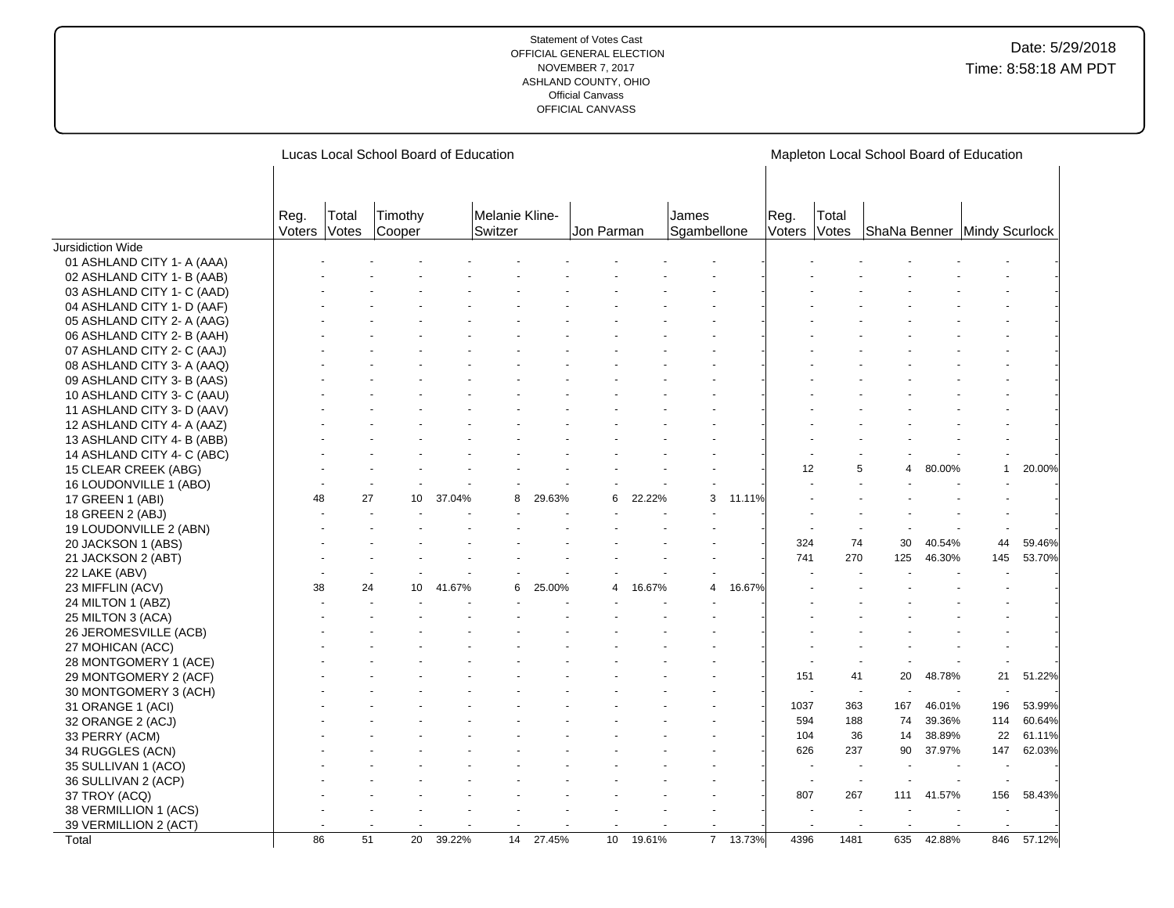|                            |                      |                 | Lucas Local School Board of Education |        |                           |        |            |        |                      |        |                |                | Mapleton Local School Board of Education |        |     |        |
|----------------------------|----------------------|-----------------|---------------------------------------|--------|---------------------------|--------|------------|--------|----------------------|--------|----------------|----------------|------------------------------------------|--------|-----|--------|
|                            | Reg.<br>Voters Votes | Total           | Timothy<br>Cooper                     |        | Melanie Kline-<br>Switzer |        | Jon Parman |        | James<br>Sgambellone |        | Reg.<br>Voters | Total<br>Votes | ShaNa Benner Mindy Scurlock              |        |     |        |
| Jursidiction Wide          |                      |                 |                                       |        |                           |        |            |        |                      |        |                |                |                                          |        |     |        |
| 01 ASHLAND CITY 1- A (AAA) |                      |                 |                                       |        |                           |        |            |        |                      |        |                |                |                                          |        |     |        |
| 02 ASHLAND CITY 1- B (AAB) |                      |                 |                                       |        |                           |        |            |        |                      |        |                |                |                                          |        |     |        |
| 03 ASHLAND CITY 1- C (AAD) |                      |                 |                                       |        |                           |        |            |        |                      |        |                |                |                                          |        |     |        |
| 04 ASHLAND CITY 1- D (AAF) |                      |                 |                                       |        |                           |        |            |        |                      |        |                |                |                                          |        |     |        |
| 05 ASHLAND CITY 2- A (AAG) |                      |                 |                                       |        |                           |        |            |        |                      |        |                |                |                                          |        |     |        |
| 06 ASHLAND CITY 2- B (AAH) |                      |                 |                                       |        |                           |        |            |        |                      |        |                |                |                                          |        |     |        |
| 07 ASHLAND CITY 2- C (AAJ) |                      |                 |                                       |        |                           |        |            |        |                      |        |                |                |                                          |        |     |        |
| 08 ASHLAND CITY 3- A (AAQ) |                      |                 |                                       |        |                           |        |            |        |                      |        |                |                |                                          |        |     |        |
| 09 ASHLAND CITY 3- B (AAS) |                      |                 |                                       |        |                           |        |            |        |                      |        |                |                |                                          |        |     |        |
| 10 ASHLAND CITY 3- C (AAU) |                      |                 |                                       |        |                           |        |            |        |                      |        |                |                |                                          |        |     |        |
| 11 ASHLAND CITY 3- D (AAV) |                      |                 |                                       |        |                           |        |            |        |                      |        |                |                |                                          |        |     |        |
| 12 ASHLAND CITY 4- A (AAZ) |                      |                 |                                       |        |                           |        |            |        |                      |        |                |                |                                          |        |     |        |
| 13 ASHLAND CITY 4- B (ABB) |                      |                 |                                       |        |                           |        |            |        |                      |        |                |                |                                          |        |     |        |
| 14 ASHLAND CITY 4- C (ABC) |                      |                 |                                       |        |                           |        |            |        |                      |        |                |                |                                          |        |     |        |
| 15 CLEAR CREEK (ABG)       |                      |                 |                                       |        |                           |        |            |        |                      |        | 12             | 5              | 4                                        | 80.00% | 1   | 20.00% |
| 16 LOUDONVILLE 1 (ABO)     |                      |                 |                                       |        |                           |        |            |        |                      |        |                |                |                                          |        |     |        |
| 17 GREEN 1 (ABI)           | 48                   | 27              | 10                                    | 37.04% | 8                         | 29.63% | 6          | 22.22% | 3                    | 11.11% |                |                |                                          |        |     |        |
| 18 GREEN 2 (ABJ)           |                      |                 |                                       |        |                           |        |            |        |                      |        |                |                |                                          |        |     |        |
| 19 LOUDONVILLE 2 (ABN)     |                      |                 |                                       |        |                           |        |            |        |                      |        |                |                |                                          |        |     |        |
| 20 JACKSON 1 (ABS)         |                      |                 |                                       |        |                           |        |            |        |                      |        | 324            | 74             | 30                                       | 40.54% | 44  | 59.46% |
| 21 JACKSON 2 (ABT)         |                      |                 |                                       |        |                           |        |            |        |                      |        | 741            | 270            | 125                                      | 46.30% | 145 | 53.70% |
| 22 LAKE (ABV)              |                      |                 |                                       |        |                           |        |            |        |                      |        |                |                |                                          |        |     |        |
| 23 MIFFLIN (ACV)           | 38                   | 24              | 10                                    | 41.67% | 6                         | 25.00% |            | 16.67% | 4                    | 16.67% |                |                |                                          |        |     |        |
| 24 MILTON 1 (ABZ)          |                      |                 |                                       |        |                           |        |            |        |                      |        |                |                |                                          |        |     |        |
| 25 MILTON 3 (ACA)          |                      |                 |                                       |        |                           |        |            |        |                      |        |                |                |                                          |        |     |        |
| 26 JEROMESVILLE (ACB)      |                      |                 |                                       |        |                           |        |            |        |                      |        |                |                |                                          |        |     |        |
| 27 MOHICAN (ACC)           |                      |                 |                                       |        |                           |        |            |        |                      |        |                |                |                                          |        |     |        |
| 28 MONTGOMERY 1 (ACE)      |                      |                 |                                       |        |                           |        |            |        |                      |        |                |                |                                          |        |     |        |
| 29 MONTGOMERY 2 (ACF)      |                      |                 |                                       |        |                           |        |            |        |                      |        | 151            | 41             | 20                                       | 48.78% | 21  | 51.22% |
| 30 MONTGOMERY 3 (ACH)      |                      |                 |                                       |        |                           |        |            |        |                      |        |                |                |                                          |        |     |        |
| 31 ORANGE 1 (ACI)          |                      |                 |                                       |        |                           |        |            |        |                      |        | 1037           | 363            | 167                                      | 46.01% | 196 | 53.99% |
| 32 ORANGE 2 (ACJ)          |                      |                 |                                       |        |                           |        |            |        |                      |        | 594            | 188            | 74                                       | 39.36% | 114 | 60.64% |
| 33 PERRY (ACM)             |                      |                 |                                       |        |                           |        |            |        |                      |        | 104            | 36             | 14                                       | 38.89% | 22  | 61.11% |
| 34 RUGGLES (ACN)           |                      |                 |                                       |        |                           |        |            |        |                      |        | 626            | 237            | 90                                       | 37.97% | 147 | 62.03% |
| 35 SULLIVAN 1 (ACO)        |                      |                 |                                       |        |                           |        |            |        |                      |        |                |                |                                          |        |     |        |
| 36 SULLIVAN 2 (ACP)        |                      |                 |                                       |        |                           |        |            |        |                      |        | $\sim$         |                |                                          |        |     |        |
| 37 TROY (ACQ)              |                      |                 |                                       |        |                           |        |            |        |                      |        | 807            | 267            | 111                                      | 41.57% | 156 | 58.43% |
| 38 VERMILLION 1 (ACS)      |                      |                 |                                       |        |                           |        |            |        |                      |        |                |                |                                          |        |     |        |
| 39 VERMILLION 2 (ACT)      |                      |                 |                                       |        |                           |        |            |        |                      |        |                |                |                                          |        |     |        |
| Total                      | 86                   | $\overline{51}$ | 20                                    | 39.22% | 14                        | 27.45% | 10         | 19.61% | $\overline{7}$       | 13.73% | 4396           | 1481           | 635                                      | 42.88% | 846 | 57.12% |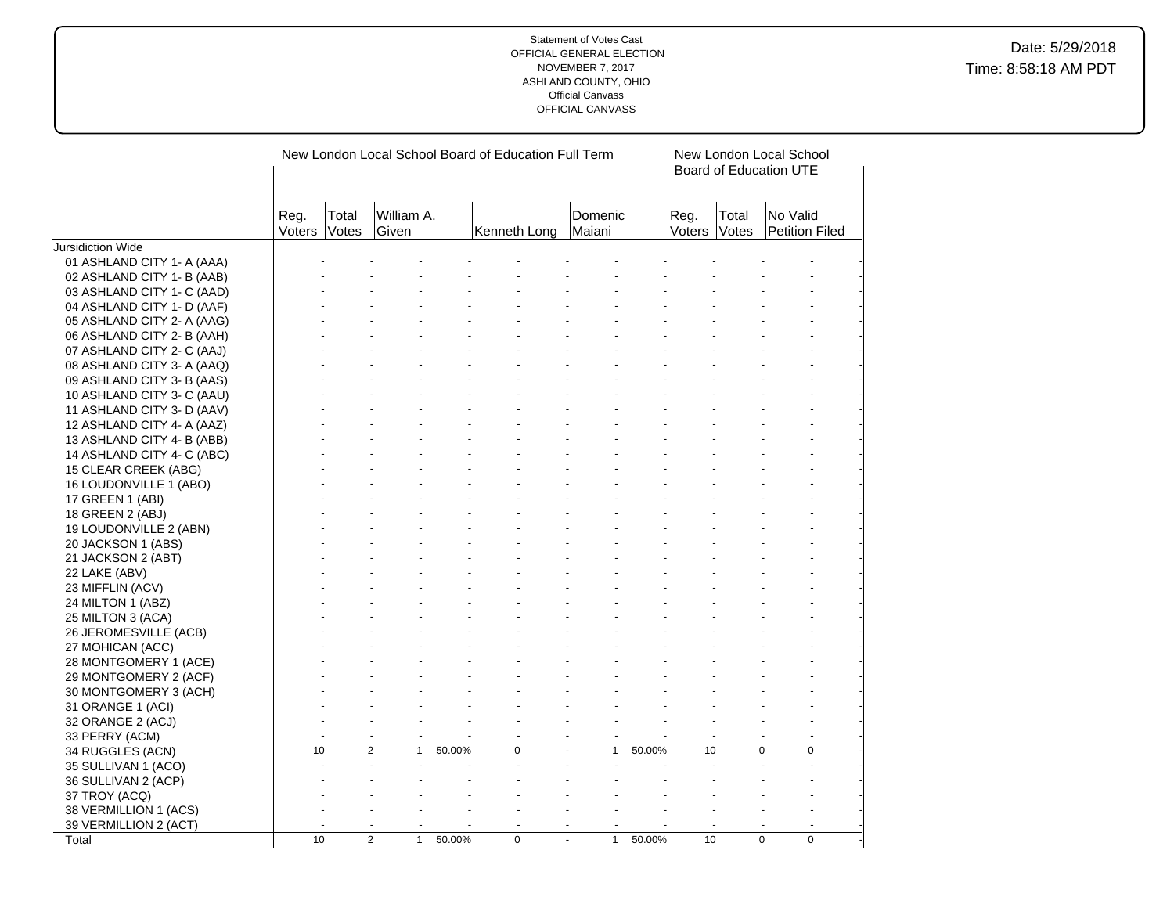|                            |                |                | New London Local School Board of Education Full Term |        |              |                   |        |                | New London Local School<br>Board of Education UTE |                            |  |
|----------------------------|----------------|----------------|------------------------------------------------------|--------|--------------|-------------------|--------|----------------|---------------------------------------------------|----------------------------|--|
|                            | Reg.<br>Voters | Total<br>Votes | William A.<br>Given                                  |        | Kenneth Long | Domenic<br>Maiani |        | Reg.<br>Voters | Total<br>Votes                                    | No Valid<br>Petition Filed |  |
| Jursidiction Wide          |                |                |                                                      |        |              |                   |        |                |                                                   |                            |  |
| 01 ASHLAND CITY 1- A (AAA) |                |                |                                                      |        |              |                   |        |                |                                                   |                            |  |
| 02 ASHLAND CITY 1- B (AAB) |                |                |                                                      |        |              |                   |        |                |                                                   |                            |  |
| 03 ASHLAND CITY 1- C (AAD) |                |                |                                                      |        |              |                   |        |                |                                                   |                            |  |
| 04 ASHLAND CITY 1- D (AAF) |                |                |                                                      |        |              |                   |        |                |                                                   |                            |  |
| 05 ASHLAND CITY 2- A (AAG) |                |                |                                                      |        |              |                   |        |                |                                                   |                            |  |
| 06 ASHLAND CITY 2- B (AAH) |                |                |                                                      |        |              |                   |        |                |                                                   |                            |  |
| 07 ASHLAND CITY 2- C (AAJ) |                |                |                                                      |        |              |                   |        |                |                                                   |                            |  |
| 08 ASHLAND CITY 3- A (AAQ) |                |                |                                                      |        |              |                   |        |                |                                                   |                            |  |
| 09 ASHLAND CITY 3- B (AAS) |                |                |                                                      |        |              |                   |        |                |                                                   |                            |  |
| 10 ASHLAND CITY 3- C (AAU) |                |                |                                                      |        |              |                   |        |                |                                                   |                            |  |
| 11 ASHLAND CITY 3- D (AAV) |                |                |                                                      |        |              |                   |        |                |                                                   |                            |  |
| 12 ASHLAND CITY 4- A (AAZ) |                |                |                                                      |        |              |                   |        |                |                                                   |                            |  |
| 13 ASHLAND CITY 4- B (ABB) |                |                |                                                      |        |              |                   |        |                |                                                   |                            |  |
| 14 ASHLAND CITY 4- C (ABC) |                |                |                                                      |        |              |                   |        |                |                                                   |                            |  |
| 15 CLEAR CREEK (ABG)       |                |                |                                                      |        |              |                   |        |                |                                                   |                            |  |
| 16 LOUDONVILLE 1 (ABO)     |                |                |                                                      |        |              |                   |        |                |                                                   |                            |  |
| 17 GREEN 1 (ABI)           |                |                |                                                      |        |              |                   |        |                |                                                   |                            |  |
| 18 GREEN 2 (ABJ)           |                |                |                                                      |        |              |                   |        |                |                                                   |                            |  |
| 19 LOUDONVILLE 2 (ABN)     |                |                |                                                      |        |              |                   |        |                |                                                   |                            |  |
| 20 JACKSON 1 (ABS)         |                |                |                                                      |        |              |                   |        |                |                                                   |                            |  |
| 21 JACKSON 2 (ABT)         |                |                |                                                      |        |              |                   |        |                |                                                   |                            |  |
| 22 LAKE (ABV)              |                |                |                                                      |        |              |                   |        |                |                                                   |                            |  |
| 23 MIFFLIN (ACV)           |                |                |                                                      |        |              |                   |        |                |                                                   |                            |  |
| 24 MILTON 1 (ABZ)          |                |                |                                                      |        |              |                   |        |                |                                                   |                            |  |
| 25 MILTON 3 (ACA)          |                |                |                                                      |        |              |                   |        |                |                                                   |                            |  |
| 26 JEROMESVILLE (ACB)      |                |                |                                                      |        |              |                   |        |                |                                                   |                            |  |
| 27 MOHICAN (ACC)           |                |                |                                                      |        |              |                   |        |                |                                                   |                            |  |
| 28 MONTGOMERY 1 (ACE)      |                |                |                                                      |        |              |                   |        |                |                                                   |                            |  |
| 29 MONTGOMERY 2 (ACF)      |                |                |                                                      |        |              |                   |        |                |                                                   |                            |  |
| 30 MONTGOMERY 3 (ACH)      |                |                |                                                      |        |              |                   |        |                |                                                   |                            |  |
| 31 ORANGE 1 (ACI)          |                |                |                                                      |        |              |                   |        |                |                                                   |                            |  |
| 32 ORANGE 2 (ACJ)          |                |                |                                                      |        |              |                   |        |                |                                                   |                            |  |
| 33 PERRY (ACM)             |                |                |                                                      |        |              |                   |        |                |                                                   |                            |  |
| 34 RUGGLES (ACN)           | 10             |                | 2<br>$\mathbf{1}$                                    | 50.00% | $\Omega$     | $\mathbf{1}$      | 50.00% | 10             |                                                   | $\Omega$<br>0              |  |
| 35 SULLIVAN 1 (ACO)        |                |                |                                                      |        |              |                   |        |                |                                                   |                            |  |
| 36 SULLIVAN 2 (ACP)        |                |                |                                                      |        |              |                   |        |                |                                                   |                            |  |
| 37 TROY (ACQ)              |                |                |                                                      |        |              |                   |        |                |                                                   |                            |  |
| 38 VERMILLION 1 (ACS)      |                |                |                                                      |        |              |                   |        |                |                                                   |                            |  |
| 39 VERMILLION 2 (ACT)      |                |                |                                                      |        |              |                   |        |                |                                                   |                            |  |
| Total                      | 10             |                | $\overline{2}$<br>$\mathbf{1}$                       | 50.00% | $\mathbf 0$  | $\mathbf{1}$      | 50.00% | 10             |                                                   | $\mathbf 0$<br>$\Omega$    |  |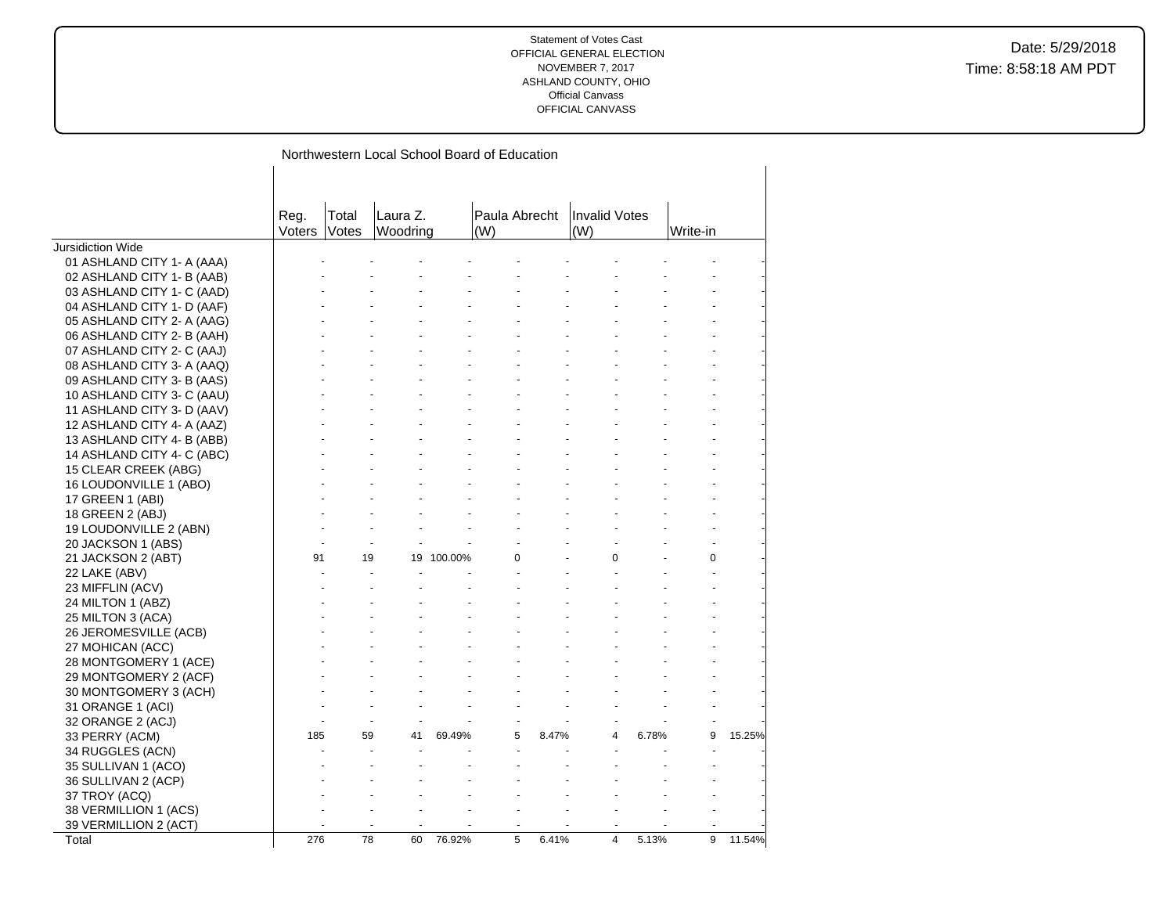|                            | Northwestern Local School Board of Education |                |                      |         |                      |       |                             |       |          |        |  |  |
|----------------------------|----------------------------------------------|----------------|----------------------|---------|----------------------|-------|-----------------------------|-------|----------|--------|--|--|
|                            | Reg.<br>Voters                               | Total<br>Votes | Laura Z.<br>Woodring |         | Paula Abrecht<br>(W) |       | <b>Invalid Votes</b><br>(W) |       | Write-in |        |  |  |
| <b>Jursidiction Wide</b>   |                                              |                |                      |         |                      |       |                             |       |          |        |  |  |
| 01 ASHLAND CITY 1- A (AAA) |                                              |                |                      |         |                      |       |                             |       |          |        |  |  |
| 02 ASHLAND CITY 1- B (AAB) |                                              |                |                      |         |                      |       |                             |       |          |        |  |  |
| 03 ASHLAND CITY 1- C (AAD) |                                              |                |                      |         |                      |       |                             |       |          |        |  |  |
| 04 ASHLAND CITY 1- D (AAF) |                                              |                |                      |         |                      |       |                             |       |          |        |  |  |
| 05 ASHLAND CITY 2- A (AAG) |                                              |                |                      |         |                      |       |                             |       |          |        |  |  |
| 06 ASHLAND CITY 2- B (AAH) |                                              |                |                      |         |                      |       |                             |       |          |        |  |  |
| 07 ASHLAND CITY 2- C (AAJ) |                                              |                |                      |         |                      |       |                             |       |          |        |  |  |
| 08 ASHLAND CITY 3- A (AAQ) |                                              |                |                      |         |                      |       |                             |       |          |        |  |  |
| 09 ASHLAND CITY 3- B (AAS) |                                              |                |                      |         |                      |       |                             |       |          |        |  |  |
| 10 ASHLAND CITY 3- C (AAU) |                                              |                |                      |         |                      |       |                             |       |          |        |  |  |
| 11 ASHLAND CITY 3- D (AAV) |                                              |                |                      |         |                      |       |                             |       |          |        |  |  |
| 12 ASHLAND CITY 4- A (AAZ) |                                              |                |                      |         |                      |       |                             |       |          |        |  |  |
| 13 ASHLAND CITY 4- B (ABB) |                                              |                |                      |         |                      |       |                             |       |          |        |  |  |
| 14 ASHLAND CITY 4- C (ABC) |                                              |                |                      |         |                      |       |                             |       |          |        |  |  |
| 15 CLEAR CREEK (ABG)       |                                              |                |                      |         |                      |       |                             |       |          |        |  |  |
| 16 LOUDONVILLE 1 (ABO)     |                                              |                |                      |         |                      |       |                             |       |          |        |  |  |
| 17 GREEN 1 (ABI)           |                                              |                |                      |         |                      |       |                             |       |          |        |  |  |
| 18 GREEN 2 (ABJ)           |                                              |                |                      |         |                      |       |                             |       |          |        |  |  |
| 19 LOUDONVILLE 2 (ABN)     |                                              |                |                      |         |                      |       |                             |       |          |        |  |  |
| 20 JACKSON 1 (ABS)         |                                              |                |                      |         |                      |       |                             |       |          |        |  |  |
| 21 JACKSON 2 (ABT)         | 91                                           | 19             | 19                   | 100.00% | 0                    |       | $\Omega$                    |       | 0        |        |  |  |
| 22 LAKE (ABV)              |                                              |                |                      |         |                      |       |                             |       |          |        |  |  |
| 23 MIFFLIN (ACV)           |                                              |                |                      |         |                      |       |                             |       |          |        |  |  |
| 24 MILTON 1 (ABZ)          |                                              |                |                      |         |                      |       |                             |       |          |        |  |  |
| 25 MILTON 3 (ACA)          |                                              |                |                      |         |                      |       |                             |       |          |        |  |  |
| 26 JEROMESVILLE (ACB)      |                                              |                |                      |         |                      |       |                             |       |          |        |  |  |
| 27 MOHICAN (ACC)           |                                              |                |                      |         |                      |       |                             |       |          |        |  |  |
| 28 MONTGOMERY 1 (ACE)      |                                              |                |                      |         |                      |       |                             |       |          |        |  |  |
| 29 MONTGOMERY 2 (ACF)      |                                              |                |                      |         |                      |       |                             |       |          |        |  |  |
| 30 MONTGOMERY 3 (ACH)      |                                              |                |                      |         |                      |       |                             |       |          |        |  |  |
| 31 ORANGE 1 (ACI)          |                                              |                |                      |         |                      |       |                             |       |          |        |  |  |
|                            |                                              |                | $\blacksquare$       |         |                      |       |                             |       |          |        |  |  |
| 32 ORANGE 2 (ACJ)          | 185                                          | 59             | 41                   | 69.49%  | 5                    | 8.47% | 4                           | 6.78% | 9        | 15.25% |  |  |
| 33 PERRY (ACM)             |                                              |                | ÷,                   |         |                      |       |                             |       |          |        |  |  |
| 34 RUGGLES (ACN)           |                                              |                |                      |         |                      |       |                             |       |          |        |  |  |
| 35 SULLIVAN 1 (ACO)        |                                              |                |                      |         |                      |       |                             |       |          |        |  |  |
| 36 SULLIVAN 2 (ACP)        |                                              |                |                      |         |                      |       |                             |       |          |        |  |  |
| 37 TROY (ACQ)              |                                              |                |                      |         |                      |       |                             |       |          |        |  |  |
| 38 VERMILLION 1 (ACS)      |                                              |                |                      |         |                      |       |                             |       |          |        |  |  |
| 39 VERMILLION 2 (ACT)      |                                              |                |                      |         |                      |       |                             |       |          |        |  |  |
| Total                      | 276                                          | 78             | 60                   | 76.92%  | 5                    | 6.41% | $\overline{4}$              | 5.13% | 9        | 11.54% |  |  |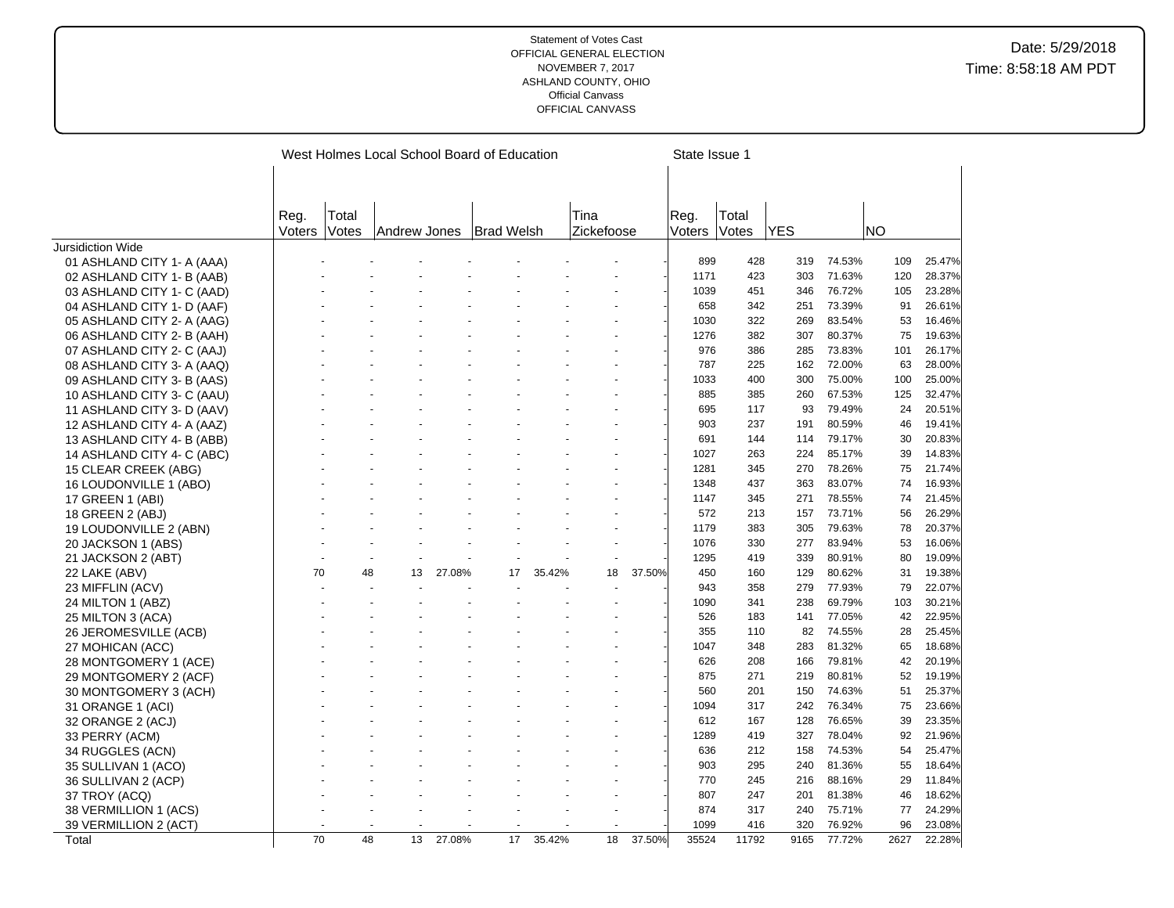|                            |               |       |              |        | West Holmes Local School Board of Education |        |            | State Issue 1 |        |       |            |        |      |        |
|----------------------------|---------------|-------|--------------|--------|---------------------------------------------|--------|------------|---------------|--------|-------|------------|--------|------|--------|
|                            |               |       |              |        |                                             |        |            |               |        |       |            |        |      |        |
|                            |               |       |              |        |                                             |        |            |               |        |       |            |        |      |        |
|                            |               |       |              |        |                                             |        |            |               |        |       |            |        |      |        |
|                            | Reg.          | Total |              |        |                                             |        | Tina       |               | Reg.   | Total |            |        |      |        |
|                            | <b>Voters</b> | Votes | Andrew Jones |        | Brad Welsh!                                 |        | Zickefoose |               | Voters | Votes | <b>YES</b> |        | NO   |        |
| <b>Jursidiction Wide</b>   |               |       |              |        |                                             |        |            |               |        |       |            |        |      |        |
| 01 ASHLAND CITY 1- A (AAA) |               |       |              |        |                                             |        |            |               | 899    | 428   | 319        | 74.53% | 109  | 25.47% |
| 02 ASHLAND CITY 1- B (AAB) |               |       |              |        |                                             |        |            |               | 1171   | 423   | 303        | 71.63% | 120  | 28.37% |
| 03 ASHLAND CITY 1- C (AAD) |               |       |              |        |                                             |        |            |               | 1039   | 451   | 346        | 76.72% | 105  | 23.28% |
| 04 ASHLAND CITY 1- D (AAF) |               |       |              |        |                                             |        |            |               | 658    | 342   | 251        | 73.39% | 91   | 26.61% |
| 05 ASHLAND CITY 2- A (AAG) |               |       |              |        |                                             |        |            |               | 1030   | 322   | 269        | 83.54% | 53   | 16.46% |
| 06 ASHLAND CITY 2- B (AAH) |               |       |              |        |                                             |        |            |               | 1276   | 382   | 307        | 80.37% | 75   | 19.63% |
| 07 ASHLAND CITY 2- C (AAJ) |               |       |              |        |                                             |        |            |               | 976    | 386   | 285        | 73.83% | 101  | 26.17% |
| 08 ASHLAND CITY 3- A (AAQ) |               |       |              |        |                                             |        |            |               | 787    | 225   | 162        | 72.00% | 63   | 28.00% |
| 09 ASHLAND CITY 3- B (AAS) |               |       |              |        |                                             |        |            |               | 1033   | 400   | 300        | 75.00% | 100  | 25.00% |
| 10 ASHLAND CITY 3- C (AAU) |               |       |              |        |                                             |        |            |               | 885    | 385   | 260        | 67.53% | 125  | 32.47% |
| 11 ASHLAND CITY 3- D (AAV) |               |       |              |        |                                             |        |            |               | 695    | 117   | 93         | 79.49% | 24   | 20.51% |
| 12 ASHLAND CITY 4- A (AAZ) |               |       |              |        |                                             |        |            |               | 903    | 237   | 191        | 80.59% | 46   | 19.41% |
| 13 ASHLAND CITY 4- B (ABB) |               |       |              |        |                                             |        |            |               | 691    | 144   | 114        | 79.17% | 30   | 20.83% |
| 14 ASHLAND CITY 4- C (ABC) |               |       |              |        |                                             |        |            |               | 1027   | 263   | 224        | 85.17% | 39   | 14.83% |
| 15 CLEAR CREEK (ABG)       |               |       |              |        |                                             |        |            |               | 1281   | 345   | 270        | 78.26% | 75   | 21.74% |
| 16 LOUDONVILLE 1 (ABO)     |               |       |              |        |                                             |        |            |               | 1348   | 437   | 363        | 83.07% | 74   | 16.93% |
| 17 GREEN 1 (ABI)           |               |       |              |        |                                             |        |            |               | 1147   | 345   | 271        | 78.55% | 74   | 21.45% |
| 18 GREEN 2 (ABJ)           |               |       |              |        |                                             |        |            |               | 572    | 213   | 157        | 73.71% | 56   | 26.29% |
| 19 LOUDONVILLE 2 (ABN)     |               |       |              |        |                                             |        |            |               | 1179   | 383   | 305        | 79.63% | 78   | 20.37% |
| 20 JACKSON 1 (ABS)         |               |       |              |        |                                             |        |            |               | 1076   | 330   | 277        | 83.94% | 53   | 16.06% |
| 21 JACKSON 2 (ABT)         |               |       |              |        |                                             |        |            |               | 1295   | 419   | 339        | 80.91% | 80   | 19.09% |
| 22 LAKE (ABV)              | 70            | 48    | 13           | 27.08% | 17                                          | 35.42% | 18         | 37.50%        | 450    | 160   | 129        | 80.62% | 31   | 19.38% |
| 23 MIFFLIN (ACV)           |               |       |              |        |                                             |        |            |               | 943    | 358   | 279        | 77.93% | 79   | 22.07% |
| 24 MILTON 1 (ABZ)          |               |       |              |        |                                             |        |            |               | 1090   | 341   | 238        | 69.79% | 103  | 30.21% |
| 25 MILTON 3 (ACA)          |               |       |              |        |                                             |        |            |               | 526    | 183   | 141        | 77.05% | 42   | 22.95% |
| 26 JEROMESVILLE (ACB)      |               |       |              |        |                                             |        |            |               | 355    | 110   | 82         | 74.55% | 28   | 25.45% |
| 27 MOHICAN (ACC)           |               |       |              |        |                                             |        |            |               | 1047   | 348   | 283        | 81.32% | 65   | 18.68% |
| 28 MONTGOMERY 1 (ACE)      |               |       |              |        |                                             |        |            |               | 626    | 208   | 166        | 79.81% | 42   | 20.19% |
| 29 MONTGOMERY 2 (ACF)      |               |       |              |        |                                             |        |            |               | 875    | 271   | 219        | 80.81% | 52   | 19.19% |
| 30 MONTGOMERY 3 (ACH)      |               |       |              |        |                                             |        |            |               | 560    | 201   | 150        | 74.63% | 51   | 25.37% |
| 31 ORANGE 1 (ACI)          |               |       |              |        |                                             |        |            |               | 1094   | 317   | 242        | 76.34% | 75   | 23.66% |
| 32 ORANGE 2 (ACJ)          |               |       |              |        |                                             |        |            |               | 612    | 167   | 128        | 76.65% | 39   | 23.35% |
| 33 PERRY (ACM)             |               |       |              |        |                                             |        |            |               | 1289   | 419   | 327        | 78.04% | 92   | 21.96% |
| 34 RUGGLES (ACN)           |               |       |              |        |                                             |        |            |               | 636    | 212   | 158        | 74.53% | 54   | 25.47% |
| 35 SULLIVAN 1 (ACO)        |               |       |              |        |                                             |        |            |               | 903    | 295   | 240        | 81.36% | 55   | 18.64% |
| 36 SULLIVAN 2 (ACP)        |               |       |              |        |                                             |        |            |               | 770    | 245   | 216        | 88.16% | 29   | 11.84% |
| 37 TROY (ACQ)              |               |       |              |        |                                             |        |            |               | 807    | 247   | 201        | 81.38% | 46   | 18.62% |
| 38 VERMILLION 1 (ACS)      |               |       |              |        |                                             |        |            |               | 874    | 317   | 240        | 75.71% | 77   | 24.29% |
| 39 VERMILLION 2 (ACT)      |               |       |              |        |                                             |        |            |               | 1099   | 416   | 320        | 76.92% | 96   | 23.08% |
| Total                      | 70            | 48    | 13           | 27.08% | 17                                          | 35.42% | 18         | 37.50%        | 35524  | 11792 | 9165       | 77.72% | 2627 | 22.28% |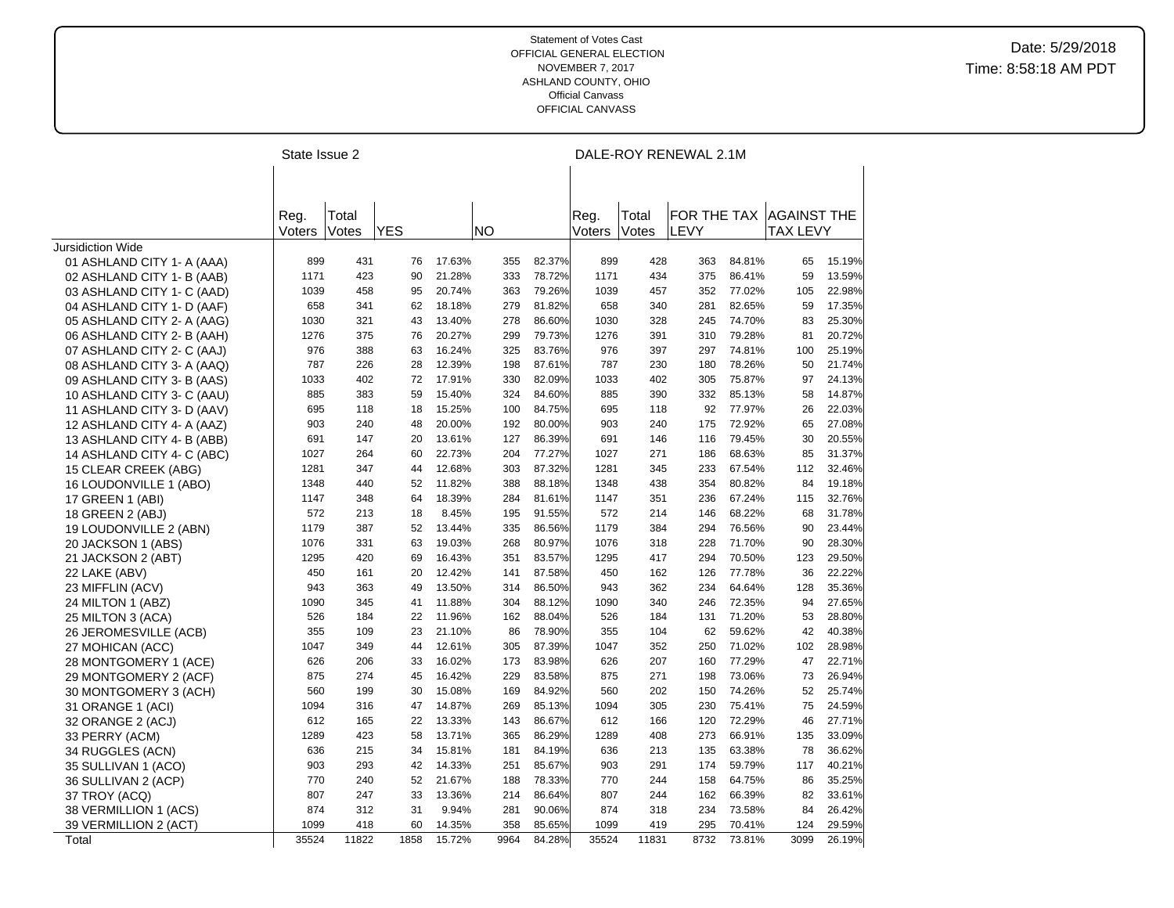|                            |        | State Issue 2 |            |        |    |      |        |        |       | DALE-ROY RENEWAL 2.1M |        |                    |        |
|----------------------------|--------|---------------|------------|--------|----|------|--------|--------|-------|-----------------------|--------|--------------------|--------|
|                            |        |               |            |        |    |      |        |        |       |                       |        |                    |        |
|                            |        |               |            |        |    |      |        |        |       |                       |        |                    |        |
|                            | Reg.   | Total         |            |        |    |      |        | Reg.   | Total | FOR THE TAX           |        | <b>AGAINST THE</b> |        |
|                            | Voters | Votes         | <b>YES</b> |        | ΝO |      |        | Voters | Votes | LEVY                  |        | <b>TAX LEVY</b>    |        |
| <b>Jursidiction Wide</b>   |        |               |            |        |    |      |        |        |       |                       |        |                    |        |
| 01 ASHLAND CITY 1- A (AAA) | 899    | 431           | 76         | 17.63% |    | 355  | 82.37% | 899    | 428   | 363                   | 84.81% | 65                 | 15.19% |
| 02 ASHLAND CITY 1- B (AAB) | 1171   | 423           | 90         | 21.28% |    | 333  | 78.72% | 1171   | 434   | 375                   | 86.41% | 59                 | 13.59% |
| 03 ASHLAND CITY 1- C (AAD) | 1039   | 458           | 95         | 20.74% |    | 363  | 79.26% | 1039   | 457   | 352                   | 77.02% | 105                | 22.98% |
| 04 ASHLAND CITY 1- D (AAF) | 658    | 341           | 62         | 18.18% |    | 279  | 81.82% | 658    | 340   | 281                   | 82.65% | 59                 | 17.35% |
| 05 ASHLAND CITY 2- A (AAG) | 1030   | 321           | 43         | 13.40% |    | 278  | 86.60% | 1030   | 328   | 245                   | 74.70% | 83                 | 25.30% |
| 06 ASHLAND CITY 2- B (AAH) | 1276   | 375           | 76         | 20.27% |    | 299  | 79.73% | 1276   | 391   | 310                   | 79.28% | 81                 | 20.72% |
| 07 ASHLAND CITY 2- C (AAJ) | 976    | 388           | 63         | 16.24% |    | 325  | 83.76% | 976    | 397   | 297                   | 74.81% | 100                | 25.19% |
| 08 ASHLAND CITY 3- A (AAQ) | 787    | 226           | 28         | 12.39% |    | 198  | 87.61% | 787    | 230   | 180                   | 78.26% | 50                 | 21.74% |
| 09 ASHLAND CITY 3- B (AAS) | 1033   | 402           | 72         | 17.91% |    | 330  | 82.09% | 1033   | 402   | 305                   | 75.87% | 97                 | 24.13% |
| 10 ASHLAND CITY 3- C (AAU) | 885    | 383           | 59         | 15.40% |    | 324  | 84.60% | 885    | 390   | 332                   | 85.13% | 58                 | 14.87% |
| 11 ASHLAND CITY 3- D (AAV) | 695    | 118           | 18         | 15.25% |    | 100  | 84.75% | 695    | 118   | 92                    | 77.97% | 26                 | 22.03% |
| 12 ASHLAND CITY 4- A (AAZ) | 903    | 240           | 48         | 20.00% |    | 192  | 80.00% | 903    | 240   | 175                   | 72.92% | 65                 | 27.08% |
| 13 ASHLAND CITY 4- B (ABB) | 691    | 147           | 20         | 13.61% |    | 127  | 86.39% | 691    | 146   | 116                   | 79.45% | 30                 | 20.55% |
| 14 ASHLAND CITY 4- C (ABC) | 1027   | 264           | 60         | 22.73% |    | 204  | 77.27% | 1027   | 271   | 186                   | 68.63% | 85                 | 31.37% |
| 15 CLEAR CREEK (ABG)       | 1281   | 347           | 44         | 12.68% |    | 303  | 87.32% | 1281   | 345   | 233                   | 67.54% | 112                | 32.46% |
| 16 LOUDONVILLE 1 (ABO)     | 1348   | 440           | 52         | 11.82% |    | 388  | 88.18% | 1348   | 438   | 354                   | 80.82% | 84                 | 19.18% |
| 17 GREEN 1 (ABI)           | 1147   | 348           | 64         | 18.39% |    | 284  | 81.61% | 1147   | 351   | 236                   | 67.24% | 115                | 32.76% |
| 18 GREEN 2 (ABJ)           | 572    | 213           | 18         | 8.45%  |    | 195  | 91.55% | 572    | 214   | 146                   | 68.22% | 68                 | 31.78% |
| 19 LOUDONVILLE 2 (ABN)     | 1179   | 387           | 52         | 13.44% |    | 335  | 86.56% | 1179   | 384   | 294                   | 76.56% | 90                 | 23.44% |
| 20 JACKSON 1 (ABS)         | 1076   | 331           | 63         | 19.03% |    | 268  | 80.97% | 1076   | 318   | 228                   | 71.70% | 90                 | 28.30% |
| 21 JACKSON 2 (ABT)         | 1295   | 420           | 69         | 16.43% |    | 351  | 83.57% | 1295   | 417   | 294                   | 70.50% | 123                | 29.50% |
| 22 LAKE (ABV)              | 450    | 161           | 20         | 12.42% |    | 141  | 87.58% | 450    | 162   | 126                   | 77.78% | 36                 | 22.22% |
| 23 MIFFLIN (ACV)           | 943    | 363           | 49         | 13.50% |    | 314  | 86.50% | 943    | 362   | 234                   | 64.64% | 128                | 35.36% |
| 24 MILTON 1 (ABZ)          | 1090   | 345           | 41         | 11.88% |    | 304  | 88.12% | 1090   | 340   | 246                   | 72.35% | 94                 | 27.65% |
| 25 MILTON 3 (ACA)          | 526    | 184           | 22         | 11.96% |    | 162  | 88.04% | 526    | 184   | 131                   | 71.20% | 53                 | 28.80% |
| 26 JEROMESVILLE (ACB)      | 355    | 109           | 23         | 21.10% |    | 86   | 78.90% | 355    | 104   | 62                    | 59.62% | 42                 | 40.38% |
| 27 MOHICAN (ACC)           | 1047   | 349           | 44         | 12.61% |    | 305  | 87.39% | 1047   | 352   | 250                   | 71.02% | 102                | 28.98% |
| 28 MONTGOMERY 1 (ACE)      | 626    | 206           | 33         | 16.02% |    | 173  | 83.98% | 626    | 207   | 160                   | 77.29% | 47                 | 22.71% |
| 29 MONTGOMERY 2 (ACF)      | 875    | 274           | 45         | 16.42% |    | 229  | 83.58% | 875    | 271   | 198                   | 73.06% | 73                 | 26.94% |
| 30 MONTGOMERY 3 (ACH)      | 560    | 199           | 30         | 15.08% |    | 169  | 84.92% | 560    | 202   | 150                   | 74.26% | 52                 | 25.74% |
| 31 ORANGE 1 (ACI)          | 1094   | 316           | 47         | 14.87% |    | 269  | 85.13% | 1094   | 305   | 230                   | 75.41% | 75                 | 24.59% |
| 32 ORANGE 2 (ACJ)          | 612    | 165           | 22         | 13.33% |    | 143  | 86.67% | 612    | 166   | 120                   | 72.29% | 46                 | 27.71% |
| 33 PERRY (ACM)             | 1289   | 423           | 58         | 13.71% |    | 365  | 86.29% | 1289   | 408   | 273                   | 66.91% | 135                | 33.09% |
| 34 RUGGLES (ACN)           | 636    | 215           | 34         | 15.81% |    | 181  | 84.19% | 636    | 213   | 135                   | 63.38% | 78                 | 36.62% |
| 35 SULLIVAN 1 (ACO)        | 903    | 293           | 42         | 14.33% |    | 251  | 85.67% | 903    | 291   | 174                   | 59.79% | 117                | 40.21% |
| 36 SULLIVAN 2 (ACP)        | 770    | 240           | 52         | 21.67% |    | 188  | 78.33% | 770    | 244   | 158                   | 64.75% | 86                 | 35.25% |
| 37 TROY (ACQ)              | 807    | 247           | 33         | 13.36% |    | 214  | 86.64% | 807    | 244   | 162                   | 66.39% | 82                 | 33.61% |
| 38 VERMILLION 1 (ACS)      | 874    | 312           | 31         | 9.94%  |    | 281  | 90.06% | 874    | 318   | 234                   | 73.58% | 84                 | 26.42% |
| 39 VERMILLION 2 (ACT)      | 1099   | 418           | 60         | 14.35% |    | 358  | 85.65% | 1099   | 419   | 295                   | 70.41% | 124                | 29.59% |
| Total                      | 35524  | 11822         | 1858       | 15.72% |    | 9964 | 84.28% | 35524  | 11831 | 8732                  | 73.81% | 3099               | 26.19% |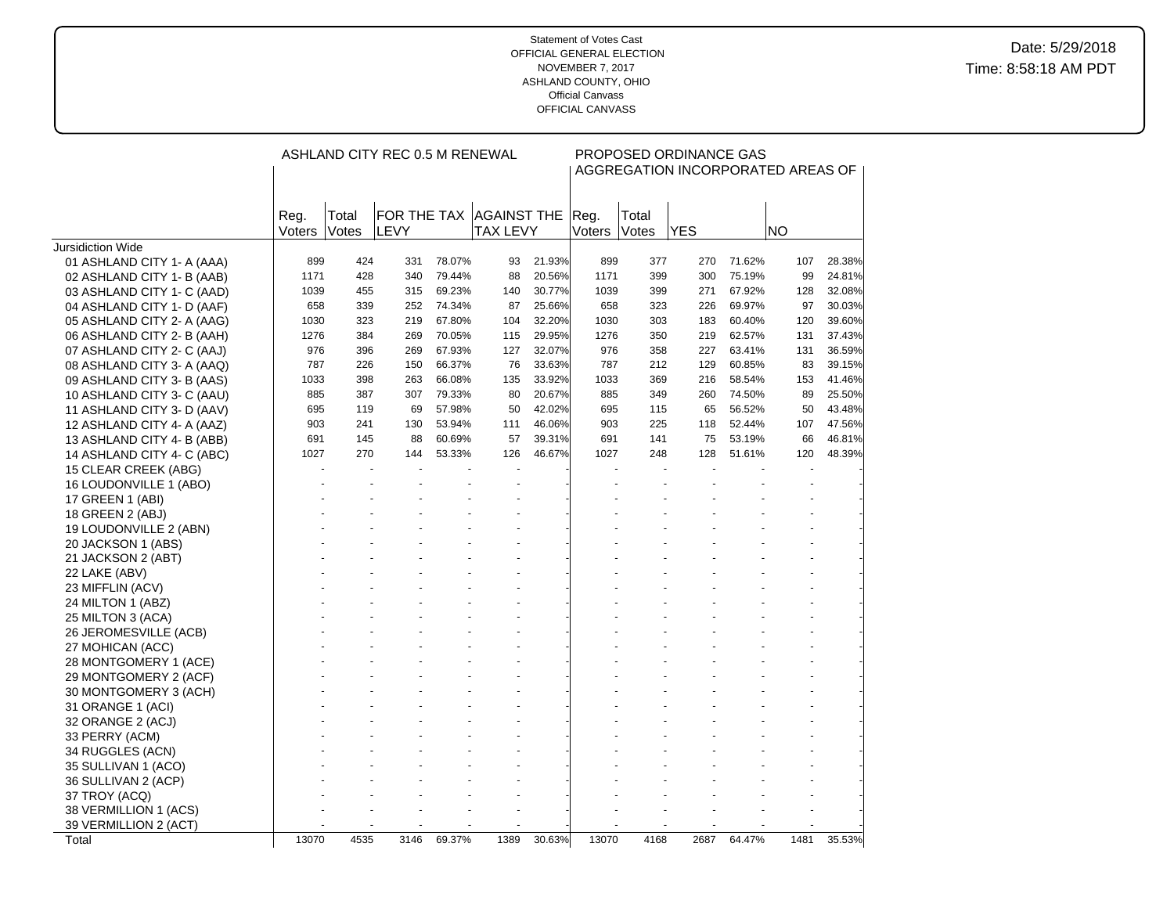|                            |                |                | ASHLAND CITY REC 0.5 M RENEWAL |        |                                            |        |                |                | PROPOSED ORDINANCE GAS   |        | AGGREGATION INCORPORATED AREAS OF |        |
|----------------------------|----------------|----------------|--------------------------------|--------|--------------------------------------------|--------|----------------|----------------|--------------------------|--------|-----------------------------------|--------|
|                            | Reg.<br>Voters | Total<br>Votes | LEVY                           |        | FOR THE TAX AGAINST THE<br><b>TAX LEVY</b> |        | Reg.<br>Voters | Total<br>Votes | <b>YES</b>               |        | <b>NO</b>                         |        |
| Jursidiction Wide          |                |                |                                |        |                                            |        |                |                |                          |        |                                   |        |
| 01 ASHLAND CITY 1- A (AAA) | 899            | 424            | 331                            | 78.07% | 93                                         | 21.93% | 899            | 377            | 270                      | 71.62% | 107                               | 28.38% |
| 02 ASHLAND CITY 1- B (AAB) | 1171           | 428            | 340                            | 79.44% | 88                                         | 20.56% | 1171           | 399            | 300                      | 75.19% | 99                                | 24.81% |
| 03 ASHLAND CITY 1- C (AAD) | 1039           | 455            | 315                            | 69.23% | 140                                        | 30.77% | 1039           | 399            | 271                      | 67.92% | 128                               | 32.08% |
| 04 ASHLAND CITY 1- D (AAF) | 658            | 339            | 252                            | 74.34% | 87                                         | 25.66% | 658            | 323            | 226                      | 69.97% | 97                                | 30.03% |
| 05 ASHLAND CITY 2- A (AAG) | 1030           | 323            | 219                            | 67.80% | 104                                        | 32.20% | 1030           | 303            | 183                      | 60.40% | 120                               | 39.60% |
| 06 ASHLAND CITY 2- B (AAH) | 1276           | 384            | 269                            | 70.05% | 115                                        | 29.95% | 1276           | 350            | 219                      | 62.57% | 131                               | 37.43% |
| 07 ASHLAND CITY 2- C (AAJ) | 976            | 396            | 269                            | 67.93% | 127                                        | 32.07% | 976            | 358            | 227                      | 63.41% | 131                               | 36.59% |
| 08 ASHLAND CITY 3- A (AAQ) | 787            | 226            | 150                            | 66.37% | 76                                         | 33.63% | 787            | 212            | 129                      | 60.85% | 83                                | 39.15% |
| 09 ASHLAND CITY 3- B (AAS) | 1033           | 398            | 263                            | 66.08% | 135                                        | 33.92% | 1033           | 369            | 216                      | 58.54% | 153                               | 41.46% |
| 10 ASHLAND CITY 3- C (AAU) | 885            | 387            | 307                            | 79.33% | 80                                         | 20.67% | 885            | 349            | 260                      | 74.50% | 89                                | 25.50% |
| 11 ASHLAND CITY 3- D (AAV) | 695            | 119            | 69                             | 57.98% | 50                                         | 42.02% | 695            | 115            | 65                       | 56.52% | 50                                | 43.48% |
| 12 ASHLAND CITY 4- A (AAZ) | 903            | 241            | 130                            | 53.94% | 111                                        | 46.06% | 903            | 225            | 118                      | 52.44% | 107                               | 47.56% |
| 13 ASHLAND CITY 4- B (ABB) | 691            | 145            | 88                             | 60.69% | 57                                         | 39.31% | 691            | 141            | 75                       | 53.19% | 66                                | 46.81% |
| 14 ASHLAND CITY 4- C (ABC) | 1027           | 270            | 144                            | 53.33% | 126                                        | 46.67% | 1027           | 248            | 128                      | 51.61% | 120                               | 48.39% |
| 15 CLEAR CREEK (ABG)       |                |                | $\overline{\phantom{a}}$       |        | $\overline{\phantom{a}}$                   |        |                |                | $\overline{\phantom{a}}$ |        |                                   |        |
| 16 LOUDONVILLE 1 (ABO)     |                |                |                                |        |                                            |        |                |                |                          |        |                                   |        |
| 17 GREEN 1 (ABI)           |                |                |                                |        |                                            |        |                |                |                          |        |                                   |        |
| 18 GREEN 2 (ABJ)           |                |                |                                |        |                                            |        |                |                |                          |        |                                   |        |
| 19 LOUDONVILLE 2 (ABN)     |                |                |                                |        |                                            |        |                |                |                          |        |                                   |        |
| 20 JACKSON 1 (ABS)         |                |                |                                |        |                                            |        |                |                |                          |        |                                   |        |
| 21 JACKSON 2 (ABT)         |                |                |                                |        |                                            |        |                |                |                          |        |                                   |        |
| 22 LAKE (ABV)              |                |                |                                |        |                                            |        |                |                |                          |        |                                   |        |
| 23 MIFFLIN (ACV)           |                |                |                                |        |                                            |        |                |                |                          |        |                                   |        |
| 24 MILTON 1 (ABZ)          |                |                |                                |        |                                            |        |                |                |                          |        |                                   |        |
| 25 MILTON 3 (ACA)          |                |                |                                |        |                                            |        |                |                |                          |        |                                   |        |
| 26 JEROMESVILLE (ACB)      |                |                |                                |        |                                            |        |                |                |                          |        |                                   |        |
| 27 MOHICAN (ACC)           |                |                |                                |        |                                            |        |                |                |                          |        |                                   |        |
| 28 MONTGOMERY 1 (ACE)      |                |                |                                |        |                                            |        |                |                |                          |        |                                   |        |
| 29 MONTGOMERY 2 (ACF)      |                |                |                                |        |                                            |        |                |                |                          |        |                                   |        |
| 30 MONTGOMERY 3 (ACH)      |                |                |                                |        |                                            |        |                |                |                          |        |                                   |        |
| 31 ORANGE 1 (ACI)          |                |                |                                |        |                                            |        |                |                |                          |        |                                   |        |
| 32 ORANGE 2 (ACJ)          |                |                |                                |        |                                            |        |                |                |                          |        |                                   |        |
| 33 PERRY (ACM)             |                |                |                                |        |                                            |        |                |                |                          |        |                                   |        |
| 34 RUGGLES (ACN)           |                |                |                                |        |                                            |        |                |                |                          |        |                                   |        |
| 35 SULLIVAN 1 (ACO)        |                |                |                                |        |                                            |        |                |                |                          |        |                                   |        |
| 36 SULLIVAN 2 (ACP)        |                |                |                                |        |                                            |        |                |                |                          |        |                                   |        |
| 37 TROY (ACQ)              |                |                |                                |        |                                            |        |                |                |                          |        |                                   |        |
| 38 VERMILLION 1 (ACS)      |                |                |                                |        |                                            |        |                |                |                          |        |                                   |        |
| 39 VERMILLION 2 (ACT)      |                |                |                                |        |                                            |        |                |                |                          |        |                                   |        |
| Total                      | 13070          | 4535           | 3146                           | 69.37% | 1389                                       | 30.63% | 13070          | 4168           | 2687                     | 64.47% | 1481                              | 35.53% |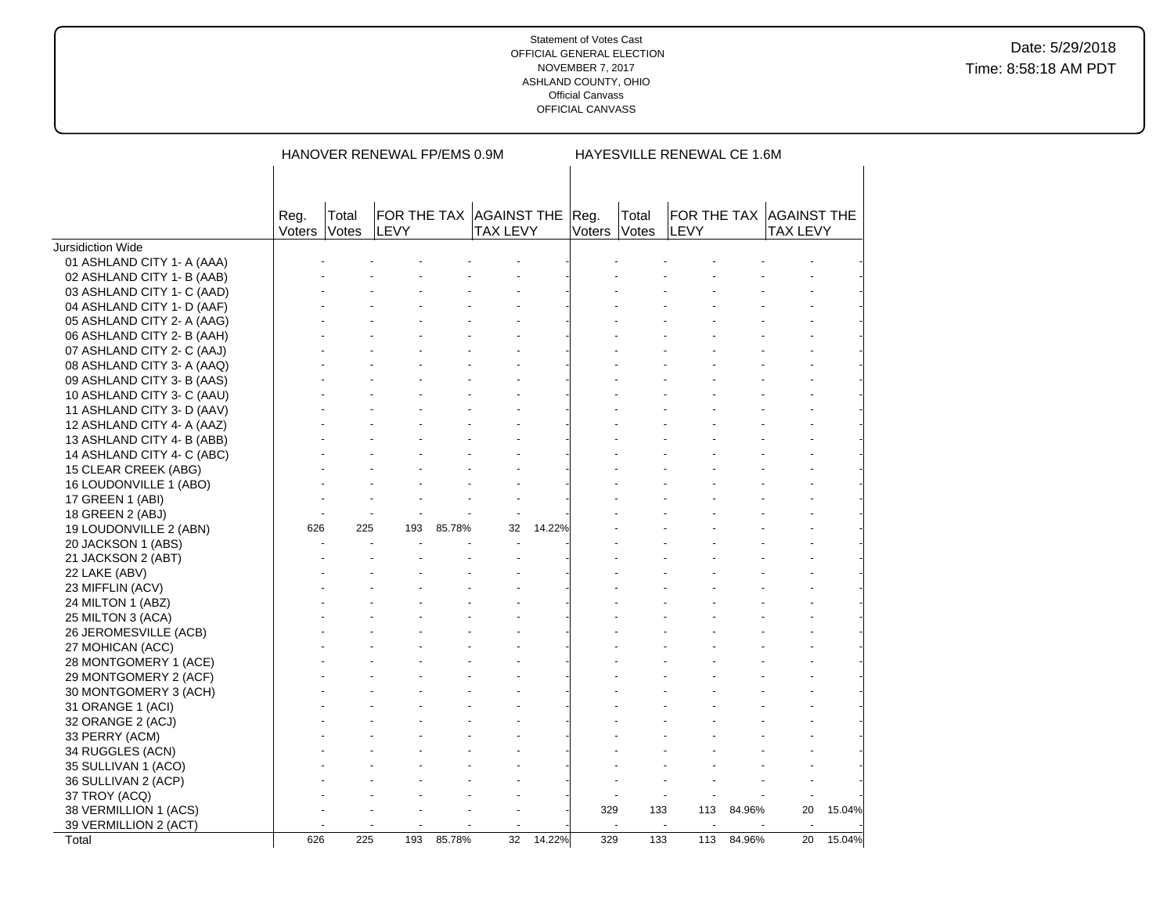|                            |                |                       | HANOVER RENEWAL FP/EMS 0.9M                 |        |                 |        |              |       | HAYESVILLE RENEWAL CE 1.6M |            |                                            |        |
|----------------------------|----------------|-----------------------|---------------------------------------------|--------|-----------------|--------|--------------|-------|----------------------------|------------|--------------------------------------------|--------|
|                            |                |                       |                                             |        |                 |        |              |       |                            |            |                                            |        |
|                            |                |                       |                                             |        |                 |        |              |       |                            |            |                                            |        |
|                            | Reg.<br>Voters | Total<br><b>Votes</b> | FOR THE TAX AGAINST THE Reg.<br><b>LEVY</b> |        | <b>TAX LEVY</b> |        | Voters Votes | Total | <b>LEVY</b>                |            | FOR THE TAX AGAINST THE<br><b>TAX LEVY</b> |        |
| Jursidiction Wide          |                |                       |                                             |        |                 |        |              |       |                            |            |                                            |        |
| 01 ASHLAND CITY 1- A (AAA) |                |                       |                                             |        |                 |        |              |       |                            |            |                                            |        |
| 02 ASHLAND CITY 1- B (AAB) |                |                       |                                             |        |                 |        |              |       |                            |            |                                            |        |
| 03 ASHLAND CITY 1- C (AAD) |                |                       |                                             |        |                 |        |              |       |                            |            |                                            |        |
| 04 ASHLAND CITY 1- D (AAF) |                |                       |                                             |        |                 |        |              |       |                            |            |                                            |        |
| 05 ASHLAND CITY 2- A (AAG) |                |                       |                                             |        |                 |        |              |       |                            |            |                                            |        |
| 06 ASHLAND CITY 2- B (AAH) |                |                       |                                             |        |                 |        |              |       |                            |            |                                            |        |
| 07 ASHLAND CITY 2- C (AAJ) |                |                       |                                             |        |                 |        |              |       |                            |            |                                            |        |
| 08 ASHLAND CITY 3- A (AAQ) |                |                       |                                             |        |                 |        |              |       |                            |            |                                            |        |
| 09 ASHLAND CITY 3- B (AAS) |                |                       |                                             |        |                 |        |              |       |                            |            |                                            |        |
| 10 ASHLAND CITY 3- C (AAU) |                |                       |                                             |        |                 |        |              |       |                            |            |                                            |        |
| 11 ASHLAND CITY 3- D (AAV) |                |                       |                                             |        |                 |        |              |       |                            |            |                                            |        |
| 12 ASHLAND CITY 4- A (AAZ) |                |                       |                                             |        |                 |        |              |       |                            |            |                                            |        |
| 13 ASHLAND CITY 4- B (ABB) |                |                       |                                             |        |                 |        |              |       |                            |            |                                            |        |
| 14 ASHLAND CITY 4- C (ABC) |                |                       |                                             |        |                 |        |              |       |                            |            |                                            |        |
| 15 CLEAR CREEK (ABG)       |                |                       |                                             |        |                 |        |              |       |                            |            |                                            |        |
| 16 LOUDONVILLE 1 (ABO)     |                |                       |                                             |        |                 |        |              |       |                            |            |                                            |        |
| 17 GREEN 1 (ABI)           |                |                       |                                             |        |                 |        |              |       |                            |            |                                            |        |
| 18 GREEN 2 (ABJ)           |                |                       |                                             |        |                 |        |              |       |                            |            |                                            |        |
| 19 LOUDONVILLE 2 (ABN)     | 626            | 225                   | 193                                         | 85.78% | 32              | 14.22% |              |       |                            |            |                                            |        |
| 20 JACKSON 1 (ABS)         |                |                       |                                             |        |                 |        |              |       |                            |            |                                            |        |
| 21 JACKSON 2 (ABT)         |                |                       |                                             |        |                 |        |              |       |                            |            |                                            |        |
| 22 LAKE (ABV)              |                |                       |                                             |        |                 |        |              |       |                            |            |                                            |        |
| 23 MIFFLIN (ACV)           |                |                       |                                             |        |                 |        |              |       |                            |            |                                            |        |
| 24 MILTON 1 (ABZ)          |                |                       |                                             |        |                 |        |              |       |                            |            |                                            |        |
| 25 MILTON 3 (ACA)          |                |                       |                                             |        |                 |        |              |       |                            |            |                                            |        |
| 26 JEROMESVILLE (ACB)      |                |                       |                                             |        |                 |        |              |       |                            |            |                                            |        |
| 27 MOHICAN (ACC)           |                |                       |                                             |        |                 |        |              |       |                            |            |                                            |        |
| 28 MONTGOMERY 1 (ACE)      |                |                       |                                             |        |                 |        |              |       |                            |            |                                            |        |
| 29 MONTGOMERY 2 (ACF)      |                |                       |                                             |        |                 |        |              |       |                            |            |                                            |        |
| 30 MONTGOMERY 3 (ACH)      |                |                       |                                             |        |                 |        |              |       |                            |            |                                            |        |
| 31 ORANGE 1 (ACI)          |                |                       |                                             |        |                 |        |              |       |                            |            |                                            |        |
| 32 ORANGE 2 (ACJ)          |                |                       |                                             |        |                 |        |              |       |                            |            |                                            |        |
|                            |                |                       |                                             |        |                 |        |              |       |                            |            |                                            |        |
| 33 PERRY (ACM)             |                |                       |                                             |        |                 |        |              |       |                            |            |                                            |        |
| 34 RUGGLES (ACN)           |                |                       |                                             |        |                 |        |              |       |                            |            |                                            |        |
| 35 SULLIVAN 1 (ACO)        |                |                       |                                             |        |                 |        |              |       |                            |            |                                            |        |
| 36 SULLIVAN 2 (ACP)        |                |                       |                                             |        |                 |        |              |       |                            |            |                                            |        |
| 37 TROY (ACQ)              |                |                       |                                             |        |                 |        | 329          | 133   | 113                        | 84.96%     | 20                                         |        |
| 38 VERMILLION 1 (ACS)      |                |                       |                                             |        |                 |        |              |       |                            |            |                                            | 15.04% |
| 39 VERMILLION 2 (ACT)      | 626            |                       |                                             |        |                 | 14.22% |              |       | $\blacksquare$             | 113 84.96% |                                            |        |
| Total                      |                | 225                   | 193                                         | 85.78% | 32              |        | 329          | 133   |                            |            | 20                                         | 15.04% |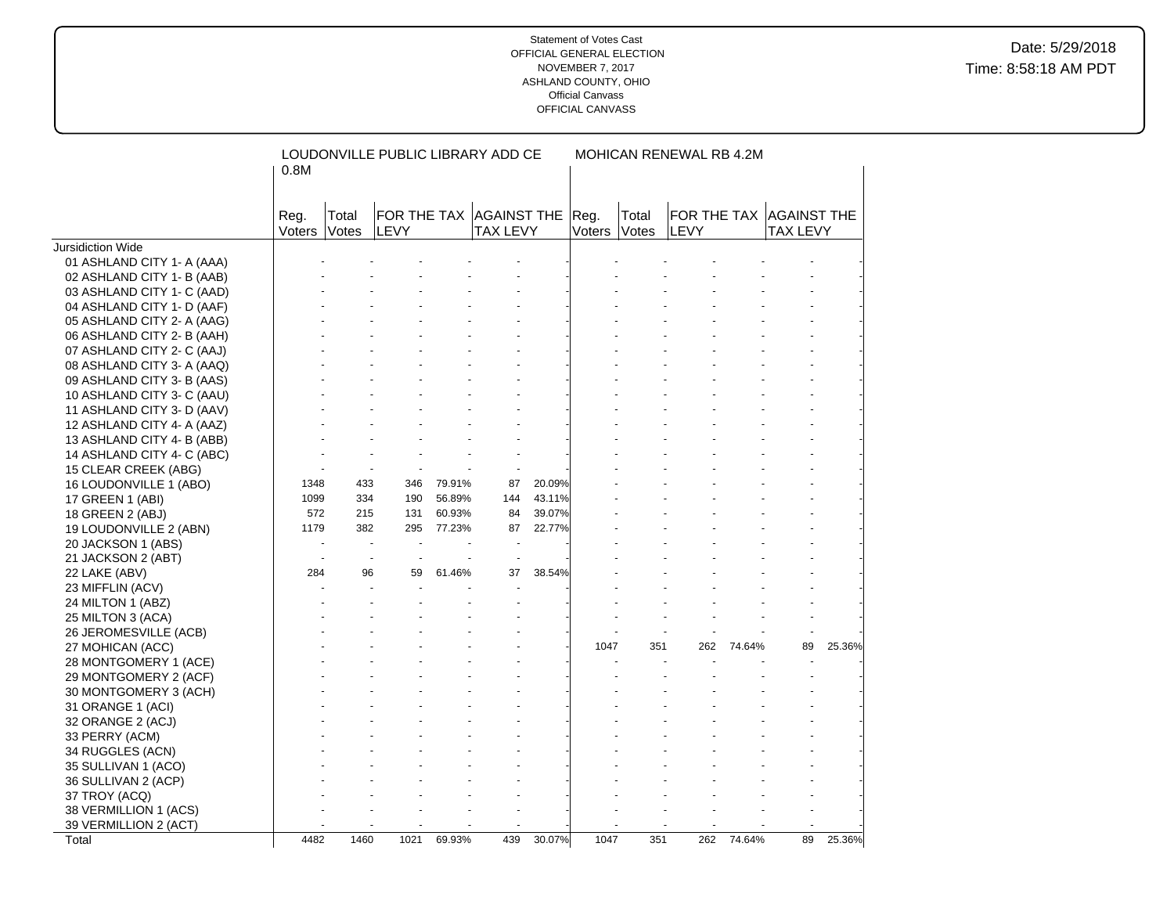|                            | 0.8M           |                | LOUDONVILLE PUBLIC LIBRARY ADD CE |        |                                            |        |                | MOHICAN RENEWAL RB 4.2M |      |        |                                            |        |
|----------------------------|----------------|----------------|-----------------------------------|--------|--------------------------------------------|--------|----------------|-------------------------|------|--------|--------------------------------------------|--------|
|                            | Reg.<br>Voters | Total<br>Votes | LEVY                              |        | FOR THE TAX AGAINST THE<br><b>TAX LEVY</b> |        | Reg.<br>Voters | Total<br>Votes          | LEVY |        | FOR THE TAX AGAINST THE<br><b>TAX LEVY</b> |        |
| Jursidiction Wide          |                |                |                                   |        |                                            |        |                |                         |      |        |                                            |        |
| 01 ASHLAND CITY 1- A (AAA) |                |                |                                   |        |                                            |        |                |                         |      |        |                                            |        |
| 02 ASHLAND CITY 1- B (AAB) |                |                |                                   |        |                                            |        |                |                         |      |        |                                            |        |
| 03 ASHLAND CITY 1- C (AAD) |                |                |                                   |        |                                            |        |                |                         |      |        |                                            |        |
| 04 ASHLAND CITY 1- D (AAF) |                |                |                                   |        |                                            |        |                |                         |      |        |                                            |        |
| 05 ASHLAND CITY 2- A (AAG) |                |                |                                   |        |                                            |        |                |                         |      |        |                                            |        |
| 06 ASHLAND CITY 2- B (AAH) |                |                |                                   |        |                                            |        |                |                         |      |        |                                            |        |
| 07 ASHLAND CITY 2- C (AAJ) |                |                |                                   |        |                                            |        |                |                         |      |        |                                            |        |
| 08 ASHLAND CITY 3- A (AAQ) |                |                |                                   |        |                                            |        |                |                         |      |        |                                            |        |
| 09 ASHLAND CITY 3- B (AAS) |                |                |                                   |        |                                            |        |                |                         |      |        |                                            |        |
| 10 ASHLAND CITY 3- C (AAU) |                |                |                                   |        |                                            |        |                |                         |      |        |                                            |        |
| 11 ASHLAND CITY 3- D (AAV) |                |                |                                   |        |                                            |        |                |                         |      |        |                                            |        |
| 12 ASHLAND CITY 4- A (AAZ) |                |                |                                   |        |                                            |        |                |                         |      |        |                                            |        |
| 13 ASHLAND CITY 4- B (ABB) |                |                |                                   |        |                                            |        |                |                         |      |        |                                            |        |
| 14 ASHLAND CITY 4- C (ABC) |                |                |                                   |        |                                            |        |                |                         |      |        |                                            |        |
| 15 CLEAR CREEK (ABG)       |                |                |                                   |        |                                            |        |                |                         |      |        |                                            |        |
| 16 LOUDONVILLE 1 (ABO)     | 1348           | 433            | 346                               | 79.91% | 87                                         | 20.09% |                |                         |      |        |                                            |        |
| 17 GREEN 1 (ABI)           | 1099           | 334            | 190                               | 56.89% | 144                                        | 43.11% |                |                         |      |        |                                            |        |
| 18 GREEN 2 (ABJ)           | 572            | 215            | 131                               | 60.93% | 84                                         | 39.07% |                |                         |      |        |                                            |        |
| 19 LOUDONVILLE 2 (ABN)     | 1179           | 382            | 295                               | 77.23% | 87                                         | 22.77% |                |                         |      |        |                                            |        |
| 20 JACKSON 1 (ABS)         |                | $\blacksquare$ | $\blacksquare$<br>$\blacksquare$  |        | $\blacksquare$                             |        |                |                         |      |        |                                            |        |
| 21 JACKSON 2 (ABT)         |                |                |                                   |        |                                            |        |                |                         |      |        |                                            |        |
| 22 LAKE (ABV)              | 284            | 96             | 59                                | 61.46% | 37                                         | 38.54% |                |                         |      |        |                                            |        |
| 23 MIFFLIN (ACV)           |                |                |                                   |        |                                            |        |                |                         |      |        |                                            |        |
| 24 MILTON 1 (ABZ)          |                |                |                                   |        |                                            |        |                |                         |      |        |                                            |        |
| 25 MILTON 3 (ACA)          |                |                |                                   |        |                                            |        |                |                         |      |        |                                            |        |
| 26 JEROMESVILLE (ACB)      |                |                |                                   |        |                                            |        |                |                         |      |        |                                            |        |
| 27 MOHICAN (ACC)           |                |                |                                   |        |                                            |        | 1047           | 351                     | 262  | 74.64% | 89                                         | 25.36% |
| 28 MONTGOMERY 1 (ACE)      |                |                |                                   |        |                                            |        |                |                         |      |        |                                            |        |
| 29 MONTGOMERY 2 (ACF)      |                |                |                                   |        |                                            |        |                |                         |      |        |                                            |        |
| 30 MONTGOMERY 3 (ACH)      |                |                |                                   |        |                                            |        |                |                         |      |        |                                            |        |
| 31 ORANGE 1 (ACI)          |                |                |                                   |        |                                            |        |                |                         |      |        |                                            |        |
| 32 ORANGE 2 (ACJ)          |                |                |                                   |        |                                            |        |                |                         |      |        |                                            |        |
| 33 PERRY (ACM)             |                |                |                                   |        |                                            |        |                |                         |      |        |                                            |        |
| 34 RUGGLES (ACN)           |                |                |                                   |        |                                            |        |                |                         |      |        |                                            |        |
| 35 SULLIVAN 1 (ACO)        |                |                |                                   |        |                                            |        |                |                         |      |        |                                            |        |
| 36 SULLIVAN 2 (ACP)        |                |                |                                   |        |                                            |        |                |                         |      |        |                                            |        |
| 37 TROY (ACQ)              |                |                |                                   |        |                                            |        |                |                         |      |        |                                            |        |
| 38 VERMILLION 1 (ACS)      |                |                |                                   |        |                                            |        |                |                         |      |        |                                            |        |
| 39 VERMILLION 2 (ACT)      |                |                |                                   |        |                                            |        |                |                         |      |        |                                            |        |
| Total                      | 4482           | 1460           | 1021                              | 69.93% | 439                                        | 30.07% | 1047           | 351                     | 262  | 74.64% | 89                                         | 25.36% |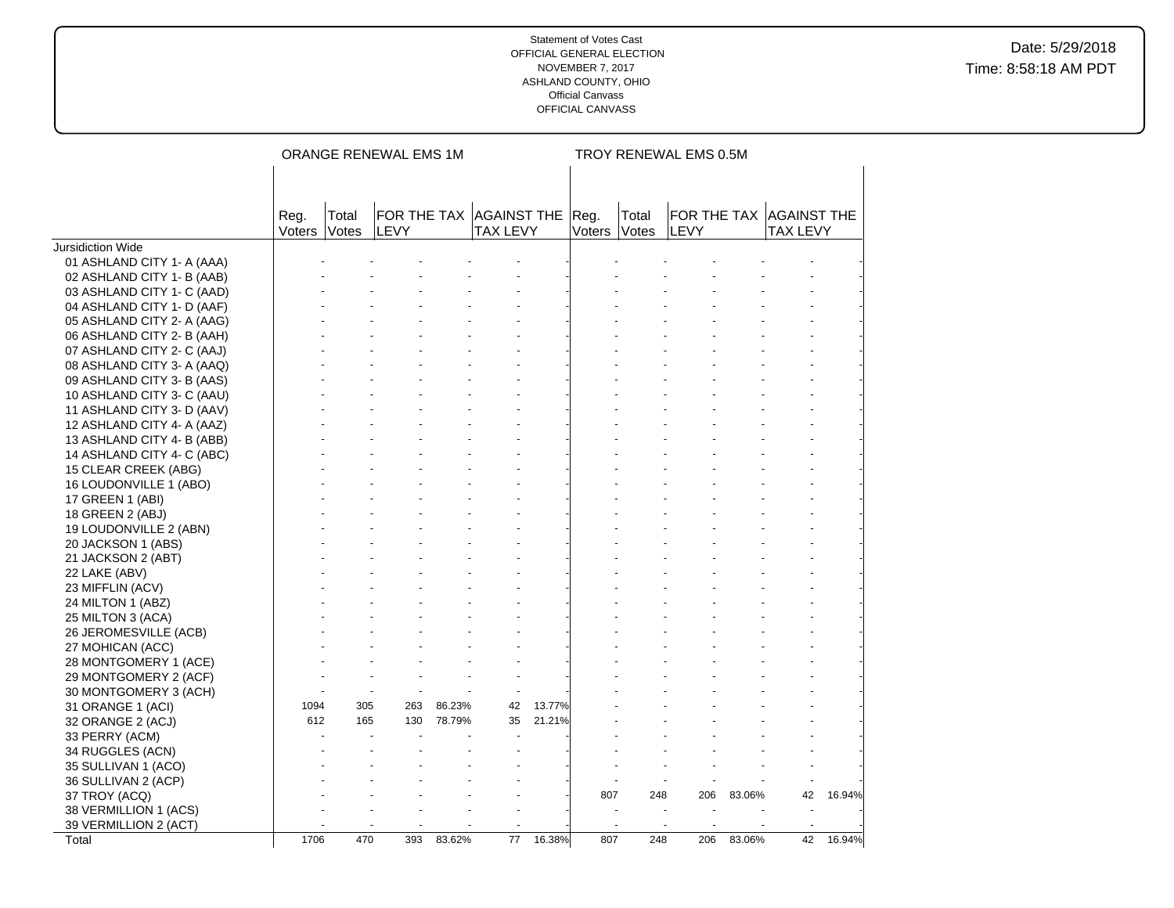|                            |                |                              | ORANGE RENEWAL EMS 1M                  |        |                 |        |                |                | TROY RENEWAL EMS 0.5M |        |                                            |        |
|----------------------------|----------------|------------------------------|----------------------------------------|--------|-----------------|--------|----------------|----------------|-----------------------|--------|--------------------------------------------|--------|
|                            |                |                              |                                        |        |                 |        |                |                |                       |        |                                            |        |
|                            |                |                              |                                        |        |                 |        |                |                |                       |        |                                            |        |
|                            | Reg.<br>Voters | Total<br><i><b>Votes</b></i> | FOR THE TAX AGAINST THE<br><b>LEVY</b> |        | <b>TAX LEVY</b> |        | Reg.<br>Voters | Total<br>Votes | <b>LEVY</b>           |        | FOR THE TAX AGAINST THE<br><b>TAX LEVY</b> |        |
| Jursidiction Wide          |                |                              |                                        |        |                 |        |                |                |                       |        |                                            |        |
| 01 ASHLAND CITY 1- A (AAA) |                |                              |                                        |        |                 |        |                |                |                       |        |                                            |        |
| 02 ASHLAND CITY 1- B (AAB) |                |                              |                                        |        |                 |        |                |                |                       |        |                                            |        |
| 03 ASHLAND CITY 1- C (AAD) |                |                              |                                        |        |                 |        |                |                |                       |        |                                            |        |
| 04 ASHLAND CITY 1- D (AAF) |                |                              |                                        |        |                 |        |                |                |                       |        |                                            |        |
| 05 ASHLAND CITY 2- A (AAG) |                |                              |                                        |        |                 |        |                |                |                       |        |                                            |        |
| 06 ASHLAND CITY 2- B (AAH) |                |                              |                                        |        |                 |        |                |                |                       |        |                                            |        |
| 07 ASHLAND CITY 2- C (AAJ) |                |                              |                                        |        |                 |        |                |                |                       |        |                                            |        |
| 08 ASHLAND CITY 3- A (AAQ) |                |                              |                                        |        |                 |        |                |                |                       |        |                                            |        |
| 09 ASHLAND CITY 3- B (AAS) |                |                              |                                        |        |                 |        |                |                |                       |        |                                            |        |
| 10 ASHLAND CITY 3- C (AAU) |                |                              |                                        |        |                 |        |                |                |                       |        |                                            |        |
| 11 ASHLAND CITY 3- D (AAV) |                |                              |                                        |        |                 |        |                |                |                       |        |                                            |        |
| 12 ASHLAND CITY 4- A (AAZ) |                |                              |                                        |        |                 |        |                |                |                       |        |                                            |        |
| 13 ASHLAND CITY 4- B (ABB) |                |                              |                                        |        |                 |        |                |                |                       |        |                                            |        |
| 14 ASHLAND CITY 4- C (ABC) |                |                              |                                        |        |                 |        |                |                |                       |        |                                            |        |
| 15 CLEAR CREEK (ABG)       |                |                              |                                        |        |                 |        |                |                |                       |        |                                            |        |
| 16 LOUDONVILLE 1 (ABO)     |                |                              |                                        |        |                 |        |                |                |                       |        |                                            |        |
| 17 GREEN 1 (ABI)           |                |                              |                                        |        |                 |        |                |                |                       |        |                                            |        |
| 18 GREEN 2 (ABJ)           |                |                              |                                        |        |                 |        |                |                |                       |        |                                            |        |
| 19 LOUDONVILLE 2 (ABN)     |                |                              |                                        |        |                 |        |                |                |                       |        |                                            |        |
| 20 JACKSON 1 (ABS)         |                |                              |                                        |        |                 |        |                |                |                       |        |                                            |        |
| 21 JACKSON 2 (ABT)         |                |                              |                                        |        |                 |        |                |                |                       |        |                                            |        |
| 22 LAKE (ABV)              |                |                              |                                        |        |                 |        |                |                |                       |        |                                            |        |
| 23 MIFFLIN (ACV)           |                |                              |                                        |        |                 |        |                |                |                       |        |                                            |        |
| 24 MILTON 1 (ABZ)          |                |                              |                                        |        |                 |        |                |                |                       |        |                                            |        |
| 25 MILTON 3 (ACA)          |                |                              |                                        |        |                 |        |                |                |                       |        |                                            |        |
| 26 JEROMESVILLE (ACB)      |                |                              |                                        |        |                 |        |                |                |                       |        |                                            |        |
| 27 MOHICAN (ACC)           |                |                              |                                        |        |                 |        |                |                |                       |        |                                            |        |
| 28 MONTGOMERY 1 (ACE)      |                |                              |                                        |        |                 |        |                |                |                       |        |                                            |        |
| 29 MONTGOMERY 2 (ACF)      |                |                              |                                        |        |                 |        |                |                |                       |        |                                            |        |
| 30 MONTGOMERY 3 (ACH)      |                |                              |                                        |        |                 |        |                |                |                       |        |                                            |        |
| 31 ORANGE 1 (ACI)          | 1094           | 305                          | 263                                    | 86.23% | 42              | 13.77% |                |                |                       |        |                                            |        |
| 32 ORANGE 2 (ACJ)          | 612            | 165                          | 130                                    | 78.79% | 35              | 21.21% |                |                |                       |        |                                            |        |
| 33 PERRY (ACM)             |                |                              |                                        |        |                 |        |                |                |                       |        |                                            |        |
| 34 RUGGLES (ACN)           |                |                              |                                        |        |                 |        |                |                |                       |        |                                            |        |
| 35 SULLIVAN 1 (ACO)        |                |                              |                                        |        |                 |        |                |                |                       |        |                                            |        |
| 36 SULLIVAN 2 (ACP)        |                |                              |                                        |        |                 |        |                |                |                       |        |                                            |        |
| 37 TROY (ACQ)              |                |                              |                                        |        |                 |        | 807            | 248            | 206                   | 83.06% | 42                                         | 16.94% |
| 38 VERMILLION 1 (ACS)      |                |                              |                                        |        |                 |        |                |                |                       |        |                                            |        |
| 39 VERMILLION 2 (ACT)      |                |                              |                                        |        |                 |        |                |                |                       |        |                                            |        |
| Total                      | 1706           | 470                          | 393                                    | 83.62% | 77              | 16.38% | 807            | 248            | 206                   | 83.06% | 42                                         | 16.94% |
|                            |                |                              |                                        |        |                 |        |                |                |                       |        |                                            |        |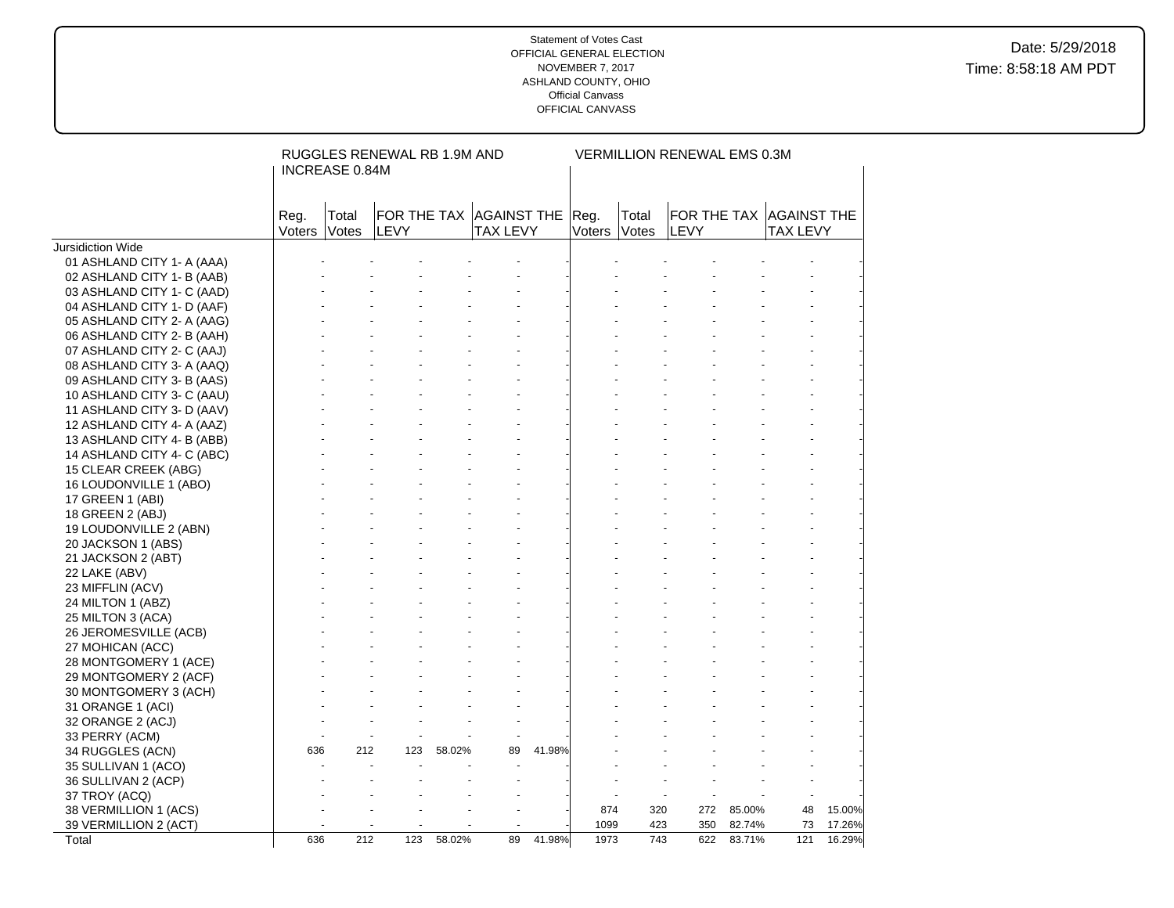|                                            |                | RUGGLES RENEWAL RB 1.9M AND<br>INCREASE 0.84M |                                        |        |                 |        |                      |       | VERMILLION RENEWAL EMS 0.3M |            |                                            |        |  |  |  |  |
|--------------------------------------------|----------------|-----------------------------------------------|----------------------------------------|--------|-----------------|--------|----------------------|-------|-----------------------------|------------|--------------------------------------------|--------|--|--|--|--|
|                                            | Reg.<br>Voters | Total<br>Votes                                | FOR THE TAX AGAINST THE<br><b>LEVY</b> |        | <b>TAX LEVY</b> |        | Reg.<br>Voters Votes | Total | LEVY                        |            | FOR THE TAX AGAINST THE<br><b>TAX LEVY</b> |        |  |  |  |  |
| <b>Jursidiction Wide</b>                   |                |                                               |                                        |        |                 |        |                      |       |                             |            |                                            |        |  |  |  |  |
| 01 ASHLAND CITY 1- A (AAA)                 |                |                                               |                                        |        |                 |        |                      |       |                             |            |                                            |        |  |  |  |  |
| 02 ASHLAND CITY 1- B (AAB)                 |                |                                               |                                        |        |                 |        |                      |       |                             |            |                                            |        |  |  |  |  |
| 03 ASHLAND CITY 1- C (AAD)                 |                |                                               |                                        |        |                 |        |                      |       |                             |            |                                            |        |  |  |  |  |
| 04 ASHLAND CITY 1- D (AAF)                 |                |                                               |                                        |        |                 |        |                      |       |                             |            |                                            |        |  |  |  |  |
| 05 ASHLAND CITY 2- A (AAG)                 |                |                                               |                                        |        |                 |        |                      |       |                             |            |                                            |        |  |  |  |  |
| 06 ASHLAND CITY 2- B (AAH)                 |                |                                               |                                        |        |                 |        |                      |       |                             |            |                                            |        |  |  |  |  |
| 07 ASHLAND CITY 2- C (AAJ)                 |                |                                               |                                        |        |                 |        |                      |       |                             |            |                                            |        |  |  |  |  |
| 08 ASHLAND CITY 3- A (AAQ)                 |                |                                               |                                        |        |                 |        |                      |       |                             |            |                                            |        |  |  |  |  |
| 09 ASHLAND CITY 3- B (AAS)                 |                |                                               |                                        |        |                 |        |                      |       |                             |            |                                            |        |  |  |  |  |
| 10 ASHLAND CITY 3- C (AAU)                 |                |                                               |                                        |        |                 |        |                      |       |                             |            |                                            |        |  |  |  |  |
| 11 ASHLAND CITY 3- D (AAV)                 |                |                                               |                                        |        |                 |        |                      |       |                             |            |                                            |        |  |  |  |  |
| 12 ASHLAND CITY 4- A (AAZ)                 |                |                                               |                                        |        |                 |        |                      |       |                             |            |                                            |        |  |  |  |  |
| 13 ASHLAND CITY 4- B (ABB)                 |                |                                               |                                        |        |                 |        |                      |       |                             |            |                                            |        |  |  |  |  |
| 14 ASHLAND CITY 4- C (ABC)                 |                |                                               |                                        |        |                 |        |                      |       |                             |            |                                            |        |  |  |  |  |
| 15 CLEAR CREEK (ABG)                       |                |                                               |                                        |        |                 |        |                      |       |                             |            |                                            |        |  |  |  |  |
| 16 LOUDONVILLE 1 (ABO)                     |                |                                               |                                        |        |                 |        |                      |       |                             |            |                                            |        |  |  |  |  |
| 17 GREEN 1 (ABI)                           |                |                                               |                                        |        |                 |        |                      |       |                             |            |                                            |        |  |  |  |  |
| 18 GREEN 2 (ABJ)                           |                |                                               |                                        |        |                 |        |                      |       |                             |            |                                            |        |  |  |  |  |
| 19 LOUDONVILLE 2 (ABN)                     |                |                                               |                                        |        |                 |        |                      |       |                             |            |                                            |        |  |  |  |  |
| 20 JACKSON 1 (ABS)                         |                |                                               |                                        |        |                 |        |                      |       |                             |            |                                            |        |  |  |  |  |
| 21 JACKSON 2 (ABT)                         |                |                                               |                                        |        |                 |        |                      |       |                             |            |                                            |        |  |  |  |  |
| 22 LAKE (ABV)                              |                |                                               |                                        |        |                 |        |                      |       |                             |            |                                            |        |  |  |  |  |
| 23 MIFFLIN (ACV)                           |                |                                               |                                        |        |                 |        |                      |       |                             |            |                                            |        |  |  |  |  |
| 24 MILTON 1 (ABZ)                          |                |                                               |                                        |        |                 |        |                      |       |                             |            |                                            |        |  |  |  |  |
| 25 MILTON 3 (ACA)                          |                |                                               |                                        |        |                 |        |                      |       |                             |            |                                            |        |  |  |  |  |
| 26 JEROMESVILLE (ACB)                      |                |                                               |                                        |        |                 |        |                      |       |                             |            |                                            |        |  |  |  |  |
| 27 MOHICAN (ACC)                           |                |                                               |                                        |        |                 |        |                      |       |                             |            |                                            |        |  |  |  |  |
| 28 MONTGOMERY 1 (ACE)                      |                |                                               |                                        |        |                 |        |                      |       |                             |            |                                            |        |  |  |  |  |
| 29 MONTGOMERY 2 (ACF)                      |                |                                               |                                        |        |                 |        |                      |       |                             |            |                                            |        |  |  |  |  |
| 30 MONTGOMERY 3 (ACH)                      |                |                                               |                                        |        |                 |        |                      |       |                             |            |                                            |        |  |  |  |  |
| 31 ORANGE 1 (ACI)                          |                |                                               |                                        |        |                 |        |                      |       |                             |            |                                            |        |  |  |  |  |
| 32 ORANGE 2 (ACJ)                          |                |                                               |                                        |        |                 |        |                      |       |                             |            |                                            |        |  |  |  |  |
| 33 PERRY (ACM)                             |                |                                               |                                        |        |                 |        |                      |       |                             |            |                                            |        |  |  |  |  |
| 34 RUGGLES (ACN)                           | 636            | 212                                           | 123                                    | 58.02% | 89              | 41.98% |                      |       |                             |            |                                            |        |  |  |  |  |
|                                            |                |                                               |                                        |        |                 |        |                      |       |                             |            |                                            |        |  |  |  |  |
| 35 SULLIVAN 1 (ACO)<br>36 SULLIVAN 2 (ACP) |                |                                               |                                        |        |                 |        |                      |       |                             |            |                                            |        |  |  |  |  |
|                                            |                |                                               |                                        |        |                 |        |                      |       |                             |            |                                            |        |  |  |  |  |
| 37 TROY (ACQ)                              |                |                                               |                                        |        |                 |        | 874                  | 320   |                             | 272 85.00% | 48                                         | 15.00% |  |  |  |  |
| 38 VERMILLION 1 (ACS)                      |                |                                               |                                        |        |                 |        | 1099                 | 423   | 350                         | 82.74%     | 73                                         | 17.26% |  |  |  |  |
| 39 VERMILLION 2 (ACT)<br>Total             | 636            | 212                                           | 123                                    | 58.02% | 89              | 41.98% | 1973                 | 743   |                             | 622 83.71% | 121                                        | 16.29% |  |  |  |  |
|                                            |                |                                               |                                        |        |                 |        |                      |       |                             |            |                                            |        |  |  |  |  |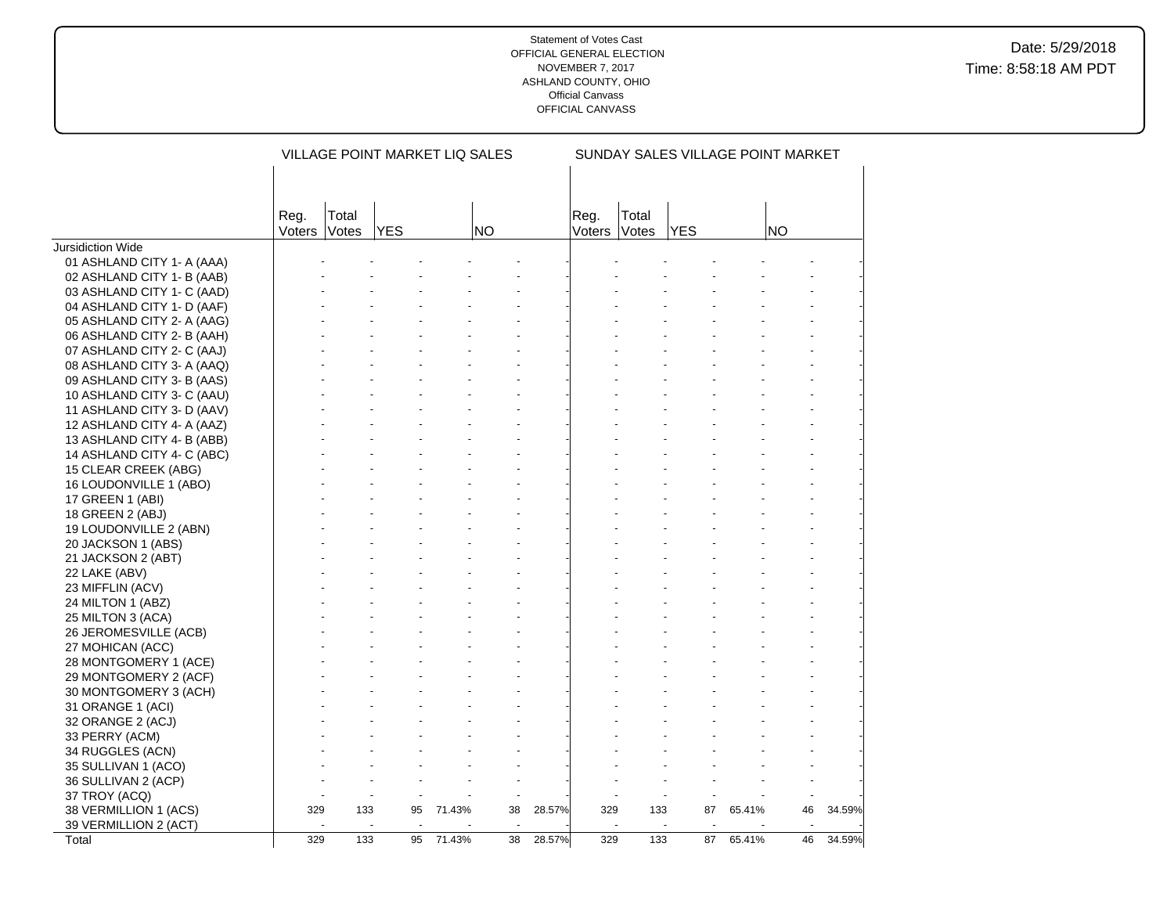|                                                |        |       | VILLAGE POINT MARKET LIQ SALES |        |                          | SUNDAY SALES VILLAGE POINT MARKET |        |       |                  |        |                          |        |
|------------------------------------------------|--------|-------|--------------------------------|--------|--------------------------|-----------------------------------|--------|-------|------------------|--------|--------------------------|--------|
|                                                | Reg.   | Total |                                |        |                          |                                   | Reg.   | Total |                  |        |                          |        |
|                                                | Voters | Votes | YES                            |        | <b>NO</b>                |                                   | Voters | Votes | <b>YES</b>       |        | <b>NO</b>                |        |
| <b>Jursidiction Wide</b>                       |        |       |                                |        |                          |                                   |        |       |                  |        |                          |        |
| 01 ASHLAND CITY 1- A (AAA)                     |        |       |                                |        |                          |                                   |        |       |                  |        |                          |        |
| 02 ASHLAND CITY 1- B (AAB)                     |        |       |                                |        |                          |                                   |        |       |                  |        |                          |        |
| 03 ASHLAND CITY 1- C (AAD)                     |        |       |                                |        |                          |                                   |        |       |                  |        |                          |        |
| 04 ASHLAND CITY 1- D (AAF)                     |        |       |                                |        |                          |                                   |        |       |                  |        |                          |        |
| 05 ASHLAND CITY 2- A (AAG)                     |        |       |                                |        |                          |                                   |        |       |                  |        |                          |        |
| 06 ASHLAND CITY 2- B (AAH)                     |        |       |                                |        |                          |                                   |        |       |                  |        |                          |        |
| 07 ASHLAND CITY 2- C (AAJ)                     |        |       |                                |        |                          |                                   |        |       |                  |        |                          |        |
| 08 ASHLAND CITY 3- A (AAQ)                     |        |       |                                |        |                          |                                   |        |       |                  |        |                          |        |
| 09 ASHLAND CITY 3- B (AAS)                     |        |       |                                |        |                          |                                   |        |       |                  |        |                          |        |
| 10 ASHLAND CITY 3- C (AAU)                     |        |       |                                |        |                          |                                   |        |       |                  |        |                          |        |
| 11 ASHLAND CITY 3- D (AAV)                     |        |       |                                |        |                          |                                   |        |       |                  |        |                          |        |
| 12 ASHLAND CITY 4- A (AAZ)                     |        |       |                                |        |                          |                                   |        |       |                  |        |                          |        |
| 13 ASHLAND CITY 4- B (ABB)                     |        |       |                                |        |                          |                                   |        |       |                  |        |                          |        |
| 14 ASHLAND CITY 4- C (ABC)                     |        |       |                                |        |                          |                                   |        |       |                  |        |                          |        |
| 15 CLEAR CREEK (ABG)                           |        |       |                                |        |                          |                                   |        |       |                  |        |                          |        |
| 16 LOUDONVILLE 1 (ABO)                         |        |       |                                |        |                          |                                   |        |       |                  |        |                          |        |
| 17 GREEN 1 (ABI)                               |        |       |                                |        |                          |                                   |        |       |                  |        |                          |        |
| 18 GREEN 2 (ABJ)                               |        |       |                                |        |                          |                                   |        |       |                  |        |                          |        |
| 19 LOUDONVILLE 2 (ABN)                         |        |       |                                |        |                          |                                   |        |       |                  |        |                          |        |
| 20 JACKSON 1 (ABS)                             |        |       |                                |        |                          |                                   |        |       |                  |        |                          |        |
| 21 JACKSON 2 (ABT)                             |        |       |                                |        |                          |                                   |        |       |                  |        |                          |        |
| 22 LAKE (ABV)                                  |        |       |                                |        |                          |                                   |        |       |                  |        |                          |        |
| 23 MIFFLIN (ACV)                               |        |       |                                |        |                          |                                   |        |       |                  |        |                          |        |
| 24 MILTON 1 (ABZ)                              |        |       |                                |        |                          |                                   |        |       |                  |        |                          |        |
| 25 MILTON 3 (ACA)                              |        |       |                                |        |                          |                                   |        |       |                  |        |                          |        |
| 26 JEROMESVILLE (ACB)                          |        |       |                                |        |                          |                                   |        |       |                  |        |                          |        |
| 27 MOHICAN (ACC)                               |        |       |                                |        |                          |                                   |        |       |                  |        |                          |        |
| 28 MONTGOMERY 1 (ACE)                          |        |       |                                |        |                          |                                   |        |       |                  |        |                          |        |
| 29 MONTGOMERY 2 (ACF)                          |        |       |                                |        |                          |                                   |        |       |                  |        |                          |        |
| 30 MONTGOMERY 3 (ACH)                          |        |       |                                |        |                          |                                   |        |       |                  |        |                          |        |
| 31 ORANGE 1 (ACI)                              |        |       |                                |        |                          |                                   |        |       |                  |        |                          |        |
| 32 ORANGE 2 (ACJ)                              |        |       |                                |        |                          |                                   |        |       |                  |        |                          |        |
| 33 PERRY (ACM)                                 |        |       |                                |        |                          |                                   |        |       |                  |        |                          |        |
| 34 RUGGLES (ACN)                               |        |       |                                |        |                          |                                   |        |       |                  |        |                          |        |
|                                                |        |       |                                |        |                          |                                   |        |       |                  |        |                          |        |
| 35 SULLIVAN 1 (ACO)<br>36 SULLIVAN 2 (ACP)     |        |       |                                |        |                          |                                   |        |       |                  |        |                          |        |
| 37 TROY (ACQ)                                  |        |       |                                |        |                          |                                   |        |       |                  |        |                          |        |
|                                                | 329    | 133   | 95                             | 71.43% | 38                       | 28.57%                            | 329    | 133   | 87               | 65.41% | 46                       | 34.59% |
| 38 VERMILLION 1 (ACS)<br>39 VERMILLION 2 (ACT) | $\sim$ |       | $\sim$<br>$\sim$               |        | $\overline{\phantom{a}}$ |                                   | $\sim$ |       | $\sim$<br>$\sim$ |        | $\overline{\phantom{a}}$ |        |
| Total                                          | 329    | 133   | 95                             | 71.43% | 38                       | 28.57%                            | 329    | 133   | 87               | 65.41% | 46                       | 34.59% |
|                                                |        |       |                                |        |                          |                                   |        |       |                  |        |                          |        |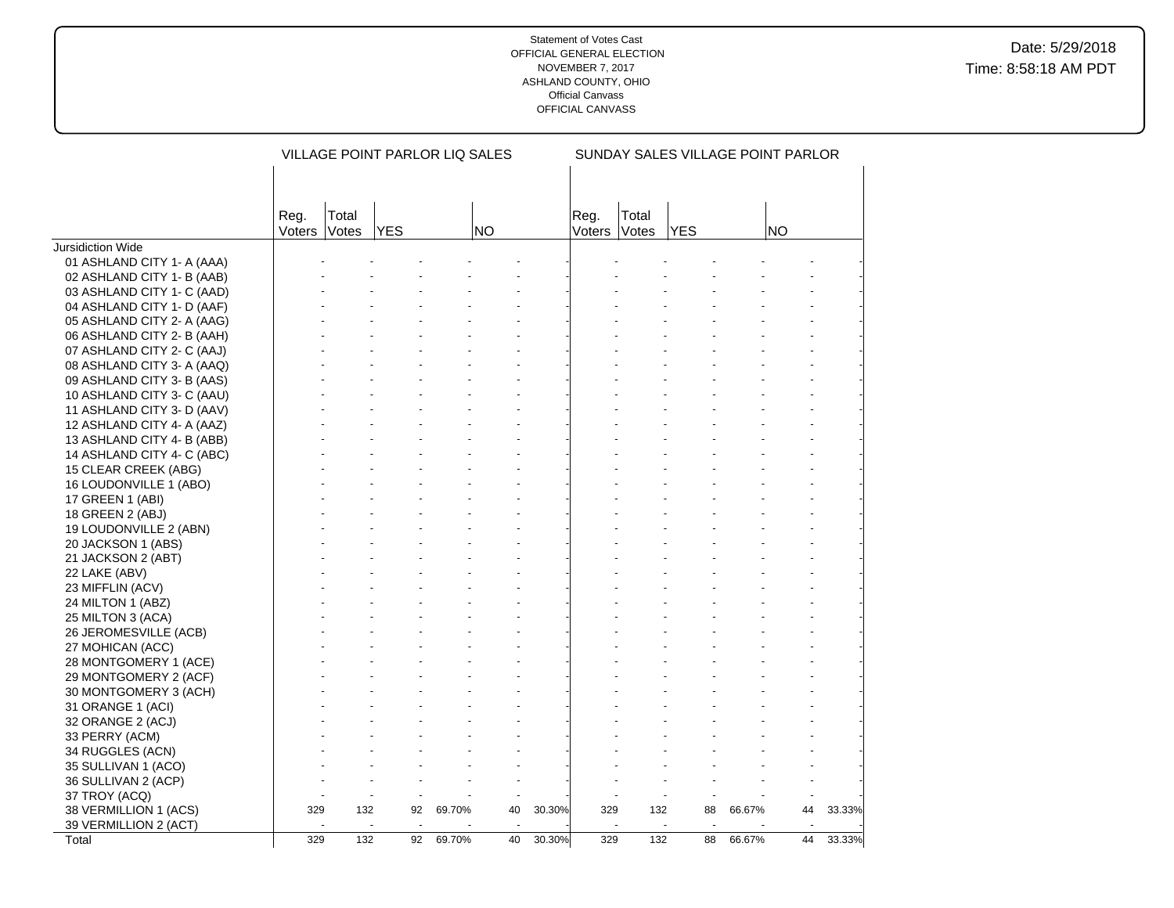|                            |                |                | VILLAGE POINT PARLOR LIQ SALES |        |    | SUNDAY SALES VILLAGE POINT PARLOR |                |                |            |        |    |        |
|----------------------------|----------------|----------------|--------------------------------|--------|----|-----------------------------------|----------------|----------------|------------|--------|----|--------|
|                            | Reg.<br>Voters | Total<br>Votes | <b>YES</b>                     |        | NO |                                   | Reg.<br>Voters | Total<br>Votes | <b>YES</b> |        | NO |        |
| Jursidiction Wide          |                |                |                                |        |    |                                   |                |                |            |        |    |        |
| 01 ASHLAND CITY 1- A (AAA) |                |                |                                |        |    |                                   |                |                |            |        |    |        |
| 02 ASHLAND CITY 1- B (AAB) |                |                |                                |        |    |                                   |                |                |            |        |    |        |
| 03 ASHLAND CITY 1- C (AAD) |                |                |                                |        |    |                                   |                |                |            |        |    |        |
| 04 ASHLAND CITY 1- D (AAF) |                |                |                                |        |    |                                   |                |                |            |        |    |        |
| 05 ASHLAND CITY 2- A (AAG) |                |                |                                |        |    |                                   |                |                |            |        |    |        |
| 06 ASHLAND CITY 2- B (AAH) |                |                |                                |        |    |                                   |                |                |            |        |    |        |
| 07 ASHLAND CITY 2- C (AAJ) |                |                |                                |        |    |                                   |                |                |            |        |    |        |
| 08 ASHLAND CITY 3- A (AAQ) |                |                |                                |        |    |                                   |                |                |            |        |    |        |
| 09 ASHLAND CITY 3- B (AAS) |                |                |                                |        |    |                                   |                |                |            |        |    |        |
| 10 ASHLAND CITY 3- C (AAU) |                |                |                                |        |    |                                   |                |                |            |        |    |        |
| 11 ASHLAND CITY 3- D (AAV) |                |                |                                |        |    |                                   |                |                |            |        |    |        |
| 12 ASHLAND CITY 4- A (AAZ) |                |                |                                |        |    |                                   |                |                |            |        |    |        |
| 13 ASHLAND CITY 4- B (ABB) |                |                |                                |        |    |                                   |                |                |            |        |    |        |
| 14 ASHLAND CITY 4- C (ABC) |                |                |                                |        |    |                                   |                |                |            |        |    |        |
| 15 CLEAR CREEK (ABG)       |                |                |                                |        |    |                                   |                |                |            |        |    |        |
| 16 LOUDONVILLE 1 (ABO)     |                |                |                                |        |    |                                   |                |                |            |        |    |        |
| 17 GREEN 1 (ABI)           |                |                |                                |        |    |                                   |                |                |            |        |    |        |
| 18 GREEN 2 (ABJ)           |                |                |                                |        |    |                                   |                |                |            |        |    |        |
| 19 LOUDONVILLE 2 (ABN)     |                |                |                                |        |    |                                   |                |                |            |        |    |        |
| 20 JACKSON 1 (ABS)         |                |                |                                |        |    |                                   |                |                |            |        |    |        |
| 21 JACKSON 2 (ABT)         |                |                |                                |        |    |                                   |                |                |            |        |    |        |
| 22 LAKE (ABV)              |                |                |                                |        |    |                                   |                |                |            |        |    |        |
| 23 MIFFLIN (ACV)           |                |                |                                |        |    |                                   |                |                |            |        |    |        |
| 24 MILTON 1 (ABZ)          |                |                |                                |        |    |                                   |                |                |            |        |    |        |
| 25 MILTON 3 (ACA)          |                |                |                                |        |    |                                   |                |                |            |        |    |        |
| 26 JEROMESVILLE (ACB)      |                |                |                                |        |    |                                   |                |                |            |        |    |        |
| 27 MOHICAN (ACC)           |                |                |                                |        |    |                                   |                |                |            |        |    |        |
| 28 MONTGOMERY 1 (ACE)      |                |                |                                |        |    |                                   |                |                |            |        |    |        |
| 29 MONTGOMERY 2 (ACF)      |                |                |                                |        |    |                                   |                |                |            |        |    |        |
| 30 MONTGOMERY 3 (ACH)      |                |                |                                |        |    |                                   |                |                |            |        |    |        |
| 31 ORANGE 1 (ACI)          |                |                |                                |        |    |                                   |                |                |            |        |    |        |
| 32 ORANGE 2 (ACJ)          |                |                |                                |        |    |                                   |                |                |            |        |    |        |
| 33 PERRY (ACM)             |                |                |                                |        |    |                                   |                |                |            |        |    |        |
| 34 RUGGLES (ACN)           |                |                |                                |        |    |                                   |                |                |            |        |    |        |
| 35 SULLIVAN 1 (ACO)        |                |                |                                |        |    |                                   |                |                |            |        |    |        |
| 36 SULLIVAN 2 (ACP)        |                |                |                                |        |    |                                   |                |                |            |        |    |        |
| 37 TROY (ACQ)              |                |                |                                |        |    |                                   |                |                |            |        |    |        |
| 38 VERMILLION 1 (ACS)      | 329            | 132            | 92                             | 69.70% | 40 | 30.30%                            | 329            | 132            | 88         | 66.67% | 44 | 33.33% |
| 39 VERMILLION 2 (ACT)      |                |                |                                |        |    |                                   |                |                |            |        |    |        |
| Total                      | 329            | 132            | 92                             | 69.70% | 40 | 30.30%                            | 329            | 132            | 88         | 66.67% | 44 | 33.33% |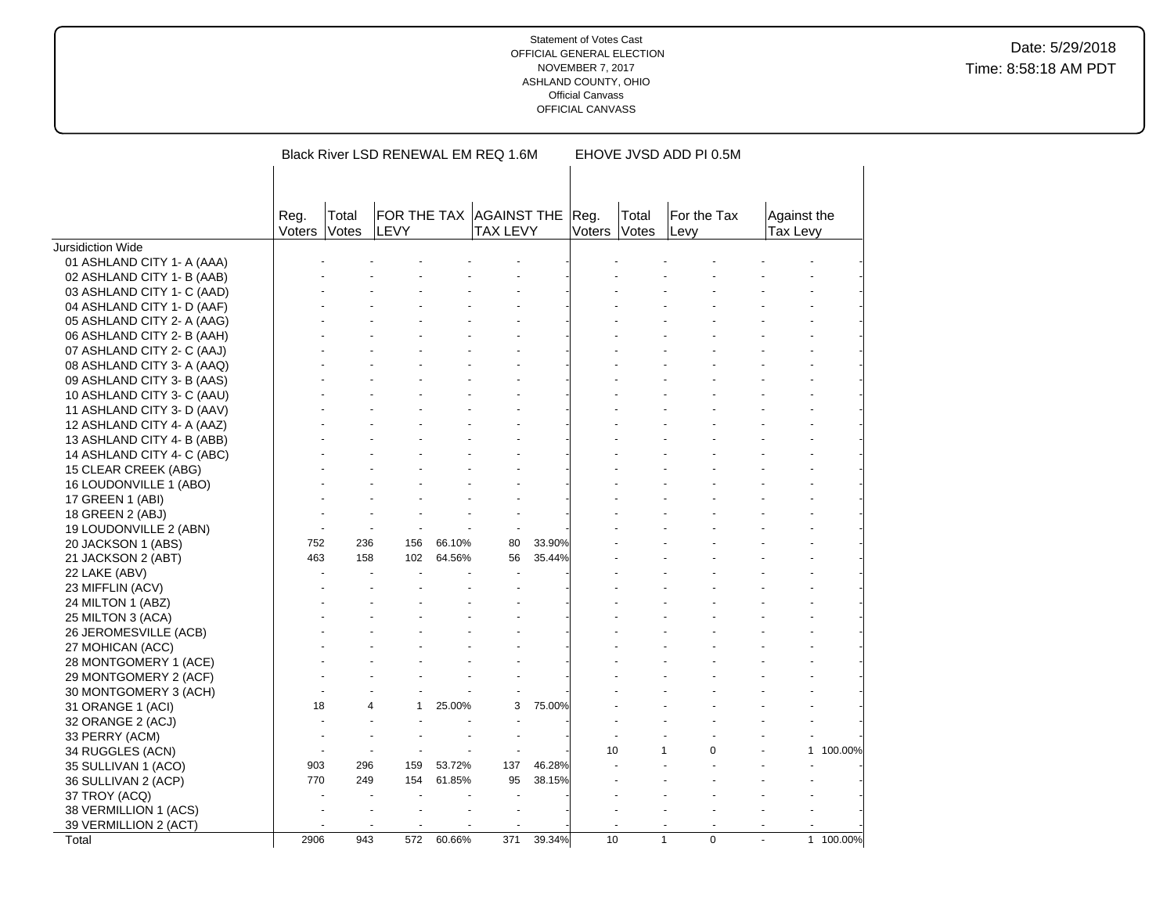|                            |                |                       | Black River LSD RENEWAL EM REQ 1.6M |        |                 | EHOVE JVSD ADD PI 0.5M |                |                |                     |           |                         |         |  |
|----------------------------|----------------|-----------------------|-------------------------------------|--------|-----------------|------------------------|----------------|----------------|---------------------|-----------|-------------------------|---------|--|
|                            |                |                       |                                     |        |                 |                        |                |                |                     |           |                         |         |  |
|                            |                |                       |                                     |        |                 |                        |                |                |                     |           |                         |         |  |
|                            | Reg.<br>Voters | Total<br><b>Votes</b> | FOR THE TAX AGAINST THE<br>LEVY     |        | <b>TAX LEVY</b> |                        | Reg.<br>Voters | Total<br>Votes | For the Tax<br>Levv |           | Against the<br>Tax Levy |         |  |
| Jursidiction Wide          |                |                       |                                     |        |                 |                        |                |                |                     |           |                         |         |  |
| 01 ASHLAND CITY 1- A (AAA) |                |                       |                                     |        |                 |                        |                |                |                     |           |                         |         |  |
| 02 ASHLAND CITY 1- B (AAB) |                |                       |                                     |        |                 |                        |                |                |                     |           |                         |         |  |
| 03 ASHLAND CITY 1- C (AAD) |                |                       |                                     |        |                 |                        |                |                |                     |           |                         |         |  |
| 04 ASHLAND CITY 1- D (AAF) |                |                       |                                     |        |                 |                        |                |                |                     |           |                         |         |  |
| 05 ASHLAND CITY 2- A (AAG) |                |                       |                                     |        |                 |                        |                |                |                     |           |                         |         |  |
| 06 ASHLAND CITY 2- B (AAH) |                |                       |                                     |        |                 |                        |                |                |                     |           |                         |         |  |
| 07 ASHLAND CITY 2- C (AAJ) |                |                       |                                     |        |                 |                        |                |                |                     |           |                         |         |  |
| 08 ASHLAND CITY 3- A (AAQ) |                |                       |                                     |        |                 |                        |                |                |                     |           |                         |         |  |
| 09 ASHLAND CITY 3- B (AAS) |                |                       |                                     |        |                 |                        |                |                |                     |           |                         |         |  |
| 10 ASHLAND CITY 3- C (AAU) |                |                       |                                     |        |                 |                        |                |                |                     |           |                         |         |  |
| 11 ASHLAND CITY 3- D (AAV) |                |                       |                                     |        |                 |                        |                |                |                     |           |                         |         |  |
| 12 ASHLAND CITY 4- A (AAZ) |                |                       |                                     |        |                 |                        |                |                |                     |           |                         |         |  |
| 13 ASHLAND CITY 4- B (ABB) |                |                       |                                     |        |                 |                        |                |                |                     |           |                         |         |  |
| 14 ASHLAND CITY 4- C (ABC) |                |                       |                                     |        |                 |                        |                |                |                     |           |                         |         |  |
| 15 CLEAR CREEK (ABG)       |                |                       |                                     |        |                 |                        |                |                |                     |           |                         |         |  |
| 16 LOUDONVILLE 1 (ABO)     |                |                       |                                     |        |                 |                        |                |                |                     |           |                         |         |  |
| 17 GREEN 1 (ABI)           |                |                       |                                     |        |                 |                        |                |                |                     |           |                         |         |  |
| 18 GREEN 2 (ABJ)           |                |                       |                                     |        |                 |                        |                |                |                     |           |                         |         |  |
| 19 LOUDONVILLE 2 (ABN)     |                |                       |                                     |        |                 |                        |                |                |                     |           |                         |         |  |
| 20 JACKSON 1 (ABS)         | 752            | 236                   | 156                                 | 66.10% | 80              | 33.90%                 |                |                |                     |           |                         |         |  |
| 21 JACKSON 2 (ABT)         | 463            | 158                   | 102                                 | 64.56% | 56              | 35.44%                 |                |                |                     |           |                         |         |  |
| 22 LAKE (ABV)              |                |                       |                                     |        |                 |                        |                |                |                     |           |                         |         |  |
| 23 MIFFLIN (ACV)           |                |                       |                                     |        |                 |                        |                |                |                     |           |                         |         |  |
| 24 MILTON 1 (ABZ)          |                |                       |                                     |        |                 |                        |                |                |                     |           |                         |         |  |
| 25 MILTON 3 (ACA)          |                |                       |                                     |        |                 |                        |                |                |                     |           |                         |         |  |
| 26 JEROMESVILLE (ACB)      |                |                       |                                     |        |                 |                        |                |                |                     |           |                         |         |  |
| 27 MOHICAN (ACC)           |                |                       |                                     |        |                 |                        |                |                |                     |           |                         |         |  |
| 28 MONTGOMERY 1 (ACE)      |                |                       |                                     |        |                 |                        |                |                |                     |           |                         |         |  |
| 29 MONTGOMERY 2 (ACF)      |                |                       |                                     |        |                 |                        |                |                |                     |           |                         |         |  |
| 30 MONTGOMERY 3 (ACH)      |                |                       |                                     |        |                 |                        |                |                |                     |           |                         |         |  |
| 31 ORANGE 1 (ACI)          | 18             |                       | 4<br>$\mathbf{1}$                   | 25.00% | 3               | 75.00%                 |                |                |                     |           |                         |         |  |
| 32 ORANGE 2 (ACJ)          |                |                       |                                     |        |                 |                        |                |                |                     |           |                         |         |  |
| 33 PERRY (ACM)             |                |                       |                                     |        |                 |                        |                |                |                     |           |                         |         |  |
| 34 RUGGLES (ACN)           |                |                       |                                     |        |                 |                        | 10             |                |                     | $\Omega$  | 1                       | 100.00% |  |
| 35 SULLIVAN 1 (ACO)        | 903            | 296                   | 159                                 | 53.72% | 137             | 46.28%                 |                |                |                     |           |                         |         |  |
| 36 SULLIVAN 2 (ACP)        | 770            | 249                   | 154                                 | 61.85% | 95              | 38.15%                 |                |                |                     |           |                         |         |  |
| 37 TROY (ACQ)              |                |                       |                                     |        |                 |                        |                |                |                     |           |                         |         |  |
| 38 VERMILLION 1 (ACS)      |                |                       |                                     |        |                 |                        |                |                |                     |           |                         |         |  |
| 39 VERMILLION 2 (ACT)      |                |                       |                                     |        |                 |                        |                |                |                     |           |                         |         |  |
| Total                      | 2906           | 943                   | 572                                 | 60.66% | 371             | 39.34%                 | 10             |                | $\mathbf{1}$        | $\pmb{0}$ | $\mathbf{1}$            | 100.00% |  |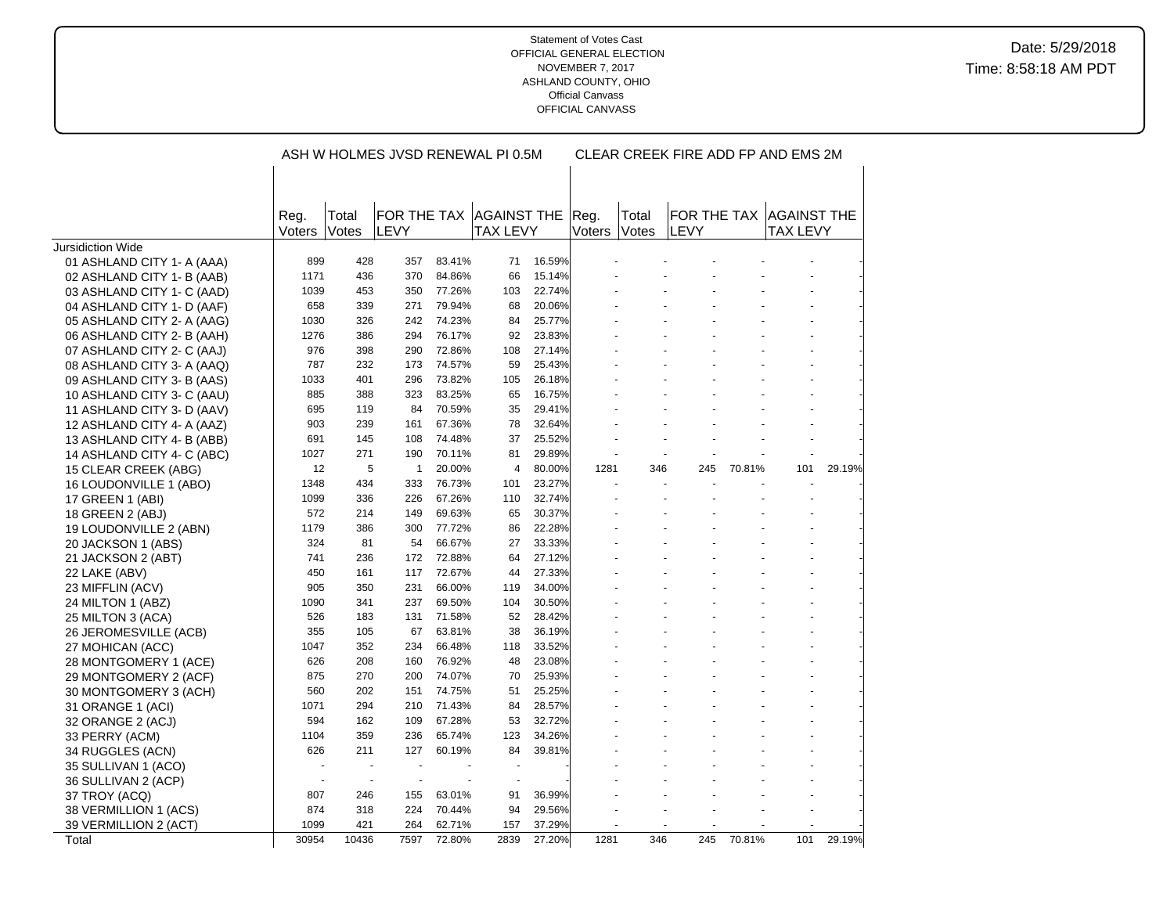|                            |                          |                          |                     |        | ASH W HOLMES JVSD RENEWAL PI 0.5M     | CLEAR CREEK FIRE ADD FP AND EMS 2M |                |                              |      |        |                                            |        |
|----------------------------|--------------------------|--------------------------|---------------------|--------|---------------------------------------|------------------------------------|----------------|------------------------------|------|--------|--------------------------------------------|--------|
|                            |                          |                          |                     |        |                                       |                                    |                |                              |      |        |                                            |        |
|                            |                          |                          |                     |        |                                       |                                    |                |                              |      |        |                                            |        |
|                            | Reg.<br>Voters           | Total<br>Votes           | FOR THE TAX<br>LEVY |        | <b>AGAINST THE</b><br><b>TAX LEVY</b> |                                    | Reg.<br>Voters | Total<br><i><b>Notes</b></i> | LEVY |        | FOR THE TAX AGAINST THE<br><b>TAX LEVY</b> |        |
| Jursidiction Wide          |                          |                          |                     |        |                                       |                                    |                |                              |      |        |                                            |        |
| 01 ASHLAND CITY 1- A (AAA) | 899                      | 428                      | 357                 | 83.41% | 71                                    | 16.59%                             |                |                              |      |        |                                            |        |
| 02 ASHLAND CITY 1- B (AAB) | 1171                     | 436                      | 370                 | 84.86% | 66                                    | 15.14%                             |                |                              |      |        |                                            |        |
| 03 ASHLAND CITY 1- C (AAD) | 1039                     | 453                      | 350                 | 77.26% | 103                                   | 22.74%                             |                |                              |      |        |                                            |        |
| 04 ASHLAND CITY 1- D (AAF) | 658                      | 339                      | 271                 | 79.94% | 68                                    | 20.06%                             |                |                              |      |        |                                            |        |
| 05 ASHLAND CITY 2- A (AAG) | 1030                     | 326                      | 242                 | 74.23% | 84                                    | 25.77%                             |                |                              |      |        |                                            |        |
| 06 ASHLAND CITY 2- B (AAH) | 1276                     | 386                      | 294                 | 76.17% | 92                                    | 23.83%                             |                |                              |      |        |                                            |        |
| 07 ASHLAND CITY 2- C (AAJ) | 976                      | 398                      | 290                 | 72.86% | 108                                   | 27.14%                             |                |                              |      |        |                                            |        |
| 08 ASHLAND CITY 3- A (AAQ) | 787                      | 232                      | 173                 | 74.57% | 59                                    | 25.43%                             |                |                              |      |        |                                            |        |
| 09 ASHLAND CITY 3- B (AAS) | 1033                     | 401                      | 296                 | 73.82% | 105                                   | 26.18%                             |                |                              |      |        |                                            |        |
| 10 ASHLAND CITY 3- C (AAU) | 885                      | 388                      | 323                 | 83.25% | 65                                    | 16.75%                             |                |                              |      |        |                                            |        |
| 11 ASHLAND CITY 3- D (AAV) | 695                      | 119                      | 84                  | 70.59% | 35                                    | 29.41%                             |                |                              |      |        |                                            |        |
| 12 ASHLAND CITY 4- A (AAZ) | 903                      | 239                      | 161                 | 67.36% | 78                                    | 32.64%                             |                |                              |      |        |                                            |        |
| 13 ASHLAND CITY 4- B (ABB) | 691                      | 145                      | 108                 | 74.48% | 37                                    | 25.52%                             |                |                              |      |        |                                            |        |
| 14 ASHLAND CITY 4- C (ABC) | 1027                     | 271                      | 190                 | 70.11% | 81                                    | 29.89%                             |                |                              |      |        |                                            |        |
| 15 CLEAR CREEK (ABG)       | 12                       | 5                        | $\mathbf{1}$        | 20.00% | $\overline{4}$                        | 80.00%                             | 1281           | 346                          | 245  | 70.81% | 101                                        | 29.19% |
| 16 LOUDONVILLE 1 (ABO)     | 1348                     | 434                      | 333                 | 76.73% | 101                                   | 23.27%                             |                |                              |      |        |                                            |        |
| 17 GREEN 1 (ABI)           | 1099                     | 336                      | 226                 | 67.26% | 110                                   | 32.74%                             |                |                              |      |        |                                            |        |
| 18 GREEN 2 (ABJ)           | 572                      | 214                      | 149                 | 69.63% | 65                                    | 30.37%                             |                |                              |      |        |                                            |        |
| 19 LOUDONVILLE 2 (ABN)     | 1179                     | 386                      | 300                 | 77.72% | 86                                    | 22.28%                             |                |                              |      |        |                                            |        |
| 20 JACKSON 1 (ABS)         | 324                      | 81                       | 54                  | 66.67% | 27                                    | 33.33%                             |                |                              |      |        |                                            |        |
| 21 JACKSON 2 (ABT)         | 741                      | 236                      | 172                 | 72.88% | 64                                    | 27.12%                             |                |                              |      |        |                                            |        |
| 22 LAKE (ABV)              | 450                      | 161                      | 117                 | 72.67% | 44                                    | 27.33%                             |                |                              |      |        |                                            |        |
| 23 MIFFLIN (ACV)           | 905                      | 350                      | 231                 | 66.00% | 119                                   | 34.00%                             |                |                              |      |        |                                            |        |
| 24 MILTON 1 (ABZ)          | 1090                     | 341                      | 237                 | 69.50% | 104                                   | 30.50%                             |                |                              |      |        |                                            |        |
| 25 MILTON 3 (ACA)          | 526                      | 183                      | 131                 | 71.58% | 52                                    | 28.42%                             |                |                              |      |        |                                            |        |
| 26 JEROMESVILLE (ACB)      | 355                      | 105                      | 67                  | 63.81% | 38                                    | 36.19%                             |                |                              |      |        |                                            |        |
| 27 MOHICAN (ACC)           | 1047                     | 352                      | 234                 | 66.48% | 118                                   | 33.52%                             |                |                              |      |        |                                            |        |
| 28 MONTGOMERY 1 (ACE)      | 626                      | 208                      | 160                 | 76.92% | 48                                    | 23.08%                             |                |                              |      |        |                                            |        |
| 29 MONTGOMERY 2 (ACF)      | 875                      | 270                      | 200                 | 74.07% | 70                                    | 25.93%                             |                |                              |      |        |                                            |        |
| 30 MONTGOMERY 3 (ACH)      | 560                      | 202                      | 151                 | 74.75% | 51                                    | 25.25%                             |                |                              |      |        |                                            |        |
| 31 ORANGE 1 (ACI)          | 1071                     | 294                      | 210                 | 71.43% | 84                                    | 28.57%                             |                |                              |      |        |                                            |        |
| 32 ORANGE 2 (ACJ)          | 594                      | 162                      | 109                 | 67.28% | 53                                    | 32.72%                             |                |                              |      |        |                                            |        |
| 33 PERRY (ACM)             | 1104                     | 359                      | 236                 | 65.74% | 123                                   | 34.26%                             |                |                              |      |        |                                            |        |
| 34 RUGGLES (ACN)           | 626                      | 211                      | 127                 | 60.19% | 84                                    | 39.81%                             |                |                              |      |        |                                            |        |
| 35 SULLIVAN 1 (ACO)        |                          |                          |                     |        |                                       |                                    |                |                              |      |        |                                            |        |
| 36 SULLIVAN 2 (ACP)        | $\overline{\phantom{a}}$ | $\overline{\phantom{a}}$ | ÷,                  |        |                                       |                                    |                |                              |      |        |                                            |        |
| 37 TROY (ACQ)              | 807                      | 246                      | 155                 | 63.01% | 91                                    | 36.99%                             |                |                              |      |        |                                            |        |
| 38 VERMILLION 1 (ACS)      | 874                      | 318                      | 224                 | 70.44% | 94                                    | 29.56%                             |                |                              |      |        |                                            |        |
| 39 VERMILLION 2 (ACT)      | 1099                     | 421                      | 264                 | 62.71% | 157                                   | 37.29%                             |                |                              |      |        |                                            |        |
| Total                      | 30954                    | 10436                    | 7597                | 72.80% | 2839                                  | 27.20%                             | 1281           | 346                          | 245  | 70.81% | 101                                        | 29.19% |